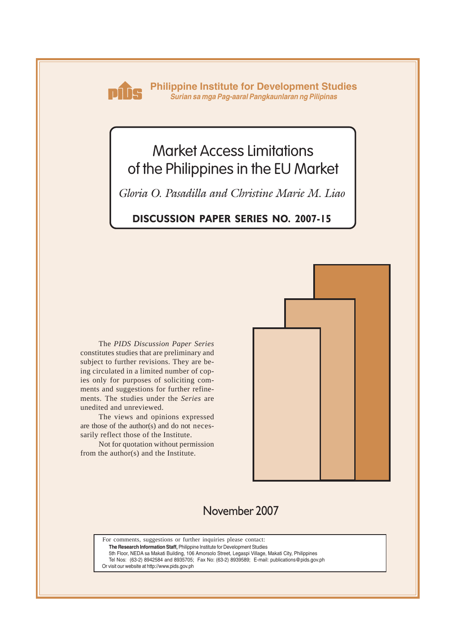

**Philippine Institute for Development Studies** *Surian sa mga Pag-aaral Pangkaunlaran ng Pilipinas*

# Market Access Limitations of the Philippines in the EU Market

*Gloria O. Pasadilla and Christine Marie M. Liao*

## **DISCUSSION PAPER SERIES NO. 2007-15**

The *PIDS Discussion Paper Series* constitutes studies that are preliminary and subject to further revisions. They are being circulated in a limited number of copies only for purposes of soliciting comments and suggestions for further refinements. The studies under the *Series* are unedited and unreviewed.

The views and opinions expressed are those of the author(s) and do not necessarily reflect those of the Institute.

Not for quotation without permission from the author(s) and the Institute.



## November 2007

For comments, suggestions or further inquiries please contact: **The Research Information Staff,** Philippine Institute for Development Studies

5th Floor, NEDA sa Makati Building, 106 Amorsolo Street, Legaspi Village, Makati City, Philippines

Tel Nos: (63-2) 8942584 and 8935705; Fax No: (63-2) 8939589; E-mail: publications@pids.gov.ph Or visit our website at http://www.pids.gov.ph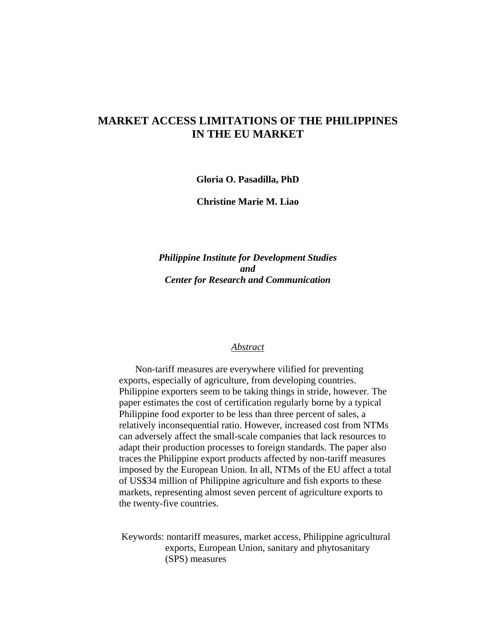### **MARKET ACCESS LIMITATIONS OF THE PHILIPPINES IN THE EU MARKET**

**Gloria O. Pasadilla, PhD** 

**Christine Marie M. Liao** 

*Philippine Institute for Development Studies and Center for Research and Communication* 

#### *Abstract*

Non-tariff measures are everywhere vilified for preventing exports, especially of agriculture, from developing countries. Philippine exporters seem to be taking things in stride, however. The paper estimates the cost of certification regularly borne by a typical Philippine food exporter to be less than three percent of sales, a relatively inconsequential ratio. However, increased cost from NTMs can adversely affect the small-scale companies that lack resources to adapt their production processes to foreign standards. The paper also traces the Philippine export products affected by non-tariff measures imposed by the European Union. In all, NTMs of the EU affect a total of US\$34 million of Philippine agriculture and fish exports to these markets, representing almost seven percent of agriculture exports to the twenty-five countries.

Keywords: nontariff measures, market access, Philippine agricultural exports, European Union, sanitary and phytosanitary (SPS) measures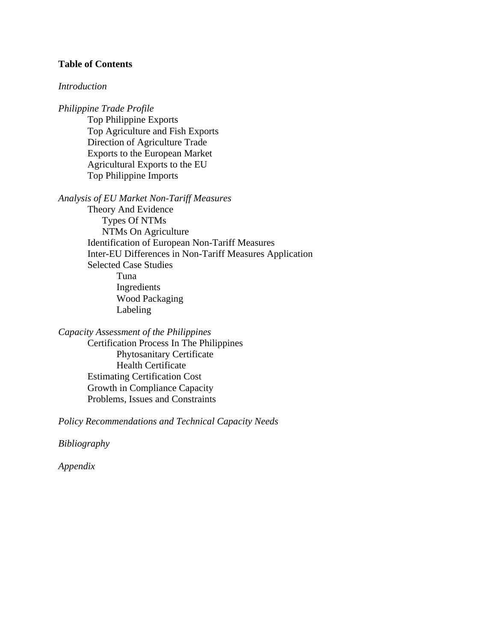#### **Table of Contents**

#### *Introduction*

*Philippine Trade Profile*  Top Philippine Exports Top Agriculture and Fish Exports Direction of Agriculture Trade Exports to the European Market Agricultural Exports to the EU Top Philippine Imports

*Analysis of EU Market Non-Tariff Measures* 

Theory And Evidence Types Of NTMs NTMs On Agriculture Identification of European Non-Tariff Measures Inter-EU Differences in Non-Tariff Measures Application Selected Case Studies Tuna Ingredients Wood Packaging Labeling

*Capacity Assessment of the Philippines*  Certification Process In The Philippines Phytosanitary Certificate Health Certificate Estimating Certification Cost Growth in Compliance Capacity Problems, Issues and Constraints

*Policy Recommendations and Technical Capacity Needs* 

*Bibliography* 

*Appendix*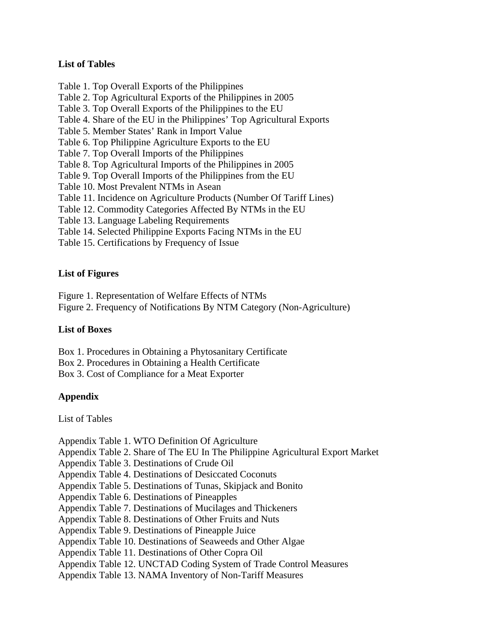#### **List of Tables**

- Table 1. Top Overall Exports of the Philippines
- Table 2. Top Agricultural Exports of the Philippines in 2005
- Table 3. Top Overall Exports of the Philippines to the EU
- Table 4. Share of the EU in the Philippines' Top Agricultural Exports
- Table 5. Member States' Rank in Import Value
- Table 6. Top Philippine Agriculture Exports to the EU
- Table 7. Top Overall Imports of the Philippines
- Table 8. Top Agricultural Imports of the Philippines in 2005
- Table 9. Top Overall Imports of the Philippines from the EU
- Table 10. Most Prevalent NTMs in Asean
- Table 11. Incidence on Agriculture Products (Number Of Tariff Lines)
- Table 12. Commodity Categories Affected By NTMs in the EU
- Table 13. Language Labeling Requirements
- Table 14. Selected Philippine Exports Facing NTMs in the EU
- Table 15. Certifications by Frequency of Issue

#### **List of Figures**

Figure 1. Representation of Welfare Effects of NTMs

Figure 2. Frequency of Notifications By NTM Category (Non-Agriculture)

#### **List of Boxes**

Box 1. Procedures in Obtaining a Phytosanitary Certificate

- Box 2. Procedures in Obtaining a Health Certificate
- Box 3. Cost of Compliance for a Meat Exporter

#### **Appendix**

List of Tables

Appendix Table 1. WTO Definition Of Agriculture Appendix Table 2. Share of The EU In The Philippine Agricultural Export Market Appendix Table 3. Destinations of Crude Oil Appendix Table 4. Destinations of Desiccated Coconuts Appendix Table 5. Destinations of Tunas, Skipjack and Bonito Appendix Table 6. Destinations of Pineapples Appendix Table 7. Destinations of Mucilages and Thickeners Appendix Table 8. Destinations of Other Fruits and Nuts Appendix Table 9. Destinations of Pineapple Juice Appendix Table 10. Destinations of Seaweeds and Other Algae Appendix Table 11. Destinations of Other Copra Oil Appendix Table 12. UNCTAD Coding System of Trade Control Measures Appendix Table 13. NAMA Inventory of Non-Tariff Measures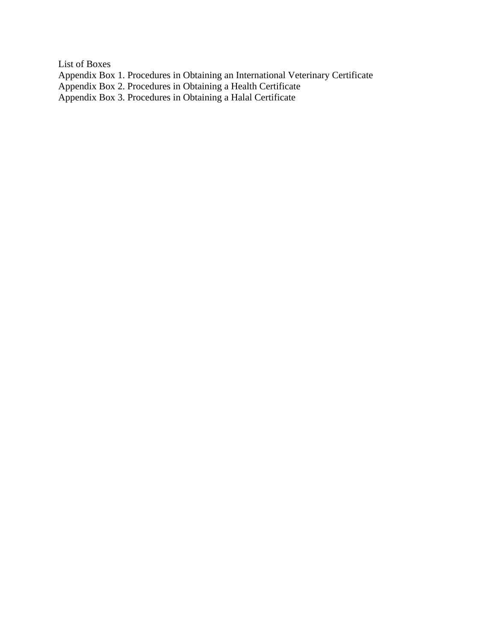List of Boxes Appendix Box 1. Procedures in Obtaining an International Veterinary Certificate Appendix Box 2. Procedures in Obtaining a Health Certificate Appendix Box 3. Procedures in Obtaining a Halal Certificate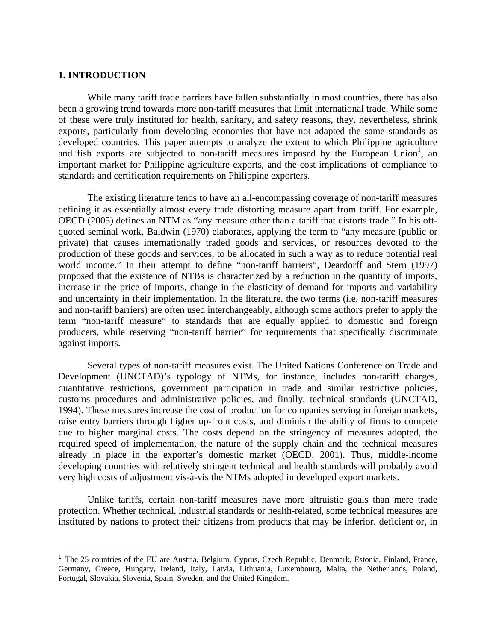#### **1. INTRODUCTION**

-

While many tariff trade barriers have fallen substantially in most countries, there has also been a growing trend towards more non-tariff measures that limit international trade. While some of these were truly instituted for health, sanitary, and safety reasons, they, nevertheless, shrink exports, particularly from developing economies that have not adapted the same standards as developed countries. This paper attempts to analyze the extent to which Philippine agriculture and fish exports are subjected to non-tariff measures imposed by the European Union<sup>1</sup>, an important market for Philippine agriculture exports, and the cost implications of compliance to standards and certification requirements on Philippine exporters.

 The existing literature tends to have an all-encompassing coverage of non-tariff measures defining it as essentially almost every trade distorting measure apart from tariff. For example, OECD (2005) defines an NTM as "any measure other than a tariff that distorts trade." In his oftquoted seminal work, Baldwin (1970) elaborates, applying the term to "any measure (public or private) that causes internationally traded goods and services, or resources devoted to the production of these goods and services, to be allocated in such a way as to reduce potential real world income." In their attempt to define "non-tariff barriers", Deardorff and Stern (1997) proposed that the existence of NTBs is characterized by a reduction in the quantity of imports, increase in the price of imports, change in the elasticity of demand for imports and variability and uncertainty in their implementation. In the literature, the two terms (i.e. non-tariff measures and non-tariff barriers) are often used interchangeably, although some authors prefer to apply the term "non-tariff measure" to standards that are equally applied to domestic and foreign producers, while reserving "non-tariff barrier" for requirements that specifically discriminate against imports.

 Several types of non-tariff measures exist. The United Nations Conference on Trade and Development (UNCTAD)'s typology of NTMs, for instance, includes non-tariff charges, quantitative restrictions, government participation in trade and similar restrictive policies, customs procedures and administrative policies, and finally, technical standards (UNCTAD, 1994). These measures increase the cost of production for companies serving in foreign markets, raise entry barriers through higher up-front costs, and diminish the ability of firms to compete due to higher marginal costs. The costs depend on the stringency of measures adopted, the required speed of implementation, the nature of the supply chain and the technical measures already in place in the exporter's domestic market (OECD, 2001). Thus, middle-income developing countries with relatively stringent technical and health standards will probably avoid very high costs of adjustment vis-à-vis the NTMs adopted in developed export markets.

Unlike tariffs, certain non-tariff measures have more altruistic goals than mere trade protection. Whether technical, industrial standards or health-related, some technical measures are instituted by nations to protect their citizens from products that may be inferior, deficient or, in

<sup>&</sup>lt;sup>1</sup> The 25 countries of the EU are Austria, Belgium, Cyprus, Czech Republic, Denmark, Estonia, Finland, France, Germany, Greece, Hungary, Ireland, Italy, Latvia, Lithuania, Luxembourg, Malta, the Netherlands, Poland, Portugal, Slovakia, Slovenia, Spain, Sweden, and the United Kingdom.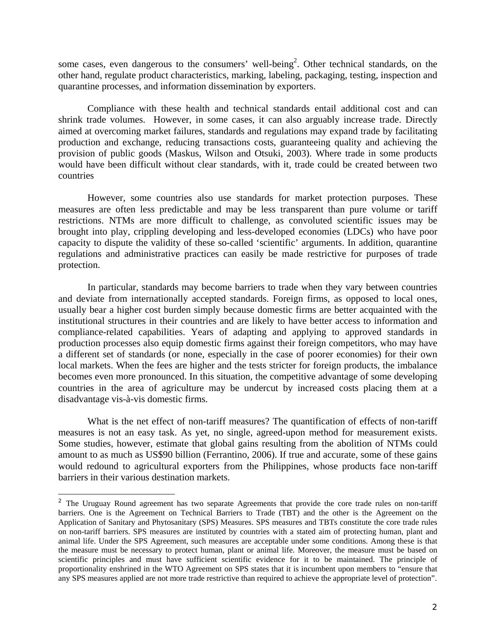some cases, even dangerous to the consumers' well-being<sup>2</sup>. Other technical standards, on the other hand, regulate product characteristics, marking, labeling, packaging, testing, inspection and quarantine processes, and information dissemination by exporters.

Compliance with these health and technical standards entail additional cost and can shrink trade volumes. However, in some cases, it can also arguably increase trade. Directly aimed at overcoming market failures, standards and regulations may expand trade by facilitating production and exchange, reducing transactions costs, guaranteeing quality and achieving the provision of public goods (Maskus, Wilson and Otsuki, 2003). Where trade in some products would have been difficult without clear standards, with it, trade could be created between two countries

However, some countries also use standards for market protection purposes. These measures are often less predictable and may be less transparent than pure volume or tariff restrictions. NTMs are more difficult to challenge, as convoluted scientific issues may be brought into play, crippling developing and less-developed economies (LDCs) who have poor capacity to dispute the validity of these so-called 'scientific' arguments. In addition, quarantine regulations and administrative practices can easily be made restrictive for purposes of trade protection.

In particular, standards may become barriers to trade when they vary between countries and deviate from internationally accepted standards. Foreign firms, as opposed to local ones, usually bear a higher cost burden simply because domestic firms are better acquainted with the institutional structures in their countries and are likely to have better access to information and compliance-related capabilities. Years of adapting and applying to approved standards in production processes also equip domestic firms against their foreign competitors, who may have a different set of standards (or none, especially in the case of poorer economies) for their own local markets. When the fees are higher and the tests stricter for foreign products, the imbalance becomes even more pronounced. In this situation, the competitive advantage of some developing countries in the area of agriculture may be undercut by increased costs placing them at a disadvantage vis-à-vis domestic firms.

What is the net effect of non-tariff measures? The quantification of effects of non-tariff measures is not an easy task. As yet, no single, agreed-upon method for measurement exists. Some studies, however, estimate that global gains resulting from the abolition of NTMs could amount to as much as US\$90 billion (Ferrantino, 2006). If true and accurate, some of these gains would redound to agricultural exporters from the Philippines, whose products face non-tariff barriers in their various destination markets.

-

<sup>&</sup>lt;sup>2</sup> The Uruguay Round agreement has two separate Agreements that provide the core trade rules on non-tariff barriers. One is the Agreement on Technical Barriers to Trade (TBT) and the other is the Agreement on the Application of Sanitary and Phytosanitary (SPS) Measures. SPS measures and TBTs constitute the core trade rules on non-tariff barriers. SPS measures are instituted by countries with a stated aim of protecting human, plant and animal life. Under the SPS Agreement, such measures are acceptable under some conditions. Among these is that the measure must be necessary to protect human, plant or animal life. Moreover, the measure must be based on scientific principles and must have sufficient scientific evidence for it to be maintained. The principle of proportionality enshrined in the WTO Agreement on SPS states that it is incumbent upon members to "ensure that any SPS measures applied are not more trade restrictive than required to achieve the appropriate level of protection".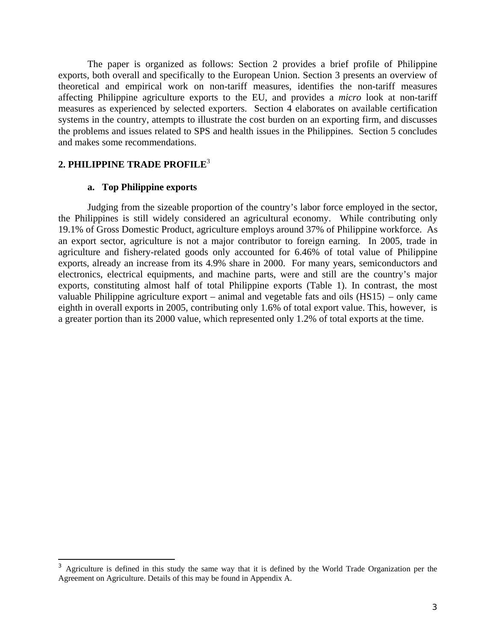The paper is organized as follows: Section 2 provides a brief profile of Philippine exports, both overall and specifically to the European Union. Section 3 presents an overview of theoretical and empirical work on non-tariff measures, identifies the non-tariff measures affecting Philippine agriculture exports to the EU, and provides a *micro* look at non-tariff measures as experienced by selected exporters. Section 4 elaborates on available certification systems in the country, attempts to illustrate the cost burden on an exporting firm, and discusses the problems and issues related to SPS and health issues in the Philippines. Section 5 concludes and makes some recommendations.

#### **2. PHILIPPINE TRADE PROFILE**<sup>3</sup>

1

#### **a. Top Philippine exports**

Judging from the sizeable proportion of the country's labor force employed in the sector, the Philippines is still widely considered an agricultural economy. While contributing only 19.1% of Gross Domestic Product, agriculture employs around 37% of Philippine workforce. As an export sector, agriculture is not a major contributor to foreign earning. In 2005, trade in agriculture and fishery-related goods only accounted for 6.46% of total value of Philippine exports, already an increase from its 4.9% share in 2000. For many years, semiconductors and electronics, electrical equipments, and machine parts, were and still are the country's major exports, constituting almost half of total Philippine exports (Table 1). In contrast, the most valuable Philippine agriculture export – animal and vegetable fats and oils (HS15) – only came eighth in overall exports in 2005, contributing only 1.6% of total export value. This, however, is a greater portion than its 2000 value, which represented only 1.2% of total exports at the time.

<sup>&</sup>lt;sup>3</sup> Agriculture is defined in this study the same way that it is defined by the World Trade Organization per the Agreement on Agriculture. Details of this may be found in Appendix A.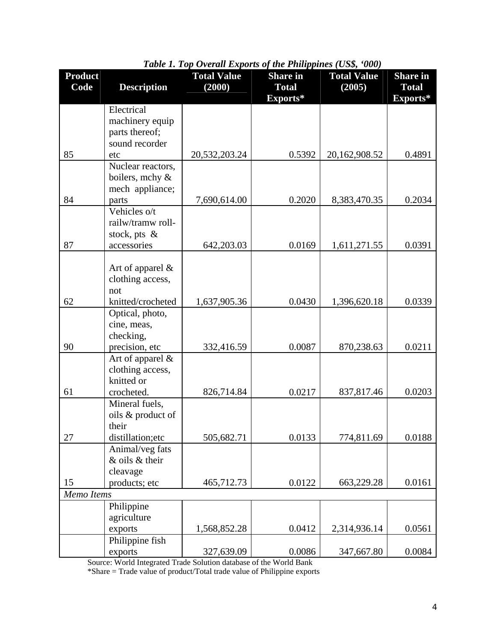| <b>Product</b> |                                      | <b>Total Value</b> | <b>Share</b> in          | <b>Total Value</b> | <b>Share</b> in          |
|----------------|--------------------------------------|--------------------|--------------------------|--------------------|--------------------------|
| Code           | <b>Description</b>                   | (2000)             | <b>Total</b><br>Exports* | (2005)             | <b>Total</b><br>Exports* |
|                | Electrical                           |                    |                          |                    |                          |
|                | machinery equip                      |                    |                          |                    |                          |
|                | parts thereof;<br>sound recorder     |                    |                          |                    |                          |
| 85             | etc                                  | 20,532,203.24      | 0.5392                   | 20,162,908.52      | 0.4891                   |
|                | Nuclear reactors,                    |                    |                          |                    |                          |
|                | boilers, mchy &                      |                    |                          |                    |                          |
|                | mech appliance;                      |                    |                          |                    |                          |
| 84             | parts                                | 7,690,614.00       | 0.2020                   | 8,383,470.35       | 0.2034                   |
|                | Vehicles o/t                         |                    |                          |                    |                          |
|                | railw/tramw roll-<br>stock, pts $\&$ |                    |                          |                    |                          |
| 87             | accessories                          | 642,203.03         | 0.0169                   | 1,611,271.55       | 0.0391                   |
|                |                                      |                    |                          |                    |                          |
|                | Art of apparel $\&$                  |                    |                          |                    |                          |
|                | clothing access,                     |                    |                          |                    |                          |
| 62             | not<br>knitted/crocheted             | 1,637,905.36       | 0.0430                   | 1,396,620.18       | 0.0339                   |
|                | Optical, photo,                      |                    |                          |                    |                          |
|                | cine, meas,                          |                    |                          |                    |                          |
|                | checking,                            |                    |                          |                    |                          |
| 90             | precision, etc                       | 332,416.59         | 0.0087                   | 870,238.63         | 0.0211                   |
|                | Art of apparel &                     |                    |                          |                    |                          |
|                | clothing access,<br>knitted or       |                    |                          |                    |                          |
| 61             | crocheted.                           | 826,714.84         | 0.0217                   | 837,817.46         | 0.0203                   |
|                | Mineral fuels,                       |                    |                          |                    |                          |
|                | oils & product of                    |                    |                          |                    |                          |
|                | their                                |                    |                          |                    |                          |
| 27             | distillation; etc                    | 505,682.71         | 0.0133                   | 774,811.69         | 0.0188                   |
|                | Animal/veg fats<br>& oils & their    |                    |                          |                    |                          |
|                | cleavage                             |                    |                          |                    |                          |
| 15             | products; etc                        | 465,712.73         | 0.0122                   | 663,229.28         | 0.0161                   |
| Memo Items     |                                      |                    |                          |                    |                          |
|                | Philippine                           |                    |                          |                    |                          |
|                | agriculture                          |                    |                          |                    |                          |
|                | exports<br>Philippine fish           | 1,568,852.28       | 0.0412                   | 2,314,936.14       | 0.0561                   |
|                | exports                              | 327,639.09         | 0.0086                   | 347,667.80         | 0.0084                   |
|                |                                      |                    |                          |                    |                          |

*Table 1. Top Overall Exports of the Philippines (US\$, '000)* 

Source: World Integrated Trade Solution database of the World Bank

\*Share = Trade value of product/Total trade value of Philippine exports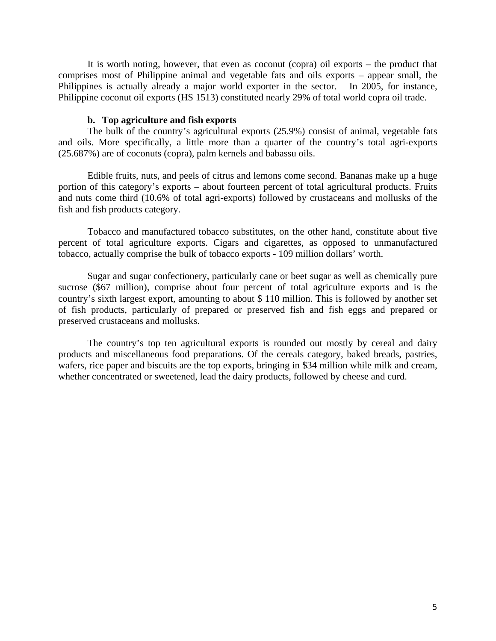It is worth noting, however, that even as coconut (copra) oil exports – the product that comprises most of Philippine animal and vegetable fats and oils exports – appear small, the Philippines is actually already a major world exporter in the sector. In 2005, for instance, Philippine coconut oil exports (HS 1513) constituted nearly 29% of total world copra oil trade.

#### **b. Top agriculture and fish exports**

The bulk of the country's agricultural exports (25.9%) consist of animal, vegetable fats and oils. More specifically, a little more than a quarter of the country's total agri-exports (25.687%) are of coconuts (copra), palm kernels and babassu oils.

Edible fruits, nuts, and peels of citrus and lemons come second. Bananas make up a huge portion of this category's exports – about fourteen percent of total agricultural products. Fruits and nuts come third (10.6% of total agri-exports) followed by crustaceans and mollusks of the fish and fish products category.

Tobacco and manufactured tobacco substitutes, on the other hand, constitute about five percent of total agriculture exports. Cigars and cigarettes, as opposed to unmanufactured tobacco, actually comprise the bulk of tobacco exports - 109 million dollars' worth.

Sugar and sugar confectionery, particularly cane or beet sugar as well as chemically pure sucrose (\$67 million), comprise about four percent of total agriculture exports and is the country's sixth largest export, amounting to about \$ 110 million. This is followed by another set of fish products, particularly of prepared or preserved fish and fish eggs and prepared or preserved crustaceans and mollusks.

The country's top ten agricultural exports is rounded out mostly by cereal and dairy products and miscellaneous food preparations. Of the cereals category, baked breads, pastries, wafers, rice paper and biscuits are the top exports, bringing in \$34 million while milk and cream, whether concentrated or sweetened, lead the dairy products, followed by cheese and curd.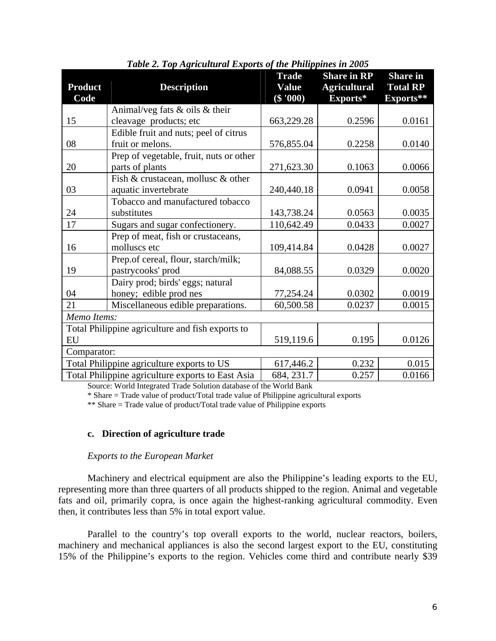| <b>Product</b><br>Code | <b>Description</b>                                | <b>Trade</b><br><b>Value</b><br>$(\$ '000)$ | <b>Share in RP</b><br><b>Agricultural</b><br>Exports* | <b>Share</b> in<br><b>Total RP</b><br>Exports** |  |  |
|------------------------|---------------------------------------------------|---------------------------------------------|-------------------------------------------------------|-------------------------------------------------|--|--|
|                        | Animal/veg fats $\&$ oils $\&$ their              |                                             |                                                       |                                                 |  |  |
| 15                     | cleavage products; etc                            | 663,229.28                                  | 0.2596                                                | 0.0161                                          |  |  |
|                        | Edible fruit and nuts; peel of citrus             |                                             |                                                       |                                                 |  |  |
| 08                     | fruit or melons.                                  | 576,855.04                                  | 0.2258                                                | 0.0140                                          |  |  |
|                        | Prep of vegetable, fruit, nuts or other           |                                             |                                                       |                                                 |  |  |
| 20                     | parts of plants                                   | 271,623.30                                  | 0.1063                                                | 0.0066                                          |  |  |
|                        | Fish & crustacean, mollusc & other                |                                             |                                                       |                                                 |  |  |
| 03                     | aquatic invertebrate                              | 240,440.18                                  | 0.0941                                                | 0.0058                                          |  |  |
|                        | Tobacco and manufactured tobacco                  |                                             |                                                       |                                                 |  |  |
| 24                     | substitutes                                       | 143,738.24                                  | 0.0563                                                | 0.0035                                          |  |  |
| 17                     | Sugars and sugar confectionery.                   | 110,642.49                                  | 0.0433                                                | 0.0027                                          |  |  |
|                        | Prep of meat, fish or crustaceans,                |                                             |                                                       |                                                 |  |  |
| 16                     | molluscs etc                                      | 109,414.84                                  | 0.0428                                                | 0.0027                                          |  |  |
|                        | Prep.of cereal, flour, starch/milk;               |                                             |                                                       |                                                 |  |  |
| 19                     | pastrycooks' prod                                 | 84,088.55                                   | 0.0329                                                | 0.0020                                          |  |  |
|                        | Dairy prod; birds' eggs; natural                  |                                             |                                                       |                                                 |  |  |
| 04                     | honey; edible prod nes                            | 77,254.24                                   | 0.0302                                                | 0.0019                                          |  |  |
| 21                     | Miscellaneous edible preparations.                | 60,500.58                                   | 0.0237                                                | 0.0015                                          |  |  |
| Memo Items:            |                                                   |                                             |                                                       |                                                 |  |  |
|                        | Total Philippine agriculture and fish exports to  |                                             |                                                       |                                                 |  |  |
| EU                     |                                                   | 519,119.6                                   | 0.195                                                 | 0.0126                                          |  |  |
| Comparator:            |                                                   |                                             |                                                       |                                                 |  |  |
|                        | Total Philippine agriculture exports to US        | 617,446.2                                   | 0.232                                                 | 0.015                                           |  |  |
|                        | Total Philippine agriculture exports to East Asia | 684, 231.7                                  | 0.257                                                 | 0.0166                                          |  |  |

*Table 2. Top Agricultural Exports of the Philippines in 2005* 

Source: World Integrated Trade Solution database of the World Bank

\* Share = Trade value of product/Total trade value of Philippine agricultural exports

\*\* Share = Trade value of product/Total trade value of Philippine exports

#### **c. Direction of agriculture trade**

#### *Exports to the European Market*

 Machinery and electrical equipment are also the Philippine's leading exports to the EU, representing more than three quarters of all products shipped to the region. Animal and vegetable fats and oil, primarily copra, is once again the highest-ranking agricultural commodity. Even then, it contributes less than 5% in total export value.

Parallel to the country's top overall exports to the world, nuclear reactors, boilers, machinery and mechanical appliances is also the second largest export to the EU, constituting 15% of the Philippine's exports to the region. Vehicles come third and contribute nearly \$39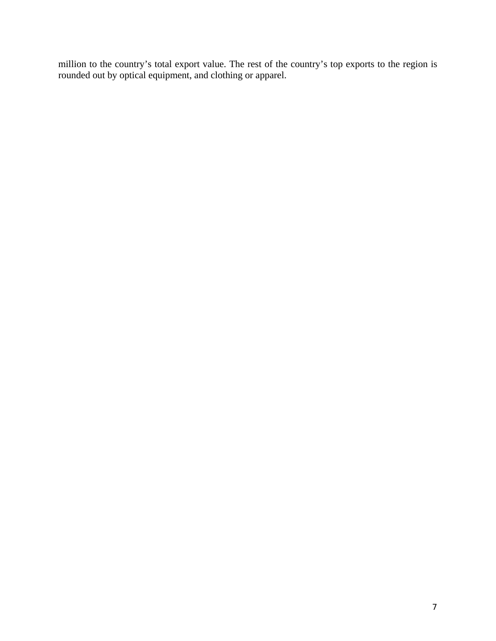million to the country's total export value. The rest of the country's top exports to the region is rounded out by optical equipment, and clothing or apparel.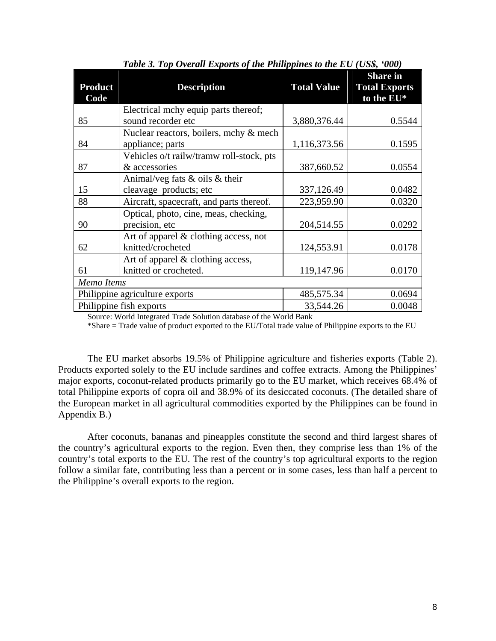| <b>Product</b><br>Code | <b>Description</b>                       | <b>Total Value</b> | <b>Share in</b><br><b>Total Exports</b><br>to the EU* |
|------------------------|------------------------------------------|--------------------|-------------------------------------------------------|
|                        | Electrical mchy equip parts thereof;     |                    |                                                       |
| 85                     | sound recorder etc                       | 3,880,376.44       | 0.5544                                                |
|                        | Nuclear reactors, boilers, mchy & mech   |                    |                                                       |
| 84                     | appliance; parts                         | 1,116,373.56       | 0.1595                                                |
|                        | Vehicles o/t railw/tramw roll-stock, pts |                    |                                                       |
| 87                     | & accessories                            | 387,660.52         | 0.0554                                                |
|                        | Animal/veg fats $\&$ oils $\&$ their     |                    |                                                       |
| 15                     | cleavage products; etc                   | 337,126.49         | 0.0482                                                |
| 88                     | Aircraft, spacecraft, and parts thereof. | 223,959.90         | 0.0320                                                |
|                        | Optical, photo, cine, meas, checking,    |                    |                                                       |
| 90                     | precision, etc                           | 204,514.55         | 0.0292                                                |
|                        | Art of apparel $\&$ clothing access, not |                    |                                                       |
| 62                     | knitted/crocheted                        | 124,553.91         | 0.0178                                                |
|                        | Art of apparel $&$ clothing access,      |                    |                                                       |
| 61                     | knitted or crocheted.                    | 119,147.96         | 0.0170                                                |
| Memo Items             |                                          |                    |                                                       |
|                        | Philippine agriculture exports           | 485,575.34         | 0.0694                                                |
|                        | Philippine fish exports                  | 33,544.26          | 0.0048                                                |

*Table 3. Top Overall Exports of the Philippines to the EU (US\$, '000)* 

Source: World Integrated Trade Solution database of the World Bank

\*Share = Trade value of product exported to the EU/Total trade value of Philippine exports to the EU

The EU market absorbs 19.5% of Philippine agriculture and fisheries exports (Table 2). Products exported solely to the EU include sardines and coffee extracts. Among the Philippines' major exports, coconut-related products primarily go to the EU market, which receives 68.4% of total Philippine exports of copra oil and 38.9% of its desiccated coconuts. (The detailed share of the European market in all agricultural commodities exported by the Philippines can be found in Appendix B.)

After coconuts, bananas and pineapples constitute the second and third largest shares of the country's agricultural exports to the region. Even then, they comprise less than 1% of the country's total exports to the EU. The rest of the country's top agricultural exports to the region follow a similar fate, contributing less than a percent or in some cases, less than half a percent to the Philippine's overall exports to the region.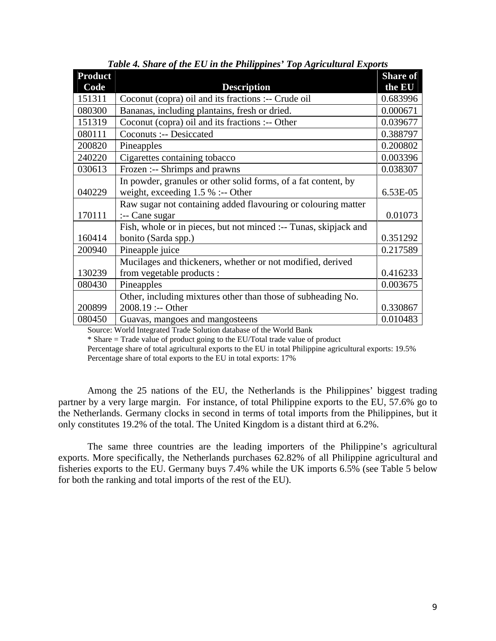| <b>Product</b> |                                                                  | <b>Share of</b> |
|----------------|------------------------------------------------------------------|-----------------|
| Code           | <b>Description</b>                                               | the EU          |
| 151311         | Coconut (copra) oil and its fractions :-- Crude oil              | 0.683996        |
| 080300         | Bananas, including plantains, fresh or dried.                    | 0.000671        |
| 151319         | Coconut (copra) oil and its fractions :-- Other                  | 0.039677        |
| 080111         | Coconuts :-- Desiccated                                          | 0.388797        |
| 200820         | Pineapples                                                       | 0.200802        |
| 240220         | Cigarettes containing tobacco                                    | 0.003396        |
| 030613         | Frozen :-- Shrimps and prawns                                    | 0.038307        |
|                | In powder, granules or other solid forms, of a fat content, by   |                 |
| 040229         | weight, exceeding $1.5\%$ :-- Other                              | 6.53E-05        |
|                | Raw sugar not containing added flavouring or colouring matter    |                 |
| 170111         | :-- Cane sugar                                                   | 0.01073         |
|                | Fish, whole or in pieces, but not minced :-- Tunas, skipjack and |                 |
| 160414         | bonito (Sarda spp.)                                              | 0.351292        |
| 200940         | Pineapple juice                                                  | 0.217589        |
|                | Mucilages and thickeners, whether or not modified, derived       |                 |
| 130239         | from vegetable products :                                        | 0.416233        |
| 080430         | Pineapples                                                       | 0.003675        |
|                | Other, including mixtures other than those of subheading No.     |                 |
| 200899         | 2008.19 :-- Other                                                | 0.330867        |
| 080450         | Guavas, mangoes and mangosteens                                  | 0.010483        |

*Table 4. Share of the EU in the Philippines' Top Agricultural Exports* 

Source: World Integrated Trade Solution database of the World Bank

\* Share = Trade value of product going to the EU/Total trade value of product

 Percentage share of total agricultural exports to the EU in total Philippine agricultural exports: 19.5% Percentage share of total exports to the EU in total exports: 17%

Among the 25 nations of the EU, the Netherlands is the Philippines' biggest trading partner by a very large margin. For instance, of total Philippine exports to the EU, 57.6% go to the Netherlands. Germany clocks in second in terms of total imports from the Philippines, but it only constitutes 19.2% of the total. The United Kingdom is a distant third at 6.2%.

 The same three countries are the leading importers of the Philippine's agricultural exports. More specifically, the Netherlands purchases 62.82% of all Philippine agricultural and fisheries exports to the EU. Germany buys 7.4% while the UK imports 6.5% (see Table 5 below for both the ranking and total imports of the rest of the EU).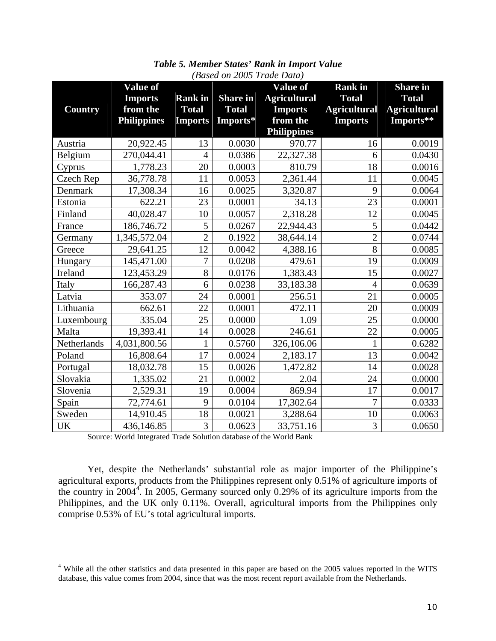|                | <b>Value of</b>    |                |                 | <b>Value of</b>     | <b>Rank</b> in      | <b>Share in</b>     |
|----------------|--------------------|----------------|-----------------|---------------------|---------------------|---------------------|
|                | <b>Imports</b>     | <b>Rank</b> in | <b>Share in</b> | <b>Agricultural</b> | <b>Total</b>        | <b>Total</b>        |
| <b>Country</b> | from the           | <b>Total</b>   | <b>Total</b>    | <b>Imports</b>      | <b>Agricultural</b> | <b>Agricultural</b> |
|                | <b>Philippines</b> | <b>Imports</b> | Imports*        | from the            | <b>Imports</b>      | Imports**           |
|                |                    |                |                 | <b>Philippines</b>  |                     |                     |
| Austria        | 20,922.45          | 13             | 0.0030          | 970.77              | 16                  | 0.0019              |
| Belgium        | 270,044.41         | $\overline{4}$ | 0.0386          | 22,327.38           | 6                   | 0.0430              |
| Cyprus         | 1,778.23           | 20             | 0.0003          | 810.79              | 18                  | 0.0016              |
| Czech Rep      | 36,778.78          | 11             | 0.0053          | 2,361.44            | 11                  | 0.0045              |
| Denmark        | 17,308.34          | 16             | 0.0025          | 3,320.87            | 9                   | 0.0064              |
| Estonia        | 622.21             | 23             | 0.0001          | 34.13               | 23                  | 0.0001              |
| Finland        | 40,028.47          | 10             | 0.0057          | 2,318.28            | 12                  | 0.0045              |
| France         | 186,746.72         | 5              | 0.0267          | 22,944.43           | 5                   | 0.0442              |
| Germany        | 1,345,572.04       | $\overline{2}$ | 0.1922          | 38,644.14           | $\overline{2}$      | 0.0744              |
| Greece         | 29,641.25          | 12             | 0.0042          | 4,388.16            | $\overline{8}$      | 0.0085              |
| Hungary        | 145,471.00         | 7              | 0.0208          | 479.61              | 19                  | 0.0009              |
| Ireland        | 123,453.29         | 8              | 0.0176          | 1,383.43            | 15                  | 0.0027              |
| Italy          | 166,287.43         | 6              | 0.0238          | 33,183.38           | $\overline{4}$      | 0.0639              |
| Latvia         | 353.07             | 24             | 0.0001          | 256.51              | 21                  | 0.0005              |
| Lithuania      | 662.61             | 22             | 0.0001          | 472.11              | 20                  | 0.0009              |
| Luxembourg     | 335.04             | 25             | 0.0000          | 1.09                | 25                  | 0.0000              |
| Malta          | 19,393.41          | 14             | 0.0028          | 246.61              | 22                  | 0.0005              |
| Netherlands    | 4,031,800.56       | 1              | 0.5760          | 326,106.06          | $\mathbf{1}$        | 0.6282              |
| Poland         | 16,808.64          | 17             | 0.0024          | 2,183.17            | 13                  | 0.0042              |
| Portugal       | 18,032.78          | 15             | 0.0026          | 1,472.82            | 14                  | 0.0028              |
| Slovakia       | 1,335.02           | 21             | 0.0002          | 2.04                | 24                  | 0.0000              |
| Slovenia       | 2,529.31           | 19             | 0.0004          | 869.94              | 17                  | 0.0017              |
| Spain          | 72,774.61          | 9              | 0.0104          | 17,302.64           | $\overline{7}$      | 0.0333              |
| Sweden         | 14,910.45          | 18             | 0.0021          | 3,288.64            | 10                  | 0.0063              |
| <b>UK</b>      | 436,146.85         | 3              | 0.0623          | 33,751.16           | 3                   | 0.0650              |

*Table 5. Member States' Rank in Import Value (Based on 2005 Trade Data)* 

Source: World Integrated Trade Solution database of the World Bank

 Yet, despite the Netherlands' substantial role as major importer of the Philippine's agricultural exports, products from the Philippines represent only 0.51% of agriculture imports of the country in  $2004<sup>4</sup>$ . In 2005, Germany sourced only 0.29% of its agriculture imports from the Philippines, and the UK only 0.11%. Overall, agricultural imports from the Philippines only comprise 0.53% of EU's total agricultural imports.

<sup>&</sup>lt;sup>4</sup> While all the other statistics and data presented in this paper are based on the 2005 values reported in the WITS database, this value comes from 2004, since that was the most recent report available from the Netherlands.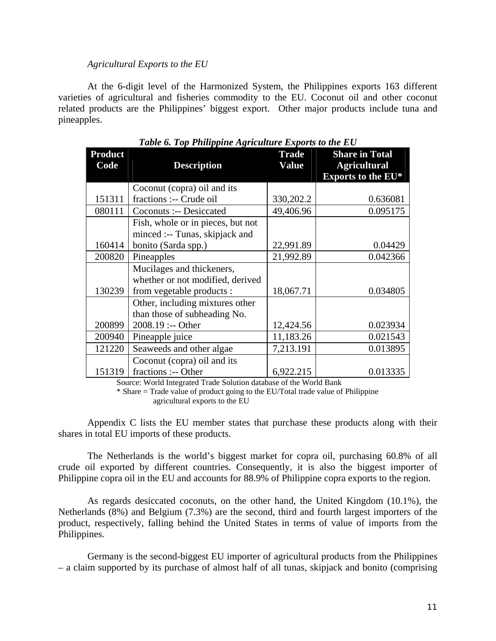#### *Agricultural Exports to the EU*

 At the 6-digit level of the Harmonized System, the Philippines exports 163 different varieties of agricultural and fisheries commodity to the EU. Coconut oil and other coconut related products are the Philippines' biggest export. Other major products include tuna and pineapples.

| <b>Product</b><br>Code | <b>Description</b>                | <b>Trade</b><br><b>Value</b> | <b>Share in Total</b><br><b>Agricultural</b> |
|------------------------|-----------------------------------|------------------------------|----------------------------------------------|
|                        |                                   |                              | Exports to the EU*                           |
|                        | Coconut (copra) oil and its       |                              |                                              |
| 151311                 | fractions :-- Crude oil           | 330,202.2                    | 0.636081                                     |
| 080111                 | Coconuts :-- Desiccated           | 49,406.96                    | 0.095175                                     |
|                        | Fish, whole or in pieces, but not |                              |                                              |
|                        | minced :-- Tunas, skipjack and    |                              |                                              |
| 160414                 | bonito (Sarda spp.)               | 22,991.89                    | 0.04429                                      |
| 200820                 | Pineapples                        | 21,992.89                    | 0.042366                                     |
|                        | Mucilages and thickeners,         |                              |                                              |
|                        | whether or not modified, derived  |                              |                                              |
| 130239                 | from vegetable products :         | 18,067.71                    | 0.034805                                     |
|                        | Other, including mixtures other   |                              |                                              |
|                        | than those of subheading No.      |                              |                                              |
| 200899                 | 2008.19 :-- Other                 | 12,424.56                    | 0.023934                                     |
| 200940                 | Pineapple juice                   | 11,183.26                    | 0.021543                                     |
| 121220                 | Seaweeds and other algae          | 7,213.191                    | 0.013895                                     |
|                        | Coconut (copra) oil and its       |                              |                                              |
| 151319                 | fractions :-- Other               | 6,922.215                    | 0.013335                                     |

|  | Table 6. Top Philippine Agriculture Exports to the EU |  |
|--|-------------------------------------------------------|--|
|  |                                                       |  |

Source: World Integrated Trade Solution database of the World Bank

\* Share = Trade value of product going to the EU/Total trade value of Philippine agricultural exports to the EU

 Appendix C lists the EU member states that purchase these products along with their shares in total EU imports of these products.

 The Netherlands is the world's biggest market for copra oil, purchasing 60.8% of all crude oil exported by different countries. Consequently, it is also the biggest importer of Philippine copra oil in the EU and accounts for 88.9% of Philippine copra exports to the region.

 As regards desiccated coconuts, on the other hand, the United Kingdom (10.1%), the Netherlands (8%) and Belgium (7.3%) are the second, third and fourth largest importers of the product, respectively, falling behind the United States in terms of value of imports from the Philippines.

 Germany is the second-biggest EU importer of agricultural products from the Philippines – a claim supported by its purchase of almost half of all tunas, skipjack and bonito (comprising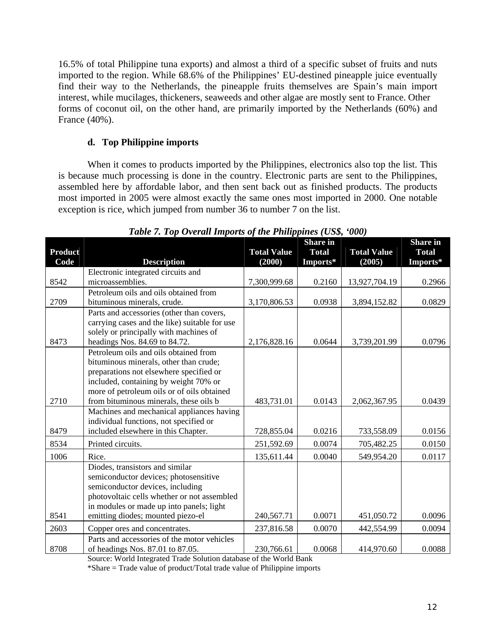16.5% of total Philippine tuna exports) and almost a third of a specific subset of fruits and nuts imported to the region. While 68.6% of the Philippines' EU-destined pineapple juice eventually find their way to the Netherlands, the pineapple fruits themselves are Spain's main import interest, while mucilages, thickeners, seaweeds and other algae are mostly sent to France. Other forms of coconut oil, on the other hand, are primarily imported by the Netherlands (60%) and France (40%).

### **d. Top Philippine imports**

When it comes to products imported by the Philippines, electronics also top the list. This is because much processing is done in the country. Electronic parts are sent to the Philippines, assembled here by affordable labor, and then sent back out as finished products. The products most imported in 2005 were almost exactly the same ones most imported in 2000. One notable exception is rice, which jumped from number 36 to number 7 on the list.

| <b>Product</b> |                                               | <b>Total Value</b> | <b>Share in</b><br><b>Total</b> | <b>Total Value</b> | Share in<br><b>Total</b> |
|----------------|-----------------------------------------------|--------------------|---------------------------------|--------------------|--------------------------|
| Code           | <b>Description</b>                            | (2000)             | Imports*                        | (2005)             | Imports*                 |
|                | Electronic integrated circuits and            |                    |                                 |                    |                          |
| 8542           | microassemblies.                              | 7,300,999.68       | 0.2160                          | 13,927,704.19      | 0.2966                   |
|                | Petroleum oils and oils obtained from         |                    |                                 |                    |                          |
| 2709           | bituminous minerals, crude.                   | 3,170,806.53       | 0.0938                          | 3,894,152.82       | 0.0829                   |
|                | Parts and accessories (other than covers,     |                    |                                 |                    |                          |
|                | carrying cases and the like) suitable for use |                    |                                 |                    |                          |
|                | solely or principally with machines of        |                    |                                 |                    |                          |
| 8473           | headings Nos. 84.69 to 84.72.                 | 2,176,828.16       | 0.0644                          | 3,739,201.99       | 0.0796                   |
|                | Petroleum oils and oils obtained from         |                    |                                 |                    |                          |
|                | bituminous minerals, other than crude;        |                    |                                 |                    |                          |
|                | preparations not elsewhere specified or       |                    |                                 |                    |                          |
|                | included, containing by weight 70% or         |                    |                                 |                    |                          |
|                | more of petroleum oils or of oils obtained    |                    |                                 |                    |                          |
| 2710           | from bituminous minerals, these oils b        | 483,731.01         | 0.0143                          | 2,062,367.95       | 0.0439                   |
|                | Machines and mechanical appliances having     |                    |                                 |                    |                          |
|                | individual functions, not specified or        |                    |                                 |                    |                          |
| 8479           | included elsewhere in this Chapter.           | 728,855.04         | 0.0216                          | 733,558.09         | 0.0156                   |
| 8534           | Printed circuits.                             | 251,592.69         | 0.0074                          | 705,482.25         | 0.0150                   |
| 1006           | Rice.                                         | 135,611.44         | 0.0040                          | 549,954.20         | 0.0117                   |
|                | Diodes, transistors and similar               |                    |                                 |                    |                          |
|                | semiconductor devices; photosensitive         |                    |                                 |                    |                          |
|                | semiconductor devices, including              |                    |                                 |                    |                          |
|                | photovoltaic cells whether or not assembled   |                    |                                 |                    |                          |
|                | in modules or made up into panels; light      |                    |                                 |                    |                          |
| 8541           | emitting diodes; mounted piezo-el             | 240,567.71         | 0.0071                          | 451,050.72         | 0.0096                   |
| 2603           | Copper ores and concentrates.                 | 237,816.58         | 0.0070                          | 442,554.99         | 0.0094                   |
|                | Parts and accessories of the motor vehicles   |                    |                                 |                    |                          |
| 8708           | of headings Nos. 87.01 to 87.05.              | 230,766.61         | 0.0068                          | 414,970.60         | 0.0088                   |

*Table 7. Top Overall Imports of the Philippines (US\$, '000)* 

Source: World Integrated Trade Solution database of the World Bank

\*Share = Trade value of product/Total trade value of Philippine imports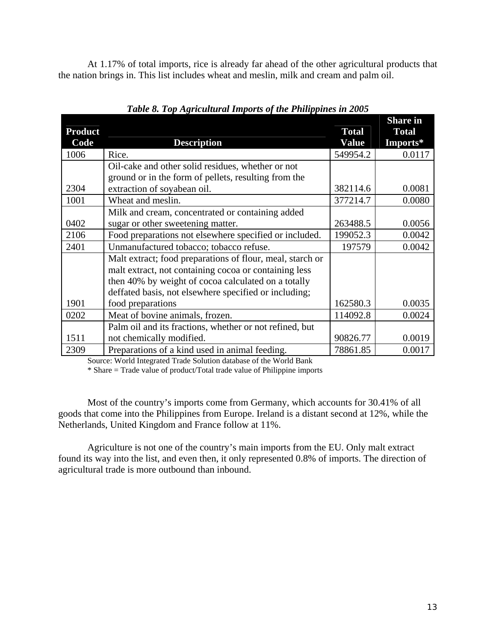At 1.17% of total imports, rice is already far ahead of the other agricultural products that the nation brings in. This list includes wheat and meslin, milk and cream and palm oil.

|                |                                                           |              | <b>Share in</b> |
|----------------|-----------------------------------------------------------|--------------|-----------------|
| <b>Product</b> |                                                           | <b>Total</b> | <b>Total</b>    |
| Code           | <b>Description</b>                                        | <b>Value</b> | Imports*        |
| 1006           | Rice.                                                     | 549954.2     | 0.0117          |
|                | Oil-cake and other solid residues, whether or not         |              |                 |
|                | ground or in the form of pellets, resulting from the      |              |                 |
| 2304           | extraction of soyabean oil.                               | 382114.6     | 0.0081          |
| 1001           | Wheat and meslin.                                         | 377214.7     | 0.0080          |
|                | Milk and cream, concentrated or containing added          |              |                 |
| 0402           | sugar or other sweetening matter.                         | 263488.5     | 0.0056          |
| 2106           | Food preparations not elsewhere specified or included.    | 199052.3     | 0.0042          |
| 2401           | Unmanufactured tobacco; tobacco refuse.                   | 197579       | 0.0042          |
|                | Malt extract; food preparations of flour, meal, starch or |              |                 |
|                | malt extract, not containing cocoa or containing less     |              |                 |
|                | then 40% by weight of cocoa calculated on a totally       |              |                 |
|                | deffated basis, not elsewhere specified or including;     |              |                 |
| 1901           | food preparations                                         | 162580.3     | 0.0035          |
| 0202           | Meat of bovine animals, frozen.                           | 114092.8     | 0.0024          |
|                | Palm oil and its fractions, whether or not refined, but   |              |                 |
| 1511           | not chemically modified.                                  | 90826.77     | 0.0019          |
| 2309           | Preparations of a kind used in animal feeding.            | 78861.85     | 0.0017          |

*Table 8. Top Agricultural Imports of the Philippines in 2005* 

Source: World Integrated Trade Solution database of the World Bank

\* Share = Trade value of product/Total trade value of Philippine imports

Most of the country's imports come from Germany, which accounts for 30.41% of all goods that come into the Philippines from Europe. Ireland is a distant second at 12%, while the Netherlands, United Kingdom and France follow at 11%.

Agriculture is not one of the country's main imports from the EU. Only malt extract found its way into the list, and even then, it only represented 0.8% of imports. The direction of agricultural trade is more outbound than inbound.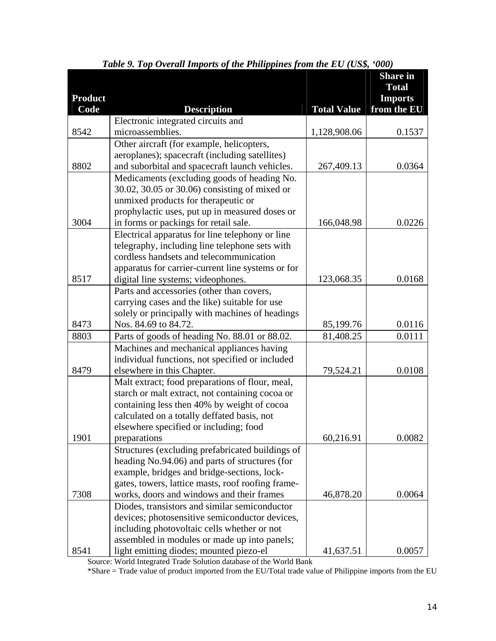|                |                                                                                                |                    | <b>Share in</b><br><b>Total</b> |
|----------------|------------------------------------------------------------------------------------------------|--------------------|---------------------------------|
| <b>Product</b> |                                                                                                |                    | <b>Imports</b>                  |
| Code           | <b>Description</b>                                                                             | <b>Total Value</b> | from the EU                     |
|                | Electronic integrated circuits and                                                             |                    |                                 |
| 8542           | microassemblies.                                                                               | 1,128,908.06       | 0.1537                          |
|                | Other aircraft (for example, helicopters,                                                      |                    |                                 |
|                | aeroplanes); spacecraft (including satellites)                                                 |                    |                                 |
| 8802           | and suborbital and spacecraft launch vehicles.                                                 | 267,409.13         | 0.0364                          |
|                | Medicaments (excluding goods of heading No.                                                    |                    |                                 |
|                | 30.02, 30.05 or 30.06) consisting of mixed or                                                  |                    |                                 |
|                | unmixed products for therapeutic or                                                            |                    |                                 |
|                | prophylactic uses, put up in measured doses or                                                 |                    |                                 |
| 3004           | in forms or packings for retail sale.                                                          | 166,048.98         | 0.0226                          |
|                | Electrical apparatus for line telephony or line                                                |                    |                                 |
|                | telegraphy, including line telephone sets with                                                 |                    |                                 |
|                | cordless handsets and telecommunication                                                        |                    |                                 |
|                | apparatus for carrier-current line systems or for                                              |                    |                                 |
| 8517           | digital line systems; videophones.                                                             | 123,068.35         | 0.0168                          |
|                | Parts and accessories (other than covers,                                                      |                    |                                 |
|                | carrying cases and the like) suitable for use                                                  |                    |                                 |
|                | solely or principally with machines of headings                                                |                    |                                 |
| 8473           | Nos. 84.69 to 84.72.                                                                           | 85,199.76          | 0.0116                          |
| 8803           | Parts of goods of heading No. 88.01 or 88.02.                                                  | 81,408.25          | 0.0111                          |
|                | Machines and mechanical appliances having                                                      |                    |                                 |
|                | individual functions, not specified or included                                                |                    |                                 |
| 8479           | elsewhere in this Chapter.                                                                     | 79,524.21          | 0.0108                          |
|                | Malt extract; food preparations of flour, meal,                                                |                    |                                 |
|                | starch or malt extract, not containing cocoa or<br>containing less then 40% by weight of cocoa |                    |                                 |
|                | calculated on a totally deffated basis, not                                                    |                    |                                 |
|                | elsewhere specified or including; food                                                         |                    |                                 |
| 1901           | preparations                                                                                   | 60,216.91          | 0.0082                          |
|                | Structures (excluding prefabricated buildings of                                               |                    |                                 |
|                | heading No.94.06) and parts of structures (for                                                 |                    |                                 |
|                | example, bridges and bridge-sections, lock-                                                    |                    |                                 |
|                | gates, towers, lattice masts, roof roofing frame-                                              |                    |                                 |
| 7308           | works, doors and windows and their frames                                                      | 46,878.20          | 0.0064                          |
|                | Diodes, transistors and similar semiconductor                                                  |                    |                                 |
|                | devices; photosensitive semiconductor devices,                                                 |                    |                                 |
|                | including photovoltaic cells whether or not                                                    |                    |                                 |
|                | assembled in modules or made up into panels;                                                   |                    |                                 |
| 8541           | light emitting diodes; mounted piezo-el                                                        | 41,637.51          | 0.0057                          |

|  |  | Table 9. Top Overall Imports of the Philippines from the EU (US\$, '000) |  |  |  |
|--|--|--------------------------------------------------------------------------|--|--|--|
|  |  |                                                                          |  |  |  |

Source: World Integrated Trade Solution database of the World Bank

\*Share = Trade value of product imported from the EU/Total trade value of Philippine imports from the EU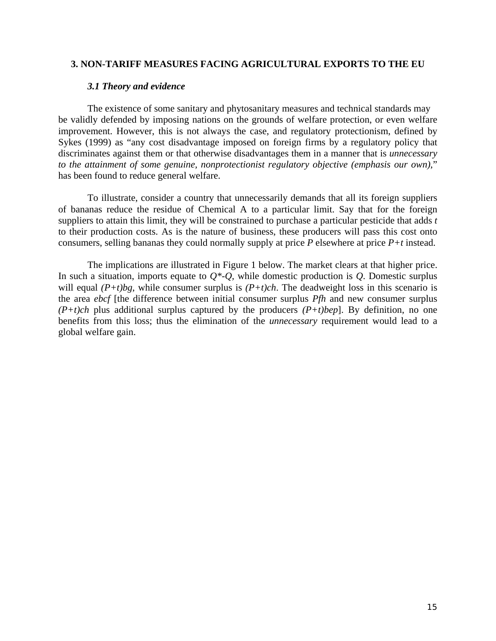#### **3. NON-TARIFF MEASURES FACING AGRICULTURAL EXPORTS TO THE EU**

#### *3.1 Theory and evidence*

The existence of some sanitary and phytosanitary measures and technical standards may be validly defended by imposing nations on the grounds of welfare protection, or even welfare improvement. However, this is not always the case, and regulatory protectionism, defined by Sykes (1999) as "any cost disadvantage imposed on foreign firms by a regulatory policy that discriminates against them or that otherwise disadvantages them in a manner that is *unnecessary to the attainment of some genuine, nonprotectionist regulatory objective (emphasis our own)*," has been found to reduce general welfare.

To illustrate, consider a country that unnecessarily demands that all its foreign suppliers of bananas reduce the residue of Chemical A to a particular limit. Say that for the foreign suppliers to attain this limit, they will be constrained to purchase a particular pesticide that adds *t* to their production costs. As is the nature of business, these producers will pass this cost onto consumers, selling bananas they could normally supply at price *P* elsewhere at price *P+t* instead.

The implications are illustrated in Figure 1 below. The market clears at that higher price. In such a situation, imports equate to  $Q^*$ - $Q$ , while domestic production is  $Q$ . Domestic surplus will equal *(P+t)bg*, while consumer surplus is *(P+t)ch*. The deadweight loss in this scenario is the area *ebcf* [the difference between initial consumer surplus *Pfh* and new consumer surplus *(P+t)ch* plus additional surplus captured by the producers *(P+t)bep*]. By definition, no one benefits from this loss; thus the elimination of the *unnecessary* requirement would lead to a global welfare gain.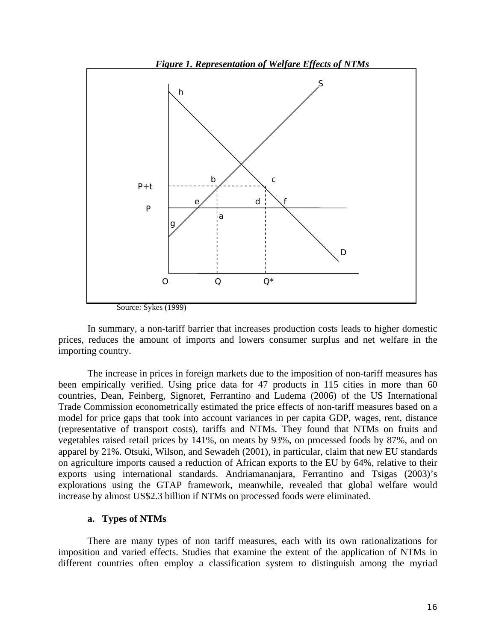

In summary, a non-tariff barrier that increases production costs leads to higher domestic prices, reduces the amount of imports and lowers consumer surplus and net welfare in the importing country.

The increase in prices in foreign markets due to the imposition of non-tariff measures has been empirically verified. Using price data for 47 products in 115 cities in more than 60 countries, Dean, Feinberg, Signoret, Ferrantino and Ludema (2006) of the US International Trade Commission econometrically estimated the price effects of non-tariff measures based on a model for price gaps that took into account variances in per capita GDP, wages, rent, distance (representative of transport costs), tariffs and NTMs. They found that NTMs on fruits and vegetables raised retail prices by 141%, on meats by 93%, on processed foods by 87%, and on apparel by 21%. Otsuki, Wilson, and Sewadeh (2001), in particular, claim that new EU standards on agriculture imports caused a reduction of African exports to the EU by 64%, relative to their exports using international standards. Andriamananjara, Ferrantino and Tsigas (2003)'s explorations using the GTAP framework, meanwhile, revealed that global welfare would increase by almost US\$2.3 billion if NTMs on processed foods were eliminated.

#### **a. Types of NTMs**

There are many types of non tariff measures, each with its own rationalizations for imposition and varied effects. Studies that examine the extent of the application of NTMs in different countries often employ a classification system to distinguish among the myriad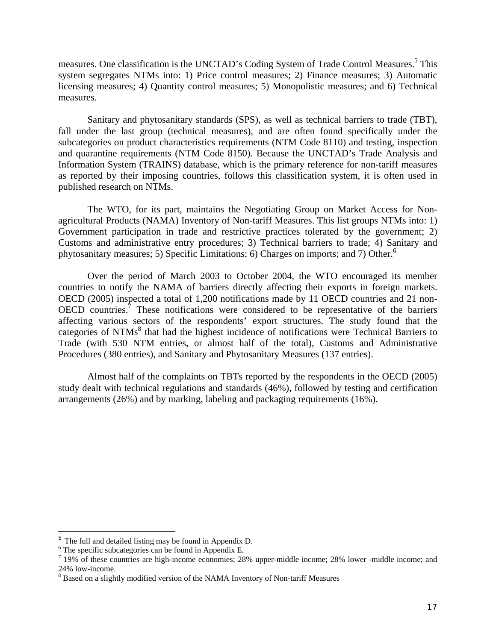measures. One classification is the UNCTAD's Coding System of Trade Control Measures.<sup>5</sup> This system segregates NTMs into: 1) Price control measures; 2) Finance measures; 3) Automatic licensing measures; 4) Quantity control measures; 5) Monopolistic measures; and 6) Technical measures.

Sanitary and phytosanitary standards (SPS), as well as technical barriers to trade (TBT), fall under the last group (technical measures), and are often found specifically under the subcategories on product characteristics requirements (NTM Code 8110) and testing, inspection and quarantine requirements (NTM Code 8150). Because the UNCTAD's Trade Analysis and Information System (TRAINS) database, which is the primary reference for non-tariff measures as reported by their imposing countries, follows this classification system, it is often used in published research on NTMs.

The WTO, for its part, maintains the Negotiating Group on Market Access for Nonagricultural Products (NAMA) Inventory of Non-tariff Measures. This list groups NTMs into: 1) Government participation in trade and restrictive practices tolerated by the government; 2) Customs and administrative entry procedures; 3) Technical barriers to trade; 4) Sanitary and phytosanitary measures; 5) Specific Limitations; 6) Charges on imports; and 7) Other.<sup>6</sup>

Over the period of March 2003 to October 2004, the WTO encouraged its member countries to notify the NAMA of barriers directly affecting their exports in foreign markets. OECD (2005) inspected a total of 1,200 notifications made by 11 OECD countries and 21 non-OECD countries.<sup>7</sup> These notifications were considered to be representative of the barriers affecting various sectors of the respondents' export structures. The study found that the categories of NTMs<sup>8</sup> that had the highest incidence of notifications were Technical Barriers to Trade (with 530 NTM entries, or almost half of the total), Customs and Administrative Procedures (380 entries), and Sanitary and Phytosanitary Measures (137 entries).

Almost half of the complaints on TBTs reported by the respondents in the OECD (2005) study dealt with technical regulations and standards (46%), followed by testing and certification arrangements (26%) and by marking, labeling and packaging requirements (16%).

 $5$  The full and detailed listing may be found in Appendix D.

 $6$  The specific subcategories can be found in Appendix E.

<sup>&</sup>lt;sup>7</sup> 19% of these countries are high-income economies; 28% upper-middle income; 28% lower -middle income; and 24% low-income.

<sup>&</sup>lt;sup>8</sup> Based on a slightly modified version of the NAMA Inventory of Non-tariff Measures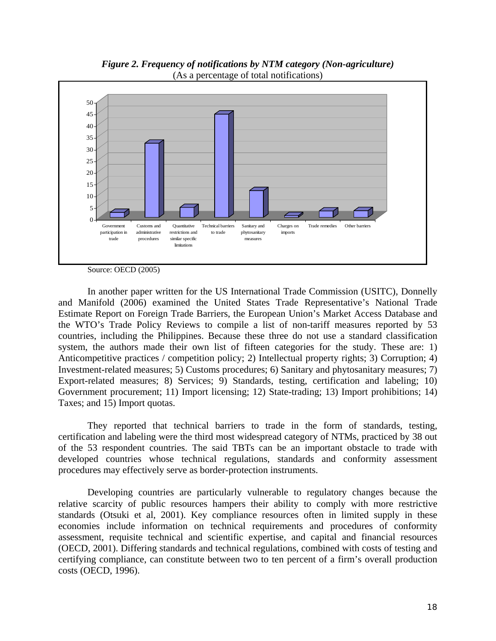

*Figure 2. Frequency of notifications by NTM category (Non-agriculture)*  (As a percentage of total notifications)

Source: OECD (2005)

In another paper written for the US International Trade Commission (USITC), Donnelly and Manifold (2006) examined the United States Trade Representative's National Trade Estimate Report on Foreign Trade Barriers, the European Union's Market Access Database and the WTO's Trade Policy Reviews to compile a list of non-tariff measures reported by 53 countries, including the Philippines. Because these three do not use a standard classification system, the authors made their own list of fifteen categories for the study. These are: 1) Anticompetitive practices / competition policy; 2) Intellectual property rights; 3) Corruption; 4) Investment-related measures; 5) Customs procedures; 6) Sanitary and phytosanitary measures; 7) Export-related measures; 8) Services; 9) Standards, testing, certification and labeling; 10) Government procurement; 11) Import licensing; 12) State-trading; 13) Import prohibitions; 14) Taxes; and 15) Import quotas.

 They reported that technical barriers to trade in the form of standards, testing, certification and labeling were the third most widespread category of NTMs, practiced by 38 out of the 53 respondent countries. The said TBTs can be an important obstacle to trade with developed countries whose technical regulations, standards and conformity assessment procedures may effectively serve as border-protection instruments.

Developing countries are particularly vulnerable to regulatory changes because the relative scarcity of public resources hampers their ability to comply with more restrictive standards (Otsuki et al, 2001). Key compliance resources often in limited supply in these economies include information on technical requirements and procedures of conformity assessment, requisite technical and scientific expertise, and capital and financial resources (OECD, 2001). Differing standards and technical regulations, combined with costs of testing and certifying compliance, can constitute between two to ten percent of a firm's overall production costs (OECD, 1996).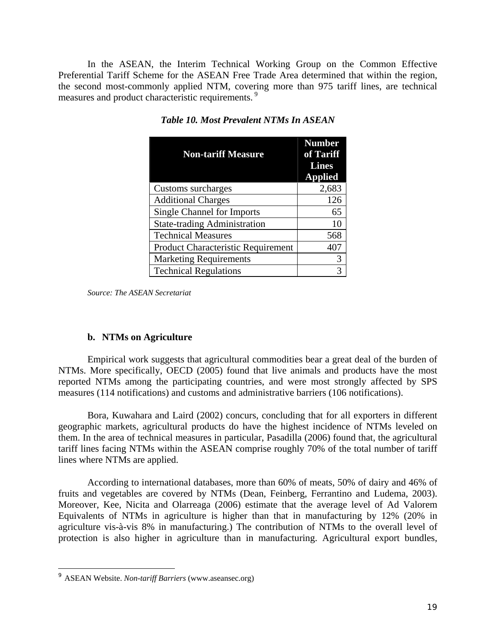In the ASEAN, the Interim Technical Working Group on the Common Effective Preferential Tariff Scheme for the ASEAN Free Trade Area determined that within the region, the second most-commonly applied NTM, covering more than 975 tariff lines, are technical measures and product characteristic requirements.<sup>9</sup>

| <b>Non-tariff Measure</b>           | <b>Number</b><br>of Tariff<br><b>Lines</b><br><b>Applied</b> |
|-------------------------------------|--------------------------------------------------------------|
| Customs surcharges                  | 2,683                                                        |
| <b>Additional Charges</b>           | 126                                                          |
| <b>Single Channel for Imports</b>   | 65                                                           |
| <b>State-trading Administration</b> | 10                                                           |
| <b>Technical Measures</b>           | 568                                                          |
| Product Characteristic Requirement  | 407                                                          |
| <b>Marketing Requirements</b>       | 3                                                            |
| <b>Technical Regulations</b>        | 3                                                            |

*Table 10. Most Prevalent NTMs In ASEAN* 

*Source: The ASEAN Secretariat*

#### **b. NTMs on Agriculture**

Empirical work suggests that agricultural commodities bear a great deal of the burden of NTMs. More specifically, OECD (2005) found that live animals and products have the most reported NTMs among the participating countries, and were most strongly affected by SPS measures (114 notifications) and customs and administrative barriers (106 notifications).

Bora, Kuwahara and Laird (2002) concurs, concluding that for all exporters in different geographic markets, agricultural products do have the highest incidence of NTMs leveled on them. In the area of technical measures in particular, Pasadilla (2006) found that, the agricultural tariff lines facing NTMs within the ASEAN comprise roughly 70% of the total number of tariff lines where NTMs are applied.

According to international databases, more than 60% of meats, 50% of dairy and 46% of fruits and vegetables are covered by NTMs (Dean, Feinberg, Ferrantino and Ludema, 2003). Moreover, Kee, Nicita and Olarreaga (2006) estimate that the average level of Ad Valorem Equivalents of NTMs in agriculture is higher than that in manufacturing by 12% (20% in agriculture vis-à-vis 8% in manufacturing.) The contribution of NTMs to the overall level of protection is also higher in agriculture than in manufacturing. Agricultural export bundles,

<sup>9</sup> ASEAN Website. *Non-tariff Barriers* (www.aseansec.org)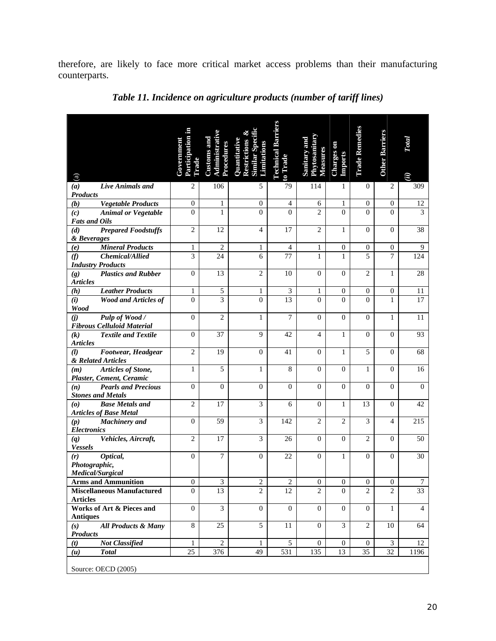therefore, are likely to face more critical market access problems than their manufacturing counterparts.

| $\binom{a}{b}$                                                                             | Participation in<br>Government<br>Trade | Administrativ<br><b>Customs and</b><br>Procedures | Restrictions<br>Quantitativ<br><b>Similation</b> | <b>Technical Barriers</b><br>to Trade | Phytosanitar<br>Sanitary and<br>Measures | Charges on<br><b>Imports</b> | <b>Trade Remedies</b> | <b>Other Barriers</b> | Total<br>$\widehat{u}$ |
|--------------------------------------------------------------------------------------------|-----------------------------------------|---------------------------------------------------|--------------------------------------------------|---------------------------------------|------------------------------------------|------------------------------|-----------------------|-----------------------|------------------------|
| Live Animals and<br>(a)                                                                    | $\mathbf{2}$                            | 106                                               | 5                                                | 79                                    | 114                                      | 1                            | $\theta$              | $\overline{2}$        | 309                    |
| <b>Products</b><br><b>Vegetable Products</b><br>(b)                                        | $\boldsymbol{0}$                        | 1                                                 | $\mathbf{0}$                                     | $\overline{4}$                        | 6                                        | 1                            | $\mathbf{0}$          | $\mathbf{0}$          | 12                     |
| <b>Animal or Vegetable</b><br>(c)<br><b>Fats and Oils</b>                                  | $\overline{0}$                          | $\mathbf{1}$                                      | $\overline{0}$                                   | $\theta$                              | $\overline{2}$                           | $\theta$                     | $\theta$              | $\Omega$              | 3                      |
| <b>Prepared Foodstuffs</b><br>(d)<br>& Beverages                                           | $\mathbf{2}$                            | 12                                                | $\overline{4}$                                   | 17                                    | $\mathfrak{2}$                           | 1                            | $\overline{0}$        | $\mathbf{0}$          | 38                     |
| <b>Mineral Products</b><br>(e)                                                             | $\mathbf{1}$                            | $\overline{2}$                                    | $\mathbf{1}$                                     | $\overline{4}$                        | $\mathbf{1}$                             | $\boldsymbol{0}$             | $\boldsymbol{0}$      | $\mathbf{0}$          | 9                      |
| (f)<br>Chemical/Allied<br><b>Industry Products</b>                                         | $\overline{3}$                          | 24                                                | 6                                                | 77                                    | $\mathbf{1}$                             | $\mathbf{1}$                 | 5                     | $\overline{7}$        | 124                    |
| <b>Plastics and Rubber</b><br>(g)<br><b>Articles</b>                                       | $\mathbf{0}$                            | 13                                                | $\mathbf{2}$                                     | 10                                    | $\mathbf{0}$                             | $\mathbf{0}$                 | $\overline{c}$        | 1                     | 28                     |
| <b>Leather Products</b><br>(h)                                                             | $\mathbf{1}$                            | $\sqrt{5}$                                        | $\mathbf{1}$                                     | 3                                     | $\mathbf{1}$                             | $\boldsymbol{0}$             | $\boldsymbol{0}$      | $\boldsymbol{0}$      | 11                     |
| (i)<br><b>Wood and Articles of</b><br>Wood                                                 | $\boldsymbol{0}$                        | $\overline{3}$                                    | $\boldsymbol{0}$                                 | 13                                    | $\overline{0}$                           | $\theta$                     | $\theta$              | $\mathbf{1}$          | 17                     |
| Pulp of Wood /<br>(j)<br><b>Fibrous Celluloid Material</b>                                 | $\overline{0}$                          | $\overline{c}$                                    | $\mathbf{1}$                                     | $\overline{7}$                        | $\mathbf{0}$                             | $\Omega$                     | $\overline{0}$        | 1                     | 11                     |
| <b>Textile and Textile</b><br>(k)<br><b>Articles</b>                                       | $\overline{0}$                          | 37                                                | 9                                                | 42                                    | $\overline{4}$                           | $\mathbf{1}$                 | $\mathbf{0}$          | $\Omega$              | 93                     |
| Footwear, Headgear<br>(l)<br>& Related Articles                                            | $\mathfrak{2}$                          | 19                                                | $\mathbf{0}$                                     | 41                                    | $\mathbf{0}$                             | 1                            | 5                     | $\overline{0}$        | 68                     |
| Articles of Stone,<br>(m)<br>Plaster, Cement, Ceramic                                      | $\mathbf{1}$                            | $\overline{5}$                                    | $\mathbf{1}$                                     | 8                                     | $\mathbf{0}$                             | $\mathbf{0}$                 | $\mathbf{1}$          | $\mathbf{0}$          | 16                     |
| <b>Pearls and Precious</b><br>(n)<br><b>Stones and Metals</b>                              | $\boldsymbol{0}$                        | $\boldsymbol{0}$                                  | $\boldsymbol{0}$                                 | $\boldsymbol{0}$                      | $\boldsymbol{0}$                         | $\Omega$                     | $\Omega$              | $\Omega$              | $\Omega$               |
| <b>Base Metals and</b><br>$\boldsymbol{\left( o \right)}$<br><b>Articles of Base Metal</b> | $\overline{2}$                          | 17                                                | $\overline{\mathbf{3}}$                          | 6                                     | $\mathbf{0}$                             | $\mathbf{1}$                 | 13                    | $\mathbf{0}$          | 42                     |
| <b>Machinery</b> and<br>(p)<br><b>Electronics</b>                                          | $\overline{0}$                          | 59                                                | $\overline{3}$                                   | 142                                   | $\overline{c}$                           | $\overline{2}$               | 3                     | $\overline{4}$        | 215                    |
| Vehicles, Aircraft,<br>(q)<br><b>Vessels</b>                                               | $\overline{2}$                          | 17                                                | 3                                                | 26                                    | $\mathbf{0}$                             | $\Omega$                     | $\overline{c}$        | $\Omega$              | 50                     |
| Optical,<br>(r)<br>Photographic,<br>Medical/Surgical                                       | $\mathbf{0}$                            | $\tau$                                            | $\boldsymbol{0}$                                 | 22                                    | $\boldsymbol{0}$                         | $\mathbf{1}$                 | $\mathbf{0}$          | $\theta$              | 30                     |
| <b>Arms and Ammunition</b>                                                                 | 0                                       | 3                                                 | 2                                                | 2                                     | $\theta$                                 | $\sigma$                     | $\theta$              | $\theta$              | 7                      |
| <b>Miscellaneous Manufactured</b><br><b>Articles</b>                                       | $\Omega$                                | 13                                                | $\overline{c}$                                   | 12                                    | $\overline{c}$                           | $\Omega$                     | $\overline{2}$        | $\overline{2}$        | 33                     |
| Works of Art & Pieces and                                                                  | $\boldsymbol{0}$                        | $\overline{3}$                                    | $\boldsymbol{0}$                                 | $\overline{0}$                        | $\overline{0}$                           | $\mathbf{0}$                 | $\mathbf{0}$          | $\mathbf{1}$          | $\overline{4}$         |
| <b>Antiques</b><br><b>All Products &amp; Many</b><br>(s)<br><b>Products</b>                | 8                                       | 25                                                | 5                                                | 11                                    | $\mathbf{0}$                             | 3                            | 2                     | 10                    | 64                     |
| <b>Not Classified</b><br>(t)                                                               | $\mathbf{1}$                            | $\overline{2}$                                    | $\mathbf{1}$                                     | $\overline{5}$                        | $\overline{0}$                           | $\boldsymbol{0}$             | $\mathbf{0}$          | 3                     | 12                     |
| <b>Total</b><br>(u)                                                                        | 25                                      | 376                                               | 49                                               | 531                                   | 135                                      | 13                           | 35                    | 32                    | 1196                   |
| Source: OECD (2005)                                                                        |                                         |                                                   |                                                  |                                       |                                          |                              |                       |                       |                        |

*Table 11. Incidence on agriculture products (number of tariff lines)*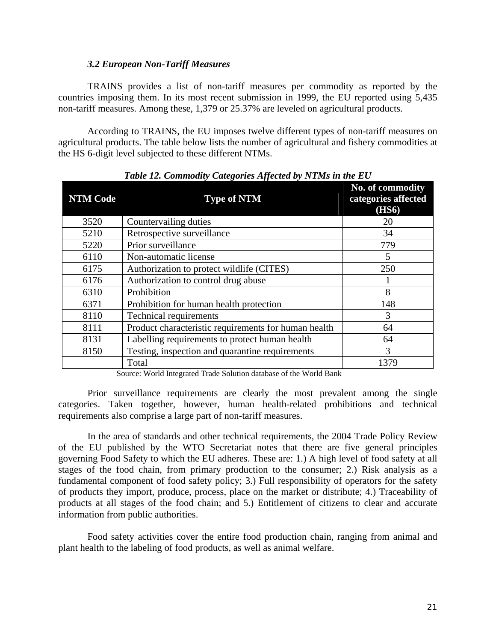#### *3.2 European Non-Tariff Measures*

TRAINS provides a list of non-tariff measures per commodity as reported by the countries imposing them. In its most recent submission in 1999, the EU reported using 5,435 non-tariff measures. Among these, 1,379 or 25.37% are leveled on agricultural products.

According to TRAINS, the EU imposes twelve different types of non-tariff measures on agricultural products. The table below lists the number of agricultural and fishery commodities at the HS 6-digit level subjected to these different NTMs.

| <b>NTM Code</b> | $\ldots$ $\ldots$ $\ldots$ $\ldots$ $\ldots$ $\ldots$ $\ldots$<br><b>Type of NTM</b> | No. of commodity<br>categories affected<br><b>(HS6)</b> |
|-----------------|--------------------------------------------------------------------------------------|---------------------------------------------------------|
| 3520            | Countervailing duties                                                                | 20                                                      |
| 5210            | Retrospective surveillance                                                           | 34                                                      |
| 5220            | Prior surveillance                                                                   | 779                                                     |
| 6110            | Non-automatic license                                                                | 5                                                       |
| 6175            | Authorization to protect wildlife (CITES)                                            | 250                                                     |
| 6176            | Authorization to control drug abuse                                                  |                                                         |
| 6310            | Prohibition                                                                          | 8                                                       |
| 6371            | Prohibition for human health protection                                              | 148                                                     |
| 8110            | <b>Technical requirements</b>                                                        | 3                                                       |
| 8111            | Product characteristic requirements for human health                                 | 64                                                      |
| 8131            | Labelling requirements to protect human health                                       | 64                                                      |
| 8150            | Testing, inspection and quarantine requirements                                      | 3                                                       |
|                 | Total                                                                                | 1379                                                    |

*Table 12. Commodity Categories Affected by NTMs in the EU* 

Source: World Integrated Trade Solution database of the World Bank

Prior surveillance requirements are clearly the most prevalent among the single categories. Taken together, however, human health-related prohibitions and technical requirements also comprise a large part of non-tariff measures.

In the area of standards and other technical requirements, the 2004 Trade Policy Review of the EU published by the WTO Secretariat notes that there are five general principles governing Food Safety to which the EU adheres. These are: 1.) A high level of food safety at all stages of the food chain, from primary production to the consumer; 2.) Risk analysis as a fundamental component of food safety policy; 3.) Full responsibility of operators for the safety of products they import, produce, process, place on the market or distribute; 4.) Traceability of products at all stages of the food chain; and 5.) Entitlement of citizens to clear and accurate information from public authorities.

Food safety activities cover the entire food production chain, ranging from animal and plant health to the labeling of food products, as well as animal welfare.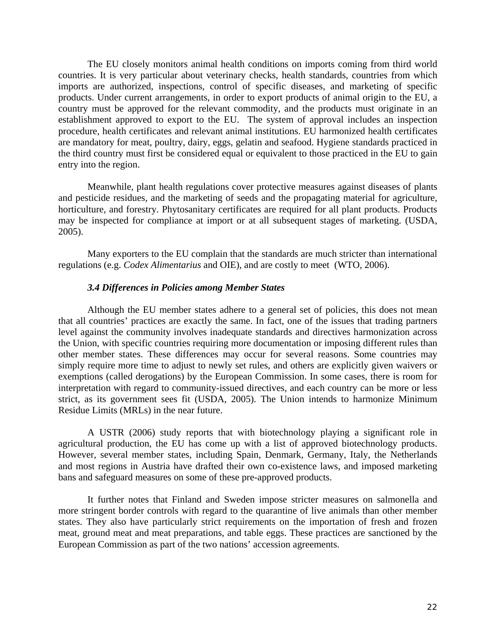The EU closely monitors animal health conditions on imports coming from third world countries. It is very particular about veterinary checks, health standards, countries from which imports are authorized, inspections, control of specific diseases, and marketing of specific products. Under current arrangements, in order to export products of animal origin to the EU, a country must be approved for the relevant commodity, and the products must originate in an establishment approved to export to the EU. The system of approval includes an inspection procedure, health certificates and relevant animal institutions. EU harmonized health certificates are mandatory for meat, poultry, dairy, eggs, gelatin and seafood. Hygiene standards practiced in the third country must first be considered equal or equivalent to those practiced in the EU to gain entry into the region.

Meanwhile, plant health regulations cover protective measures against diseases of plants and pesticide residues, and the marketing of seeds and the propagating material for agriculture, horticulture, and forestry. Phytosanitary certificates are required for all plant products. Products may be inspected for compliance at import or at all subsequent stages of marketing. (USDA, 2005).

Many exporters to the EU complain that the standards are much stricter than international regulations (e.g. *Codex Alimentarius* and OIE), and are costly to meet (WTO, 2006).

#### *3.4 Differences in Policies among Member States*

Although the EU member states adhere to a general set of policies, this does not mean that all countries' practices are exactly the same. In fact, one of the issues that trading partners level against the community involves inadequate standards and directives harmonization across the Union, with specific countries requiring more documentation or imposing different rules than other member states. These differences may occur for several reasons. Some countries may simply require more time to adjust to newly set rules, and others are explicitly given waivers or exemptions (called derogations) by the European Commission. In some cases, there is room for interpretation with regard to community-issued directives, and each country can be more or less strict, as its government sees fit (USDA, 2005). The Union intends to harmonize Minimum Residue Limits (MRLs) in the near future.

 A USTR (2006) study reports that with biotechnology playing a significant role in agricultural production, the EU has come up with a list of approved biotechnology products. However, several member states, including Spain, Denmark, Germany, Italy, the Netherlands and most regions in Austria have drafted their own co-existence laws, and imposed marketing bans and safeguard measures on some of these pre-approved products.

 It further notes that Finland and Sweden impose stricter measures on salmonella and more stringent border controls with regard to the quarantine of live animals than other member states. They also have particularly strict requirements on the importation of fresh and frozen meat, ground meat and meat preparations, and table eggs. These practices are sanctioned by the European Commission as part of the two nations' accession agreements.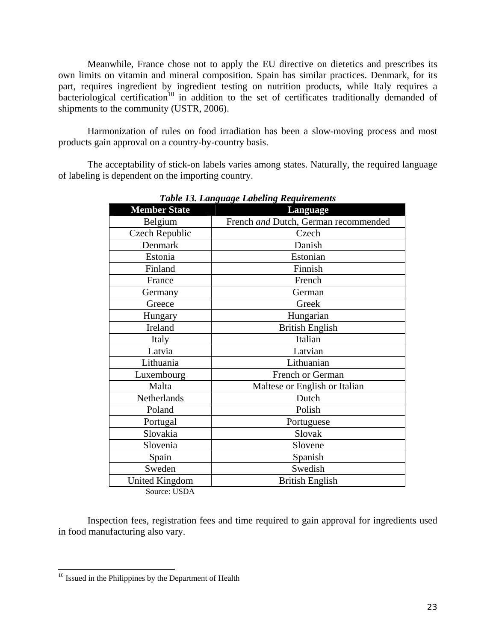Meanwhile, France chose not to apply the EU directive on dietetics and prescribes its own limits on vitamin and mineral composition. Spain has similar practices. Denmark, for its part, requires ingredient by ingredient testing on nutrition products, while Italy requires a bacteriological certification<sup>10</sup> in addition to the set of certificates traditionally demanded of shipments to the community (USTR, 2006).

Harmonization of rules on food irradiation has been a slow-moving process and most products gain approval on a country-by-country basis.

The acceptability of stick-on labels varies among states. Naturally, the required language of labeling is dependent on the importing country.

|                       | o<br>o                               |
|-----------------------|--------------------------------------|
| <b>Member State</b>   | <b>Language</b>                      |
| Belgium               | French and Dutch, German recommended |
| <b>Czech Republic</b> | Czech                                |
| Denmark               | Danish                               |
| Estonia               | Estonian                             |
| Finland               | Finnish                              |
| France                | French                               |
| Germany               | German                               |
| Greece                | Greek                                |
| Hungary               | Hungarian                            |
| Ireland               | <b>British English</b>               |
| Italy                 | Italian                              |
| Latvia                | Latvian                              |
| Lithuania             | Lithuanian                           |
| Luxembourg            | French or German                     |
| Malta                 | Maltese or English or Italian        |
| Netherlands           | Dutch                                |
| Poland                | Polish                               |
| Portugal              | Portuguese                           |
| Slovakia              | Slovak                               |
| Slovenia              | Slovene                              |
| Spain                 | Spanish                              |
| Sweden                | Swedish                              |
| <b>United Kingdom</b> | <b>British English</b>               |
| 0.110R                |                                      |

*Table 13. Language Labeling Requirements* 

Source: USDA

Inspection fees, registration fees and time required to gain approval for ingredients used in food manufacturing also vary.

<sup>&</sup>lt;sup>10</sup> Issued in the Philippines by the Department of Health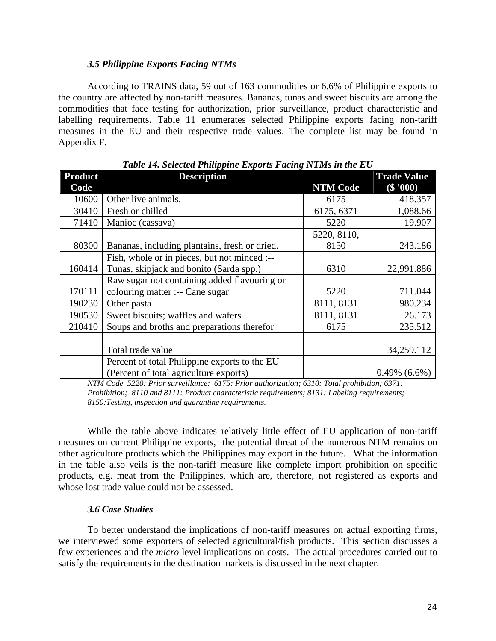#### *3.5 Philippine Exports Facing NTMs*

 According to TRAINS data, 59 out of 163 commodities or 6.6% of Philippine exports to the country are affected by non-tariff measures. Bananas, tunas and sweet biscuits are among the commodities that face testing for authorization, prior surveillance, product characteristic and labelling requirements. Table 11 enumerates selected Philippine exports facing non-tariff measures in the EU and their respective trade values. The complete list may be found in Appendix F.

| <b>Product</b> | $\cdots$ $\cdots$ $\cdots$ $\cdots$ $\cdots$ $\cdots$<br><b>Description</b> |                 | <b>Trade Value</b>          |
|----------------|-----------------------------------------------------------------------------|-----------------|-----------------------------|
| Code           |                                                                             | <b>NTM Code</b> | $($ \$ '00 $\overline{0}$ ) |
| 10600          | Other live animals.                                                         | 6175            | 418.357                     |
| 30410          | Fresh or chilled                                                            | 6175, 6371      | 1,088.66                    |
| 71410          | Manioc (cassava)                                                            | 5220            | 19.907                      |
|                |                                                                             | 5220, 8110,     |                             |
| 80300          | Bananas, including plantains, fresh or dried.                               | 8150            | 243.186                     |
|                | Fish, whole or in pieces, but not minced :--                                |                 |                             |
| 160414         | Tunas, skipjack and bonito (Sarda spp.)                                     | 6310            | 22,991.886                  |
|                | Raw sugar not containing added flavouring or                                |                 |                             |
| 170111         | colouring matter :-- Cane sugar                                             | 5220            | 711.044                     |
| 190230         | Other pasta                                                                 | 8111, 8131      | 980.234                     |
| 190530         | Sweet biscuits; waffles and wafers                                          | 8111, 8131      | 26.173                      |
| 210410         | Soups and broths and preparations therefor                                  | 6175            | 235.512                     |
|                |                                                                             |                 |                             |
|                | Total trade value                                                           |                 | 34,259.112                  |
|                | Percent of total Philippine exports to the EU                               |                 |                             |
|                | (Percent of total agriculture exports)                                      |                 | $0.49\%$ $(6.6\%)$          |

*Table 14. Selected Philippine Exports Facing NTMs in the EU* 

*NTM Code 5220: Prior surveillance: 6175: Prior authorization; 6310: Total prohibition; 6371: Prohibition; 8110 and 8111: Product characteristic requirements; 8131: Labeling requirements; 8150:Testing, inspection and quarantine requirements.* 

While the table above indicates relatively little effect of EU application of non-tariff measures on current Philippine exports, the potential threat of the numerous NTM remains on other agriculture products which the Philippines may export in the future. What the information in the table also veils is the non-tariff measure like complete import prohibition on specific products, e.g. meat from the Philippines, which are, therefore, not registered as exports and whose lost trade value could not be assessed.

#### *3.6 Case Studies*

To better understand the implications of non-tariff measures on actual exporting firms, we interviewed some exporters of selected agricultural/fish products. This section discusses a few experiences and the *micro* level implications on costs. The actual procedures carried out to satisfy the requirements in the destination markets is discussed in the next chapter.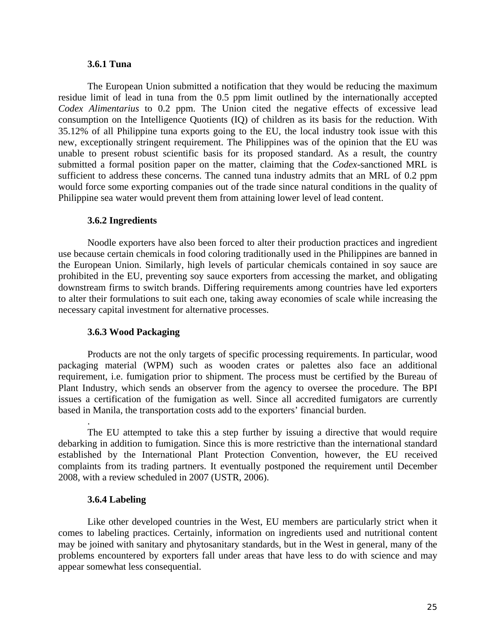#### **3.6.1 Tuna**

The European Union submitted a notification that they would be reducing the maximum residue limit of lead in tuna from the 0.5 ppm limit outlined by the internationally accepted *Codex Alimentarius* to 0.2 ppm. The Union cited the negative effects of excessive lead consumption on the Intelligence Quotients (IQ) of children as its basis for the reduction. With 35.12% of all Philippine tuna exports going to the EU, the local industry took issue with this new, exceptionally stringent requirement. The Philippines was of the opinion that the EU was unable to present robust scientific basis for its proposed standard. As a result, the country submitted a formal position paper on the matter, claiming that the *Codex*-sanctioned MRL is sufficient to address these concerns. The canned tuna industry admits that an MRL of 0.2 ppm would force some exporting companies out of the trade since natural conditions in the quality of Philippine sea water would prevent them from attaining lower level of lead content.

#### **3.6.2 Ingredients**

Noodle exporters have also been forced to alter their production practices and ingredient use because certain chemicals in food coloring traditionally used in the Philippines are banned in the European Union. Similarly, high levels of particular chemicals contained in soy sauce are prohibited in the EU, preventing soy sauce exporters from accessing the market, and obligating downstream firms to switch brands. Differing requirements among countries have led exporters to alter their formulations to suit each one, taking away economies of scale while increasing the necessary capital investment for alternative processes.

#### **3.6.3 Wood Packaging**

 Products are not the only targets of specific processing requirements. In particular, wood packaging material (WPM) such as wooden crates or palettes also face an additional requirement, i.e. fumigation prior to shipment. The process must be certified by the Bureau of Plant Industry, which sends an observer from the agency to oversee the procedure. The BPI issues a certification of the fumigation as well. Since all accredited fumigators are currently based in Manila, the transportation costs add to the exporters' financial burden.

 The EU attempted to take this a step further by issuing a directive that would require debarking in addition to fumigation. Since this is more restrictive than the international standard established by the International Plant Protection Convention, however, the EU received complaints from its trading partners. It eventually postponed the requirement until December 2008, with a review scheduled in 2007 (USTR, 2006).

#### **3.6.4 Labeling**

.

Like other developed countries in the West, EU members are particularly strict when it comes to labeling practices. Certainly, information on ingredients used and nutritional content may be joined with sanitary and phytosanitary standards, but in the West in general, many of the problems encountered by exporters fall under areas that have less to do with science and may appear somewhat less consequential.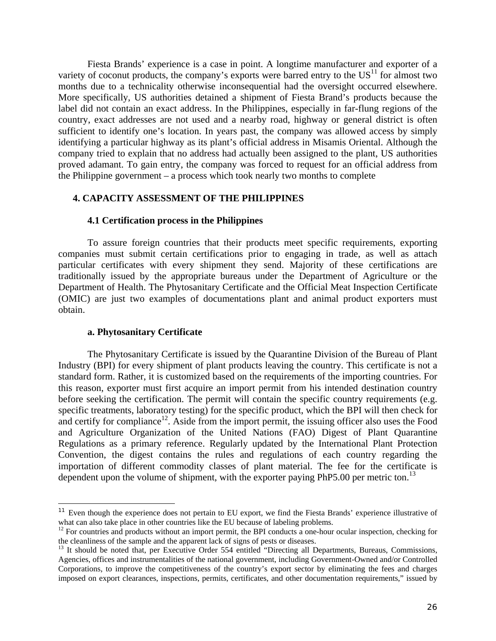Fiesta Brands' experience is a case in point. A longtime manufacturer and exporter of a variety of coconut products, the company's exports were barred entry to the  $US<sup>11</sup>$  for almost two months due to a technicality otherwise inconsequential had the oversight occurred elsewhere. More specifically, US authorities detained a shipment of Fiesta Brand's products because the label did not contain an exact address. In the Philippines, especially in far-flung regions of the country, exact addresses are not used and a nearby road, highway or general district is often sufficient to identify one's location. In years past, the company was allowed access by simply identifying a particular highway as its plant's official address in Misamis Oriental. Although the company tried to explain that no address had actually been assigned to the plant, US authorities proved adamant. To gain entry, the company was forced to request for an official address from the Philippine government – a process which took nearly two months to complete

#### **4. CAPACITY ASSESSMENT OF THE PHILIPPINES**

#### **4.1 Certification process in the Philippines**

To assure foreign countries that their products meet specific requirements, exporting companies must submit certain certifications prior to engaging in trade, as well as attach particular certificates with every shipment they send. Majority of these certifications are traditionally issued by the appropriate bureaus under the Department of Agriculture or the Department of Health. The Phytosanitary Certificate and the Official Meat Inspection Certificate (OMIC) are just two examples of documentations plant and animal product exporters must obtain.

#### **a. Phytosanitary Certificate**

1

 The Phytosanitary Certificate is issued by the Quarantine Division of the Bureau of Plant Industry (BPI) for every shipment of plant products leaving the country. This certificate is not a standard form. Rather, it is customized based on the requirements of the importing countries. For this reason, exporter must first acquire an import permit from his intended destination country before seeking the certification. The permit will contain the specific country requirements (e.g. specific treatments, laboratory testing) for the specific product, which the BPI will then check for and certify for compliance<sup>12</sup>. Aside from the import permit, the issuing officer also uses the Food and Agriculture Organization of the United Nations (FAO) Digest of Plant Quarantine Regulations as a primary reference. Regularly updated by the International Plant Protection Convention, the digest contains the rules and regulations of each country regarding the importation of different commodity classes of plant material. The fee for the certificate is dependent upon the volume of shipment, with the exporter paying PhP5.00 per metric ton.<sup>13</sup>

<sup>&</sup>lt;sup>11</sup> Even though the experience does not pertain to EU export, we find the Fiesta Brands' experience illustrative of what can also take place in other countries like the EU because of labeling problems.

 $12$  For countries and products without an import permit, the BPI conducts a one-hour ocular inspection, checking for the cleanliness of the sample and the apparent lack of signs of pests or diseases.<br><sup>13</sup> It should be noted that, per Executive Order 554 entitled "Directing all Departments, Bureaus, Commissions,

Agencies, offices and instrumentalities of the national government, including Government-Owned and/or Controlled Corporations, to improve the competitiveness of the country's export sector by eliminating the fees and charges imposed on export clearances, inspections, permits, certificates, and other documentation requirements," issued by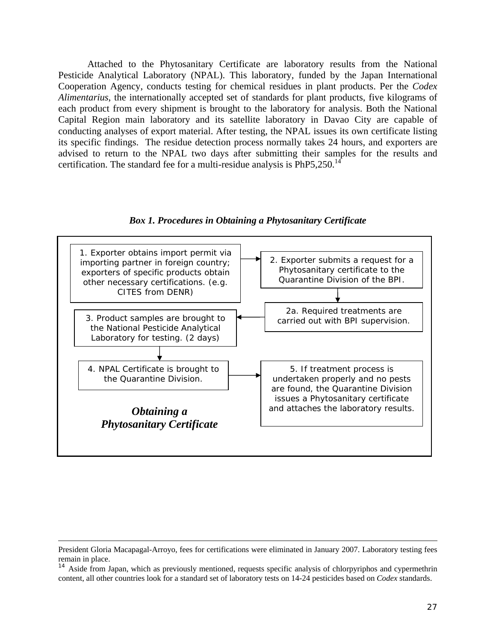Attached to the Phytosanitary Certificate are laboratory results from the National Pesticide Analytical Laboratory (NPAL). This laboratory, funded by the Japan International Cooperation Agency, conducts testing for chemical residues in plant products. Per the *Codex Alimentarius*, the internationally accepted set of standards for plant products, five kilograms of each product from every shipment is brought to the laboratory for analysis. Both the National Capital Region main laboratory and its satellite laboratory in Davao City are capable of conducting analyses of export material. After testing, the NPAL issues its own certificate listing its specific findings. The residue detection process normally takes 24 hours, and exporters are advised to return to the NPAL two days after submitting their samples for the results and certification. The standard fee for a multi-residue analysis is  $PhP5,250$ .<sup>14</sup>





President Gloria Macapagal-Arroyo, fees for certifications were eliminated in January 2007. Laboratory testing fees remain in place.<br><sup>14</sup> Aside from Japan, which as previously mentioned, requests specific analysis of chlorpyriphos and cypermethrin

content, all other countries look for a standard set of laboratory tests on 14-24 pesticides based on *Codex* standards.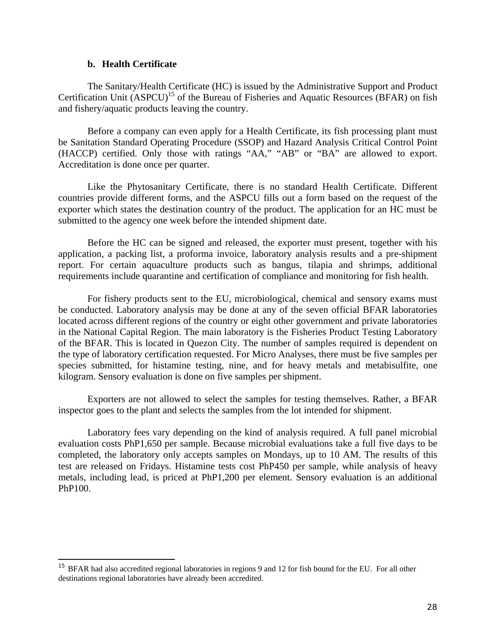#### **b. Health Certificate**

1

The Sanitary/Health Certificate (HC) is issued by the Administrative Support and Product Certification Unit  $(ASPCU)^{15}$  of the Bureau of Fisheries and Aquatic Resources (BFAR) on fish and fishery/aquatic products leaving the country.

Before a company can even apply for a Health Certificate, its fish processing plant must be Sanitation Standard Operating Procedure (SSOP) and Hazard Analysis Critical Control Point (HACCP) certified. Only those with ratings "AA," "AB" or "BA" are allowed to export. Accreditation is done once per quarter.

Like the Phytosanitary Certificate, there is no standard Health Certificate. Different countries provide different forms, and the ASPCU fills out a form based on the request of the exporter which states the destination country of the product. The application for an HC must be submitted to the agency one week before the intended shipment date.

 Before the HC can be signed and released, the exporter must present, together with his application, a packing list, a proforma invoice, laboratory analysis results and a pre-shipment report. For certain aquaculture products such as bangus, tilapia and shrimps, additional requirements include quarantine and certification of compliance and monitoring for fish health.

For fishery products sent to the EU, microbiological, chemical and sensory exams must be conducted. Laboratory analysis may be done at any of the seven official BFAR laboratories located across different regions of the country or eight other government and private laboratories in the National Capital Region. The main laboratory is the Fisheries Product Testing Laboratory of the BFAR. This is located in Quezon City. The number of samples required is dependent on the type of laboratory certification requested. For Micro Analyses, there must be five samples per species submitted, for histamine testing, nine, and for heavy metals and metabisulfite, one kilogram. Sensory evaluation is done on five samples per shipment.

Exporters are not allowed to select the samples for testing themselves. Rather, a BFAR inspector goes to the plant and selects the samples from the lot intended for shipment.

Laboratory fees vary depending on the kind of analysis required. A full panel microbial evaluation costs PhP1,650 per sample. Because microbial evaluations take a full five days to be completed, the laboratory only accepts samples on Mondays, up to 10 AM. The results of this test are released on Fridays. Histamine tests cost PhP450 per sample, while analysis of heavy metals, including lead, is priced at PhP1,200 per element. Sensory evaluation is an additional PhP100.

<sup>&</sup>lt;sup>15</sup> BFAR had also accredited regional laboratories in regions 9 and 12 for fish bound for the EU. For all other destinations regional laboratories have already been accredited.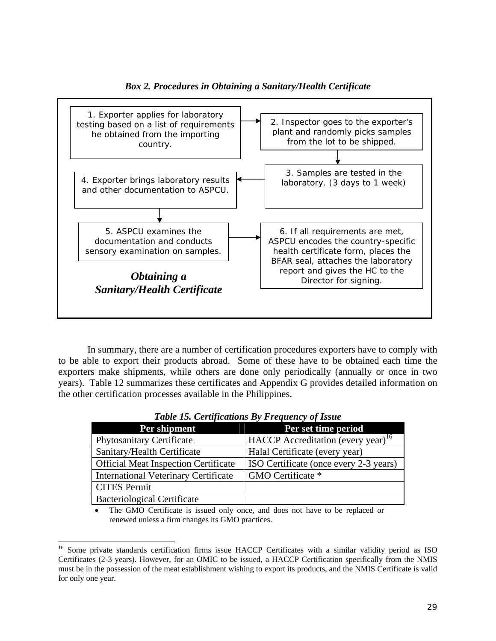

*Box 2. Procedures in Obtaining a Sanitary/Health Certificate*

In summary, there are a number of certification procedures exporters have to comply with to be able to export their products abroad. Some of these have to be obtained each time the exporters make shipments, while others are done only periodically (annually or once in two years). Table 12 summarizes these certificates and Appendix G provides detailed information on the other certification processes available in the Philippines.

| Per shipment                                | Per set time period                            |
|---------------------------------------------|------------------------------------------------|
| <b>Phytosanitary Certificate</b>            | HACCP Accreditation (every year) <sup>16</sup> |
| Sanitary/Health Certificate                 | Halal Certificate (every year)                 |
| <b>Official Meat Inspection Certificate</b> | ISO Certificate (once every 2-3 years)         |
| <b>International Veterinary Certificate</b> | GMO Certificate *                              |
| <b>CITES Permit</b>                         |                                                |
| <b>Bacteriological Certificate</b>          |                                                |

*Table 15. Certifications By Frequency of Issue* 

The GMO Certificate is issued only once, and does not have to be replaced or renewed unless a firm changes its GMO practices.

<sup>&</sup>lt;sup>16</sup> Some private standards certification firms issue HACCP Certificates with a similar validity period as ISO Certificates (2-3 years). However, for an OMIC to be issued, a HACCP Certification specifically from the NMIS must be in the possession of the meat establishment wishing to export its products, and the NMIS Certificate is valid for only one year.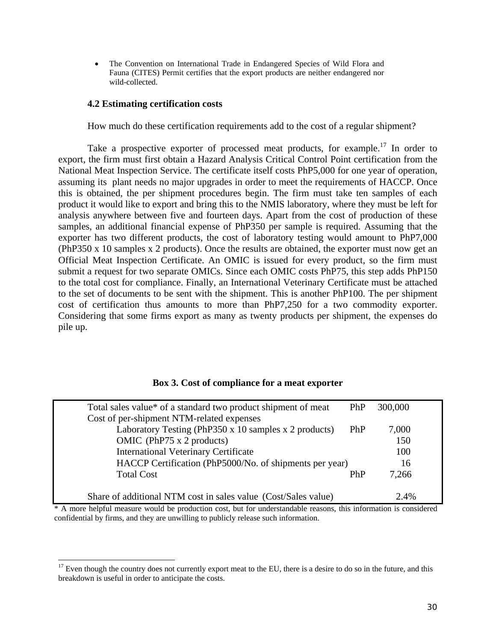• The Convention on International Trade in Endangered Species of Wild Flora and Fauna (CITES) Permit certifies that the export products are neither endangered nor wild-collected.

#### **4.2 Estimating certification costs**

1

How much do these certification requirements add to the cost of a regular shipment?

Take a prospective exporter of processed meat products, for example.<sup>17</sup> In order to export, the firm must first obtain a Hazard Analysis Critical Control Point certification from the National Meat Inspection Service. The certificate itself costs PhP5,000 for one year of operation, assuming its plant needs no major upgrades in order to meet the requirements of HACCP. Once this is obtained, the per shipment procedures begin. The firm must take ten samples of each product it would like to export and bring this to the NMIS laboratory, where they must be left for analysis anywhere between five and fourteen days. Apart from the cost of production of these samples, an additional financial expense of PhP350 per sample is required. Assuming that the exporter has two different products, the cost of laboratory testing would amount to PhP7,000 (PhP350 x 10 samples x 2 products). Once the results are obtained, the exporter must now get an Official Meat Inspection Certificate. An OMIC is issued for every product, so the firm must submit a request for two separate OMICs. Since each OMIC costs PhP75, this step adds PhP150 to the total cost for compliance. Finally, an International Veterinary Certificate must be attached to the set of documents to be sent with the shipment. This is another PhP100. The per shipment cost of certification thus amounts to more than PhP7,250 for a two commodity exporter. Considering that some firms export as many as twenty products per shipment, the expenses do pile up.

| Total sales value* of a standard two product shipment of meat  | PhP | 300,000 |  |
|----------------------------------------------------------------|-----|---------|--|
| Cost of per-shipment NTM-related expenses                      |     |         |  |
| Laboratory Testing (PhP350 x 10 samples x 2 products)          | PhP | 7,000   |  |
| OMIC (PhP75 $x$ 2 products)                                    |     | 150     |  |
| <b>International Veterinary Certificate</b>                    |     | 100     |  |
| HACCP Certification (PhP5000/No. of shipments per year)        |     | 16      |  |
| <b>Total Cost</b>                                              | PhP | 7,266   |  |
|                                                                |     |         |  |
| Share of additional NTM cost in sales value (Cost/Sales value) |     | 2.4%    |  |

\* A more helpful measure would be production cost, but for understandable reasons, this information is considered confidential by firms, and they are unwilling to publicly release such information.

 $17$  Even though the country does not currently export meat to the EU, there is a desire to do so in the future, and this breakdown is useful in order to anticipate the costs.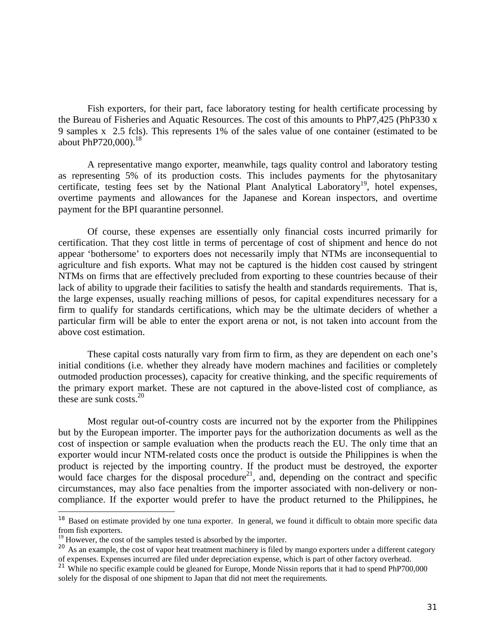Fish exporters, for their part, face laboratory testing for health certificate processing by the Bureau of Fisheries and Aquatic Resources. The cost of this amounts to PhP7,425 (PhP330 x 9 samples x 2.5 fcls). This represents 1% of the sales value of one container (estimated to be about PhP720,000). $^{18}$ 

 A representative mango exporter, meanwhile, tags quality control and laboratory testing as representing 5% of its production costs. This includes payments for the phytosanitary certificate, testing fees set by the National Plant Analytical Laboratory<sup>19</sup>, hotel expenses, overtime payments and allowances for the Japanese and Korean inspectors, and overtime payment for the BPI quarantine personnel.

 Of course, these expenses are essentially only financial costs incurred primarily for certification. That they cost little in terms of percentage of cost of shipment and hence do not appear 'bothersome' to exporters does not necessarily imply that NTMs are inconsequential to agriculture and fish exports. What may not be captured is the hidden cost caused by stringent NTMs on firms that are effectively precluded from exporting to these countries because of their lack of ability to upgrade their facilities to satisfy the health and standards requirements. That is, the large expenses, usually reaching millions of pesos, for capital expenditures necessary for a firm to qualify for standards certifications, which may be the ultimate deciders of whether a particular firm will be able to enter the export arena or not, is not taken into account from the above cost estimation.

These capital costs naturally vary from firm to firm, as they are dependent on each one's initial conditions (i.e. whether they already have modern machines and facilities or completely outmoded production processes), capacity for creative thinking, and the specific requirements of the primary export market. These are not captured in the above-listed cost of compliance, as these are sunk costs.<sup>20</sup>

 Most regular out-of-country costs are incurred not by the exporter from the Philippines but by the European importer. The importer pays for the authorization documents as well as the cost of inspection or sample evaluation when the products reach the EU. The only time that an exporter would incur NTM-related costs once the product is outside the Philippines is when the product is rejected by the importing country. If the product must be destroyed, the exporter would face charges for the disposal procedure<sup>21</sup>, and, depending on the contract and specific circumstances, may also face penalties from the importer associated with non-delivery or noncompliance. If the exporter would prefer to have the product returned to the Philippines, he

<sup>&</sup>lt;sup>18</sup> Based on estimate provided by one tuna exporter. In general, we found it difficult to obtain more specific data from fish exporters.

 $19$  However, the cost of the samples tested is absorbed by the importer.

<sup>&</sup>lt;sup>20</sup> As an example, the cost of vapor heat treatment machinery is filed by mango exporters under a different category of expenses. Expenses incurred are filed under depreciation expense, which is part of other factory overhead.

<sup>&</sup>lt;sup>21</sup> While no specific example could be gleaned for Europe, Monde Nissin reports that it had to spend PhP700,000 solely for the disposal of one shipment to Japan that did not meet the requirements.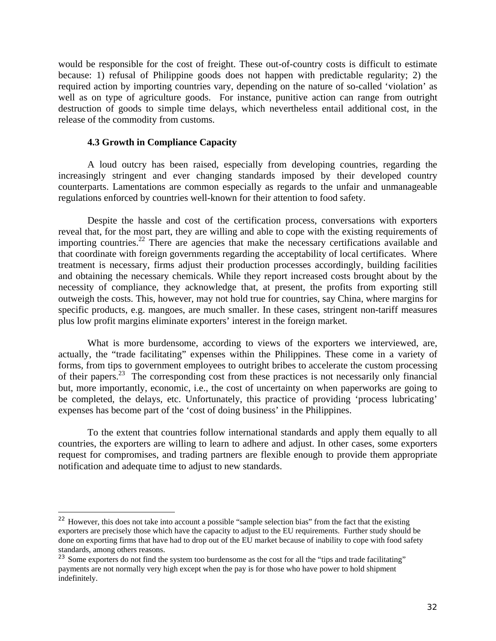would be responsible for the cost of freight. These out-of-country costs is difficult to estimate because: 1) refusal of Philippine goods does not happen with predictable regularity; 2) the required action by importing countries vary, depending on the nature of so-called 'violation' as well as on type of agriculture goods. For instance, punitive action can range from outright destruction of goods to simple time delays, which nevertheless entail additional cost, in the release of the commodity from customs.

#### **4.3 Growth in Compliance Capacity**

1

 A loud outcry has been raised, especially from developing countries, regarding the increasingly stringent and ever changing standards imposed by their developed country counterparts. Lamentations are common especially as regards to the unfair and unmanageable regulations enforced by countries well-known for their attention to food safety.

 Despite the hassle and cost of the certification process, conversations with exporters reveal that, for the most part, they are willing and able to cope with the existing requirements of importing countries.<sup>22</sup> There are agencies that make the necessary certifications available and that coordinate with foreign governments regarding the acceptability of local certificates. Where treatment is necessary, firms adjust their production processes accordingly, building facilities and obtaining the necessary chemicals. While they report increased costs brought about by the necessity of compliance, they acknowledge that, at present, the profits from exporting still outweigh the costs. This, however, may not hold true for countries, say China, where margins for specific products, e.g. mangoes, are much smaller. In these cases, stringent non-tariff measures plus low profit margins eliminate exporters' interest in the foreign market.

What is more burdensome, according to views of the exporters we interviewed, are, actually, the "trade facilitating" expenses within the Philippines. These come in a variety of forms, from tips to government employees to outright bribes to accelerate the custom processing of their papers.23 The corresponding cost from these practices is not necessarily only financial but, more importantly, economic, i.e., the cost of uncertainty on when paperworks are going to be completed, the delays, etc. Unfortunately, this practice of providing 'process lubricating' expenses has become part of the 'cost of doing business' in the Philippines.

To the extent that countries follow international standards and apply them equally to all countries, the exporters are willing to learn to adhere and adjust. In other cases, some exporters request for compromises, and trading partners are flexible enough to provide them appropriate notification and adequate time to adjust to new standards.

<sup>&</sup>lt;sup>22</sup> However, this does not take into account a possible "sample selection bias" from the fact that the existing exporters are precisely those which have the capacity to adjust to the EU requirements. Further study should be done on exporting firms that have had to drop out of the EU market because of inability to cope with food safety standards, among others reasons.

<sup>&</sup>lt;sup>23</sup> Some exporters do not find the system too burdensome as the cost for all the "tips and trade facilitating" payments are not normally very high except when the pay is for those who have power to hold shipment indefinitely.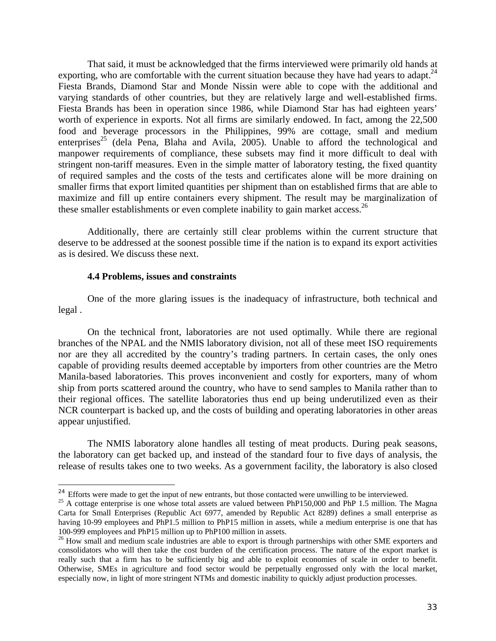That said, it must be acknowledged that the firms interviewed were primarily old hands at exporting, who are comfortable with the current situation because they have had years to adapt. $^{24}$ Fiesta Brands, Diamond Star and Monde Nissin were able to cope with the additional and varying standards of other countries, but they are relatively large and well-established firms. Fiesta Brands has been in operation since 1986, while Diamond Star has had eighteen years' worth of experience in exports. Not all firms are similarly endowed. In fact, among the 22,500 food and beverage processors in the Philippines, 99% are cottage, small and medium enterprises<sup>25</sup> (dela Pena, Blaha and Avila, 2005). Unable to afford the technological and manpower requirements of compliance, these subsets may find it more difficult to deal with stringent non-tariff measures. Even in the simple matter of laboratory testing, the fixed quantity of required samples and the costs of the tests and certificates alone will be more draining on smaller firms that export limited quantities per shipment than on established firms that are able to maximize and fill up entire containers every shipment. The result may be marginalization of these smaller establishments or even complete inability to gain market access.<sup>26</sup>

Additionally, there are certainly still clear problems within the current structure that deserve to be addressed at the soonest possible time if the nation is to expand its export activities as is desired. We discuss these next.

#### **4.4 Problems, issues and constraints**

 One of the more glaring issues is the inadequacy of infrastructure, both technical and legal .

On the technical front, laboratories are not used optimally. While there are regional branches of the NPAL and the NMIS laboratory division, not all of these meet ISO requirements nor are they all accredited by the country's trading partners. In certain cases, the only ones capable of providing results deemed acceptable by importers from other countries are the Metro Manila-based laboratories. This proves inconvenient and costly for exporters, many of whom ship from ports scattered around the country, who have to send samples to Manila rather than to their regional offices. The satellite laboratories thus end up being underutilized even as their NCR counterpart is backed up, and the costs of building and operating laboratories in other areas appear unjustified.

The NMIS laboratory alone handles all testing of meat products. During peak seasons, the laboratory can get backed up, and instead of the standard four to five days of analysis, the release of results takes one to two weeks. As a government facility, the laboratory is also closed

<sup>&</sup>lt;sup>24</sup> Efforts were made to get the input of new entrants, but those contacted were unwilling to be interviewed.

<sup>&</sup>lt;sup>25</sup> A cottage enterprise is one whose total assets are valued between PhP150,000 and PhP 1.5 million. The Magna Carta for Small Enterprises (Republic Act 6977, amended by Republic Act 8289) defines a small enterprise as having 10-99 employees and PhP1.5 million to PhP15 million in assets, while a medium enterprise is one that has 100-999 employees and PhP15 million up to PhP100 million in assets.

<sup>&</sup>lt;sup>26</sup> How small and medium scale industries are able to export is through partnerships with other SME exporters and consolidators who will then take the cost burden of the certification process. The nature of the export market is really such that a firm has to be sufficiently big and able to exploit economies of scale in order to benefit. Otherwise, SMEs in agriculture and food sector would be perpetually engrossed only with the local market, especially now, in light of more stringent NTMs and domestic inability to quickly adjust production processes.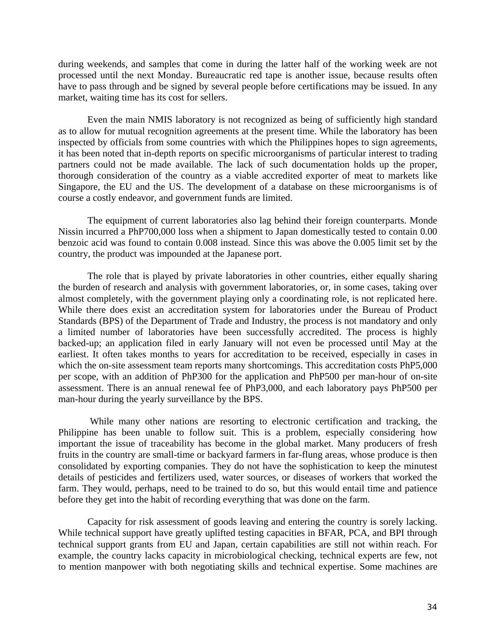during weekends, and samples that come in during the latter half of the working week are not processed until the next Monday. Bureaucratic red tape is another issue, because results often have to pass through and be signed by several people before certifications may be issued. In any market, waiting time has its cost for sellers.

Even the main NMIS laboratory is not recognized as being of sufficiently high standard as to allow for mutual recognition agreements at the present time. While the laboratory has been inspected by officials from some countries with which the Philippines hopes to sign agreements, it has been noted that in-depth reports on specific microorganisms of particular interest to trading partners could not be made available. The lack of such documentation holds up the proper, thorough consideration of the country as a viable accredited exporter of meat to markets like Singapore, the EU and the US. The development of a database on these microorganisms is of course a costly endeavor, and government funds are limited.

The equipment of current laboratories also lag behind their foreign counterparts. Monde Nissin incurred a PhP700,000 loss when a shipment to Japan domestically tested to contain 0.00 benzoic acid was found to contain 0.008 instead. Since this was above the 0.005 limit set by the country, the product was impounded at the Japanese port.

The role that is played by private laboratories in other countries, either equally sharing the burden of research and analysis with government laboratories, or, in some cases, taking over almost completely, with the government playing only a coordinating role, is not replicated here. While there does exist an accreditation system for laboratories under the Bureau of Product Standards (BPS) of the Department of Trade and Industry, the process is not mandatory and only a limited number of laboratories have been successfully accredited. The process is highly backed-up; an application filed in early January will not even be processed until May at the earliest. It often takes months to years for accreditation to be received, especially in cases in which the on-site assessment team reports many shortcomings. This accreditation costs PhP5,000 per scope, with an addition of PhP300 for the application and PhP500 per man-hour of on-site assessment. There is an annual renewal fee of PhP3,000, and each laboratory pays PhP500 per man-hour during the yearly surveillance by the BPS.

 While many other nations are resorting to electronic certification and tracking, the Philippine has been unable to follow suit. This is a problem, especially considering how important the issue of traceability has become in the global market. Many producers of fresh fruits in the country are small-time or backyard farmers in far-flung areas, whose produce is then consolidated by exporting companies. They do not have the sophistication to keep the minutest details of pesticides and fertilizers used, water sources, or diseases of workers that worked the farm. They would, perhaps, need to be trained to do so, but this would entail time and patience before they get into the habit of recording everything that was done on the farm.

Capacity for risk assessment of goods leaving and entering the country is sorely lacking. While technical support have greatly uplifted testing capacities in BFAR, PCA, and BPI through technical support grants from EU and Japan, certain capabilities are still not within reach. For example, the country lacks capacity in microbiological checking, technical experts are few, not to mention manpower with both negotiating skills and technical expertise. Some machines are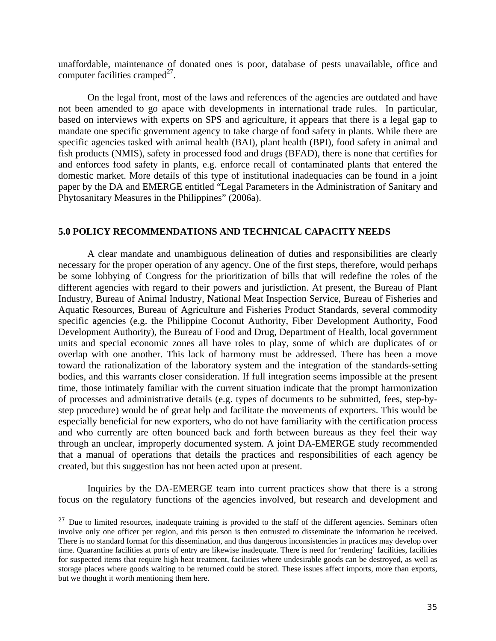unaffordable, maintenance of donated ones is poor, database of pests unavailable, office and computer facilities cramped<sup>27</sup>.

 On the legal front, most of the laws and references of the agencies are outdated and have not been amended to go apace with developments in international trade rules. In particular, based on interviews with experts on SPS and agriculture, it appears that there is a legal gap to mandate one specific government agency to take charge of food safety in plants. While there are specific agencies tasked with animal health (BAI), plant health (BPI), food safety in animal and fish products (NMIS), safety in processed food and drugs (BFAD), there is none that certifies for and enforces food safety in plants, e.g. enforce recall of contaminated plants that entered the domestic market. More details of this type of institutional inadequacies can be found in a joint paper by the DA and EMERGE entitled "Legal Parameters in the Administration of Sanitary and Phytosanitary Measures in the Philippines" (2006a).

#### **5.0 POLICY RECOMMENDATIONS AND TECHNICAL CAPACITY NEEDS**

A clear mandate and unambiguous delineation of duties and responsibilities are clearly necessary for the proper operation of any agency. One of the first steps, therefore, would perhaps be some lobbying of Congress for the prioritization of bills that will redefine the roles of the different agencies with regard to their powers and jurisdiction. At present, the Bureau of Plant Industry, Bureau of Animal Industry, National Meat Inspection Service, Bureau of Fisheries and Aquatic Resources, Bureau of Agriculture and Fisheries Product Standards, several commodity specific agencies (e.g. the Philippine Coconut Authority, Fiber Development Authority, Food Development Authority), the Bureau of Food and Drug, Department of Health, local government units and special economic zones all have roles to play, some of which are duplicates of or overlap with one another. This lack of harmony must be addressed. There has been a move toward the rationalization of the laboratory system and the integration of the standards-setting bodies, and this warrants closer consideration. If full integration seems impossible at the present time, those intimately familiar with the current situation indicate that the prompt harmonization of processes and administrative details (e.g. types of documents to be submitted, fees, step-bystep procedure) would be of great help and facilitate the movements of exporters. This would be especially beneficial for new exporters, who do not have familiarity with the certification process and who currently are often bounced back and forth between bureaus as they feel their way through an unclear, improperly documented system. A joint DA-EMERGE study recommended that a manual of operations that details the practices and responsibilities of each agency be created, but this suggestion has not been acted upon at present.

 Inquiries by the DA-EMERGE team into current practices show that there is a strong focus on the regulatory functions of the agencies involved, but research and development and

<sup>&</sup>lt;sup>27</sup> Due to limited resources, inadequate training is provided to the staff of the different agencies. Seminars often involve only one officer per region, and this person is then entrusted to disseminate the information he received. There is no standard format for this dissemination, and thus dangerous inconsistencies in practices may develop over time. Quarantine facilities at ports of entry are likewise inadequate. There is need for 'rendering' facilities, facilities for suspected items that require high heat treatment, facilities where undesirable goods can be destroyed, as well as storage places where goods waiting to be returned could be stored. These issues affect imports, more than exports, but we thought it worth mentioning them here.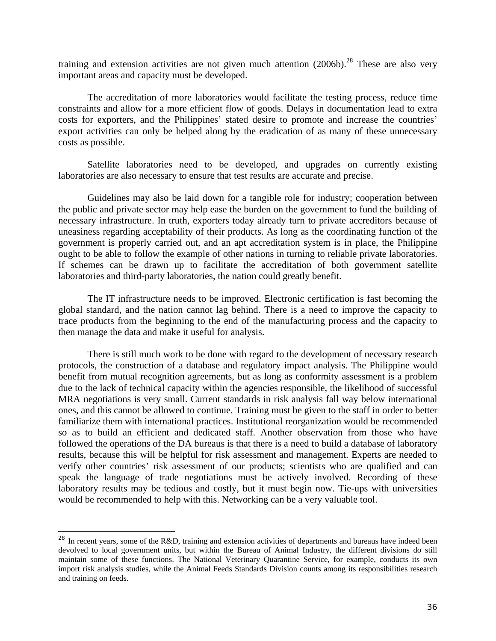training and extension activities are not given much attention  $(2006b)$ <sup>28</sup>. These are also very important areas and capacity must be developed.

The accreditation of more laboratories would facilitate the testing process, reduce time constraints and allow for a more efficient flow of goods. Delays in documentation lead to extra costs for exporters, and the Philippines' stated desire to promote and increase the countries' export activities can only be helped along by the eradication of as many of these unnecessary costs as possible.

 Satellite laboratories need to be developed, and upgrades on currently existing laboratories are also necessary to ensure that test results are accurate and precise.

Guidelines may also be laid down for a tangible role for industry; cooperation between the public and private sector may help ease the burden on the government to fund the building of necessary infrastructure. In truth, exporters today already turn to private accreditors because of uneasiness regarding acceptability of their products. As long as the coordinating function of the government is properly carried out, and an apt accreditation system is in place, the Philippine ought to be able to follow the example of other nations in turning to reliable private laboratories. If schemes can be drawn up to facilitate the accreditation of both government satellite laboratories and third-party laboratories, the nation could greatly benefit.

 The IT infrastructure needs to be improved. Electronic certification is fast becoming the global standard, and the nation cannot lag behind. There is a need to improve the capacity to trace products from the beginning to the end of the manufacturing process and the capacity to then manage the data and make it useful for analysis.

 There is still much work to be done with regard to the development of necessary research protocols, the construction of a database and regulatory impact analysis. The Philippine would benefit from mutual recognition agreements, but as long as conformity assessment is a problem due to the lack of technical capacity within the agencies responsible, the likelihood of successful MRA negotiations is very small. Current standards in risk analysis fall way below international ones, and this cannot be allowed to continue. Training must be given to the staff in order to better familiarize them with international practices. Institutional reorganization would be recommended so as to build an efficient and dedicated staff. Another observation from those who have followed the operations of the DA bureaus is that there is a need to build a database of laboratory results, because this will be helpful for risk assessment and management. Experts are needed to verify other countries' risk assessment of our products; scientists who are qualified and can speak the language of trade negotiations must be actively involved. Recording of these laboratory results may be tedious and costly, but it must begin now. Tie-ups with universities would be recommended to help with this. Networking can be a very valuable tool.

<sup>&</sup>lt;sup>28</sup> In recent years, some of the R&D, training and extension activities of departments and bureaus have indeed been devolved to local government units, but within the Bureau of Animal Industry, the different divisions do still maintain some of these functions. The National Veterinary Quarantine Service, for example, conducts its own import risk analysis studies, while the Animal Feeds Standards Division counts among its responsibilities research and training on feeds.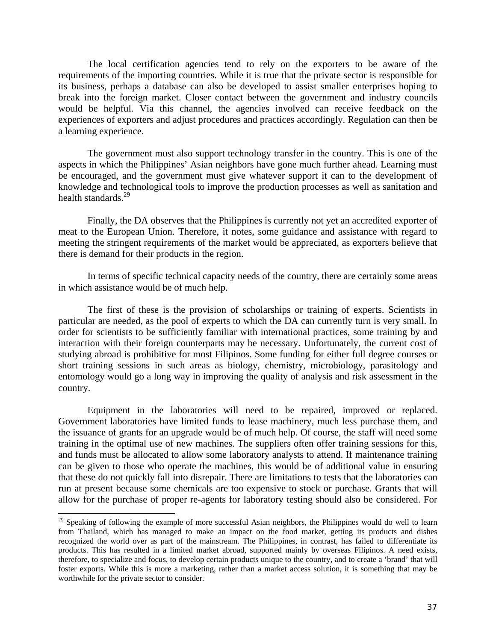The local certification agencies tend to rely on the exporters to be aware of the requirements of the importing countries. While it is true that the private sector is responsible for its business, perhaps a database can also be developed to assist smaller enterprises hoping to break into the foreign market. Closer contact between the government and industry councils would be helpful. Via this channel, the agencies involved can receive feedback on the experiences of exporters and adjust procedures and practices accordingly. Regulation can then be a learning experience.

 The government must also support technology transfer in the country. This is one of the aspects in which the Philippines' Asian neighbors have gone much further ahead. Learning must be encouraged, and the government must give whatever support it can to the development of knowledge and technological tools to improve the production processes as well as sanitation and health standards.<sup>29</sup>

 Finally, the DA observes that the Philippines is currently not yet an accredited exporter of meat to the European Union. Therefore, it notes, some guidance and assistance with regard to meeting the stringent requirements of the market would be appreciated, as exporters believe that there is demand for their products in the region.

 In terms of specific technical capacity needs of the country, there are certainly some areas in which assistance would be of much help.

 The first of these is the provision of scholarships or training of experts. Scientists in particular are needed, as the pool of experts to which the DA can currently turn is very small. In order for scientists to be sufficiently familiar with international practices, some training by and interaction with their foreign counterparts may be necessary. Unfortunately, the current cost of studying abroad is prohibitive for most Filipinos. Some funding for either full degree courses or short training sessions in such areas as biology, chemistry, microbiology, parasitology and entomology would go a long way in improving the quality of analysis and risk assessment in the country.

 Equipment in the laboratories will need to be repaired, improved or replaced. Government laboratories have limited funds to lease machinery, much less purchase them, and the issuance of grants for an upgrade would be of much help. Of course, the staff will need some training in the optimal use of new machines. The suppliers often offer training sessions for this, and funds must be allocated to allow some laboratory analysts to attend. If maintenance training can be given to those who operate the machines, this would be of additional value in ensuring that these do not quickly fall into disrepair. There are limitations to tests that the laboratories can run at present because some chemicals are too expensive to stock or purchase. Grants that will allow for the purchase of proper re-agents for laboratory testing should also be considered. For

<sup>&</sup>lt;sup>29</sup> Speaking of following the example of more successful Asian neighbors, the Philippines would do well to learn from Thailand, which has managed to make an impact on the food market, getting its products and dishes recognized the world over as part of the mainstream. The Philippines, in contrast, has failed to differentiate its products. This has resulted in a limited market abroad, supported mainly by overseas Filipinos. A need exists, therefore, to specialize and focus, to develop certain products unique to the country, and to create a 'brand' that will foster exports. While this is more a marketing, rather than a market access solution, it is something that may be worthwhile for the private sector to consider.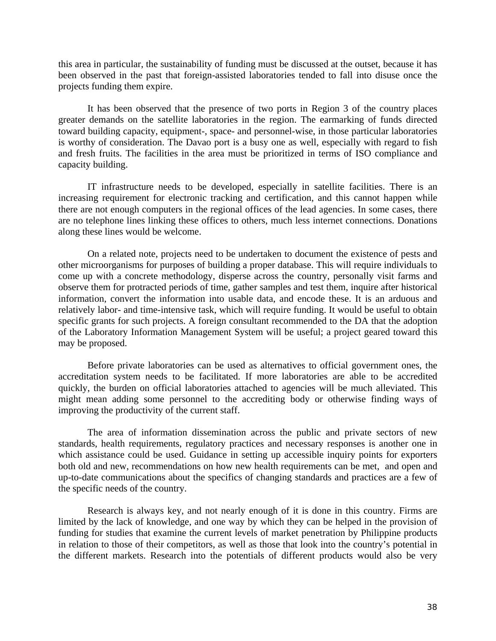this area in particular, the sustainability of funding must be discussed at the outset, because it has been observed in the past that foreign-assisted laboratories tended to fall into disuse once the projects funding them expire.

 It has been observed that the presence of two ports in Region 3 of the country places greater demands on the satellite laboratories in the region. The earmarking of funds directed toward building capacity, equipment-, space- and personnel-wise, in those particular laboratories is worthy of consideration. The Davao port is a busy one as well, especially with regard to fish and fresh fruits. The facilities in the area must be prioritized in terms of ISO compliance and capacity building.

 IT infrastructure needs to be developed, especially in satellite facilities. There is an increasing requirement for electronic tracking and certification, and this cannot happen while there are not enough computers in the regional offices of the lead agencies. In some cases, there are no telephone lines linking these offices to others, much less internet connections. Donations along these lines would be welcome.

 On a related note, projects need to be undertaken to document the existence of pests and other microorganisms for purposes of building a proper database. This will require individuals to come up with a concrete methodology, disperse across the country, personally visit farms and observe them for protracted periods of time, gather samples and test them, inquire after historical information, convert the information into usable data, and encode these. It is an arduous and relatively labor- and time-intensive task, which will require funding. It would be useful to obtain specific grants for such projects. A foreign consultant recommended to the DA that the adoption of the Laboratory Information Management System will be useful; a project geared toward this may be proposed.

 Before private laboratories can be used as alternatives to official government ones, the accreditation system needs to be facilitated. If more laboratories are able to be accredited quickly, the burden on official laboratories attached to agencies will be much alleviated. This might mean adding some personnel to the accrediting body or otherwise finding ways of improving the productivity of the current staff.

The area of information dissemination across the public and private sectors of new standards, health requirements, regulatory practices and necessary responses is another one in which assistance could be used. Guidance in setting up accessible inquiry points for exporters both old and new, recommendations on how new health requirements can be met, and open and up-to-date communications about the specifics of changing standards and practices are a few of the specific needs of the country.

 Research is always key, and not nearly enough of it is done in this country. Firms are limited by the lack of knowledge, and one way by which they can be helped in the provision of funding for studies that examine the current levels of market penetration by Philippine products in relation to those of their competitors, as well as those that look into the country's potential in the different markets. Research into the potentials of different products would also be very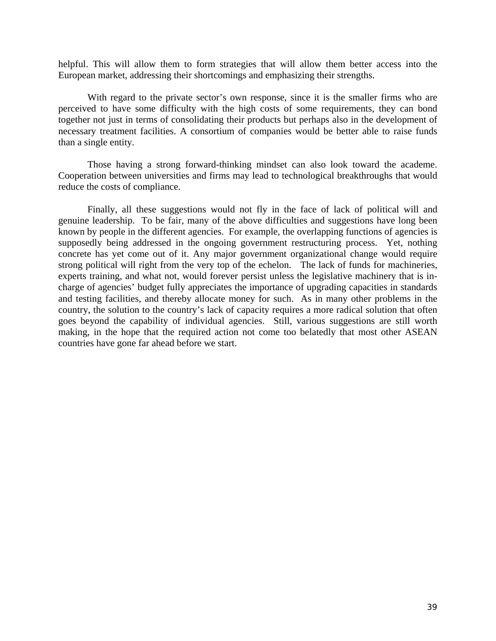helpful. This will allow them to form strategies that will allow them better access into the European market, addressing their shortcomings and emphasizing their strengths.

With regard to the private sector's own response, since it is the smaller firms who are perceived to have some difficulty with the high costs of some requirements, they can bond together not just in terms of consolidating their products but perhaps also in the development of necessary treatment facilities. A consortium of companies would be better able to raise funds than a single entity.

 Those having a strong forward-thinking mindset can also look toward the academe. Cooperation between universities and firms may lead to technological breakthroughs that would reduce the costs of compliance.

 Finally, all these suggestions would not fly in the face of lack of political will and genuine leadership. To be fair, many of the above difficulties and suggestions have long been known by people in the different agencies. For example, the overlapping functions of agencies is supposedly being addressed in the ongoing government restructuring process. Yet, nothing concrete has yet come out of it. Any major government organizational change would require strong political will right from the very top of the echelon. The lack of funds for machineries, experts training, and what not, would forever persist unless the legislative machinery that is incharge of agencies' budget fully appreciates the importance of upgrading capacities in standards and testing facilities, and thereby allocate money for such. As in many other problems in the country, the solution to the country's lack of capacity requires a more radical solution that often goes beyond the capability of individual agencies. Still, various suggestions are still worth making, in the hope that the required action not come too belatedly that most other ASEAN countries have gone far ahead before we start.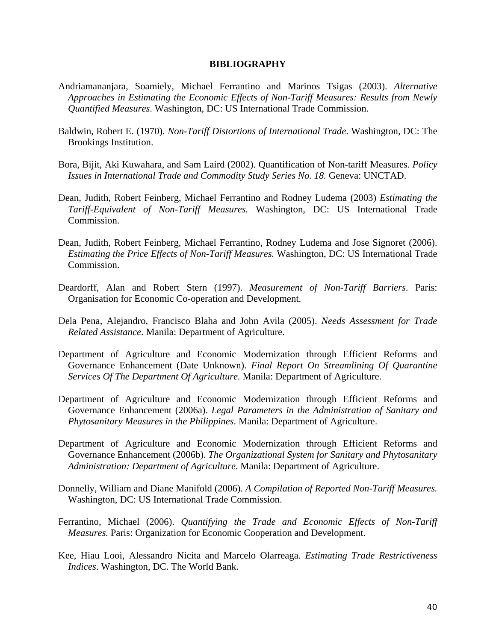#### **BIBLIOGRAPHY**

- Andriamananjara, Soamiely, Michael Ferrantino and Marinos Tsigas (2003). *Alternative Approaches in Estimating the Economic Effects of Non-Tariff Measures: Results from Newly Quantified Measures*. Washington, DC: US International Trade Commission.
- Baldwin, Robert E. (1970). *Non-Tariff Distortions of International Trade*. Washington, DC: The Brookings Institution.
- Bora, Bijit, Aki Kuwahara, and Sam Laird (2002). Quantification of Non-tariff Measures*. Policy Issues in International Trade and Commodity Study Series No. 18.* Geneva: UNCTAD.
- Dean, Judith, Robert Feinberg, Michael Ferrantino and Rodney Ludema (2003) *Estimating the Tariff-Equivalent of Non-Tariff Measures.* Washington, DC: US International Trade Commission.
- Dean, Judith, Robert Feinberg, Michael Ferrantino, Rodney Ludema and Jose Signoret (2006). *Estimating the Price Effects of Non-Tariff Measures.* Washington, DC: US International Trade Commission.
- Deardorff, Alan and Robert Stern (1997). *Measurement of Non-Tariff Barriers*. Paris: Organisation for Economic Co-operation and Development.
- Dela Pena, Alejandro, Francisco Blaha and John Avila (2005). *Needs Assessment for Trade Related Assistance*. Manila: Department of Agriculture.
- Department of Agriculture and Economic Modernization through Efficient Reforms and Governance Enhancement (Date Unknown). *Final Report On Streamlining Of Quarantine Services Of The Department Of Agriculture.* Manila: Department of Agriculture.
- Department of Agriculture and Economic Modernization through Efficient Reforms and Governance Enhancement (2006a). *Legal Parameters in the Administration of Sanitary and Phytosanitary Measures in the Philippines.* Manila: Department of Agriculture.
- Department of Agriculture and Economic Modernization through Efficient Reforms and Governance Enhancement (2006b). *The Organizational System for Sanitary and Phytosanitary Administration: Department of Agriculture.* Manila: Department of Agriculture.
- Donnelly, William and Diane Manifold (2006). *A Compilation of Reported Non-Tariff Measures.*  Washington, DC: US International Trade Commission.
- Ferrantino, Michael (2006). *Quantifying the Trade and Economic Effects of Non-Tariff Measures.* Paris: Organization for Economic Cooperation and Development.
- Kee, Hiau Looi, Alessandro Nicita and Marcelo Olarreaga. *Estimating Trade Restrictiveness Indices*. Washington, DC. The World Bank.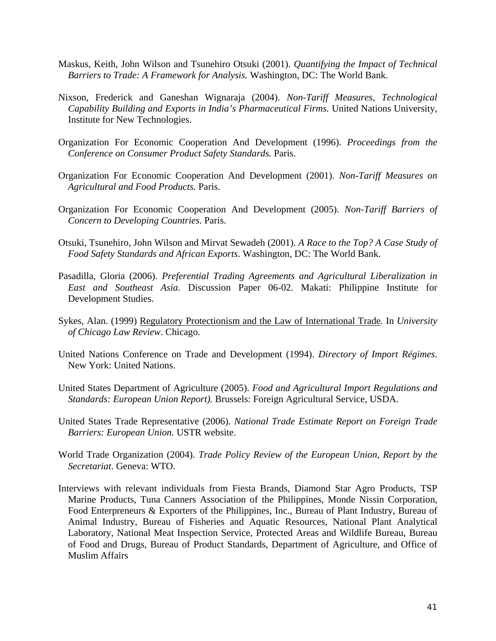- Maskus, Keith, John Wilson and Tsunehiro Otsuki (2001). *Quantifying the Impact of Technical Barriers to Trade: A Framework for Analysis.* Washington, DC: The World Bank.
- Nixson, Frederick and Ganeshan Wignaraja (2004). *Non-Tariff Measures, Technological Capability Building and Exports in India's Pharmaceutical Firms.* United Nations University, Institute for New Technologies.
- Organization For Economic Cooperation And Development (1996). *Proceedings from the Conference on Consumer Product Safety Standards.* Paris.
- Organization For Economic Cooperation And Development (2001). *Non-Tariff Measures on Agricultural and Food Products.* Paris.
- Organization For Economic Cooperation And Development (2005). *Non-Tariff Barriers of Concern to Developing Countries*. Paris.
- Otsuki, Tsunehiro, John Wilson and Mirvat Sewadeh (2001). *A Race to the Top? A Case Study of Food Safety Standards and African Exports*. Washington, DC: The World Bank.
- Pasadilla, Gloria (2006). *Preferential Trading Agreements and Agricultural Liberalization in East and Southeast Asia*. Discussion Paper 06-02. Makati: Philippine Institute for Development Studies.
- Sykes, Alan. (1999) Regulatory Protectionism and the Law of International Trade*.* In *University of Chicago Law Review*. Chicago.
- United Nations Conference on Trade and Development (1994). *Directory of Import Régimes*. New York: United Nations.
- United States Department of Agriculture (2005). *Food and Agricultural Import Regulations and Standards: European Union Report).* Brussels: Foreign Agricultural Service, USDA.
- United States Trade Representative (2006). *National Trade Estimate Report on Foreign Trade Barriers: European Union.* USTR website.
- World Trade Organization (2004). *Trade Policy Review of the European Union, Report by the Secretariat*. Geneva: WTO.
- Interviews with relevant individuals from Fiesta Brands, Diamond Star Agro Products, TSP Marine Products, Tuna Canners Association of the Philippines, Monde Nissin Corporation, Food Enterpreneurs & Exporters of the Philippines, Inc., Bureau of Plant Industry, Bureau of Animal Industry, Bureau of Fisheries and Aquatic Resources, National Plant Analytical Laboratory, National Meat Inspection Service, Protected Areas and Wildlife Bureau, Bureau of Food and Drugs, Bureau of Product Standards, Department of Agriculture, and Office of Muslim Affairs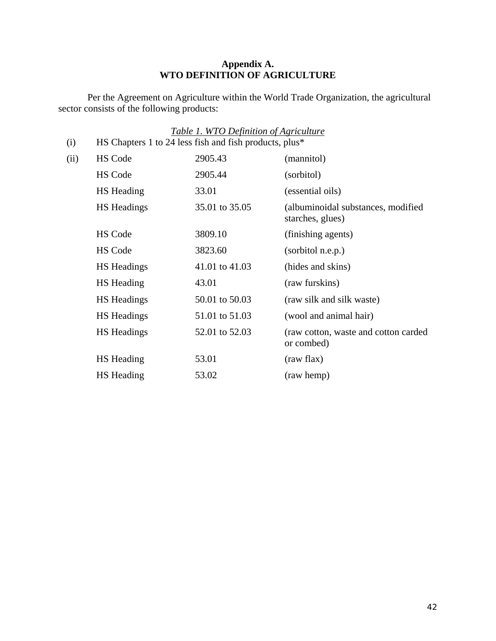#### **Appendix A. WTO DEFINITION OF AGRICULTURE**

Per the Agreement on Agriculture within the World Trade Organization, the agricultural sector consists of the following products:

|      |                                                        | Table 1. WTO Definition of Agriculture |                                                        |
|------|--------------------------------------------------------|----------------------------------------|--------------------------------------------------------|
| (i)  | HS Chapters 1 to 24 less fish and fish products, plus* |                                        |                                                        |
| (ii) | <b>HS Code</b>                                         | 2905.43                                | (mannitol)                                             |
|      | <b>HS Code</b>                                         | 2905.44                                | (sorbitol)                                             |
|      | <b>HS</b> Heading                                      | 33.01                                  | (essential oils)                                       |
|      | <b>HS</b> Headings                                     | 35.01 to 35.05                         | (albuminoidal substances, modified<br>starches, glues) |
|      | <b>HS</b> Code                                         | 3809.10                                | (finishing agents)                                     |
|      | HS Code                                                | 3823.60                                | (sorbitol n.e.p.)                                      |
|      | <b>HS</b> Headings                                     | 41.01 to 41.03                         | (hides and skins)                                      |
|      | <b>HS</b> Heading                                      | 43.01                                  | (raw furskins)                                         |
|      | <b>HS</b> Headings                                     | 50.01 to 50.03                         | (raw silk and silk waste)                              |
|      | <b>HS</b> Headings                                     | 51.01 to 51.03                         | (wool and animal hair)                                 |
|      | <b>HS</b> Headings                                     | 52.01 to 52.03                         | (raw cotton, waste and cotton carded<br>or combed)     |
|      | HS Heading                                             | 53.01                                  | (raw flax)                                             |
|      | HS Heading                                             | 53.02                                  | (raw hemp)                                             |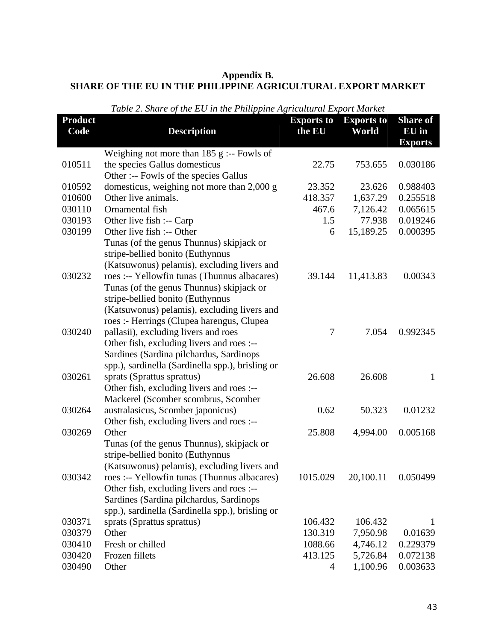#### **Appendix B. SHARE OF THE EU IN THE PHILIPPINE AGRICULTURAL EXPORT MARKET**

| <b>Product</b><br>Code | <b>Description</b>                                                                                                                                                                                                       | <b>Exports to</b><br>the EU | <b>Exports to</b><br>World | <b>Share</b> of<br>EU in<br><b>Exports</b> |
|------------------------|--------------------------------------------------------------------------------------------------------------------------------------------------------------------------------------------------------------------------|-----------------------------|----------------------------|--------------------------------------------|
|                        | Weighing not more than $185$ g :-- Fowls of                                                                                                                                                                              |                             |                            |                                            |
| 010511                 | the species Gallus domesticus<br>Other :-- Fowls of the species Gallus                                                                                                                                                   | 22.75                       | 753.655                    | 0.030186                                   |
| 010592                 | domesticus, weighing not more than 2,000 g                                                                                                                                                                               | 23.352                      | 23.626                     | 0.988403                                   |
| 010600                 | Other live animals.                                                                                                                                                                                                      | 418.357                     | 1,637.29                   | 0.255518                                   |
| 030110                 | Ornamental fish                                                                                                                                                                                                          | 467.6                       | 7,126.42                   | 0.065615                                   |
| 030193                 | Other live fish :-- Carp                                                                                                                                                                                                 | 1.5                         | 77.938                     | 0.019246                                   |
| 030199                 | Other live fish :-- Other                                                                                                                                                                                                | 6                           | 15,189.25                  | 0.000395                                   |
|                        | Tunas (of the genus Thunnus) skipjack or<br>stripe-bellied bonito (Euthynnus<br>(Katsuwonus) pelamis), excluding livers and                                                                                              |                             |                            |                                            |
| 030232                 | roes :-- Yellowfin tunas (Thunnus albacares)<br>Tunas (of the genus Thunnus) skipjack or<br>stripe-bellied bonito (Euthynnus                                                                                             | 39.144                      | 11,413.83                  | 0.00343                                    |
| 030240                 | (Katsuwonus) pelamis), excluding livers and<br>roes :- Herrings (Clupea harengus, Clupea<br>pallasii), excluding livers and roes<br>Other fish, excluding livers and roes :--<br>Sardines (Sardina pilchardus, Sardinops | 7                           | 7.054                      | 0.992345                                   |
| 030261                 | spp.), sardinella (Sardinella spp.), brisling or<br>sprats (Sprattus sprattus)<br>Other fish, excluding livers and roes :--<br>Mackerel (Scomber scombrus, Scomber                                                       | 26.608                      | 26.608                     | $\mathbf{1}$                               |
| 030264                 | australasicus, Scomber japonicus)<br>Other fish, excluding livers and roes :--                                                                                                                                           | 0.62                        | 50.323                     | 0.01232                                    |
| 030269                 | Other<br>Tunas (of the genus Thunnus), skipjack or<br>stripe-bellied bonito (Euthynnus<br>(Katsuwonus) pelamis), excluding livers and                                                                                    | 25.808                      | 4,994.00                   | 0.005168                                   |
| 030342                 | roes :-- Yellowfin tunas (Thunnus albacares)<br>Other fish, excluding livers and roes :--<br>Sardines (Sardina pilchardus, Sardinops<br>spp.), sardinella (Sardinella spp.), brisling or                                 | 1015.029                    | 20,100.11                  | 0.050499                                   |
| 030371                 | sprats (Sprattus sprattus)                                                                                                                                                                                               | 106.432                     | 106.432                    | $\mathbf{1}$                               |
| 030379                 | Other                                                                                                                                                                                                                    | 130.319                     | 7,950.98                   | 0.01639                                    |
| 030410                 | Fresh or chilled                                                                                                                                                                                                         | 1088.66                     | 4,746.12                   | 0.229379                                   |
| 030420                 | Frozen fillets                                                                                                                                                                                                           | 413.125                     | 5,726.84                   | 0.072138                                   |
| 030490                 | Other                                                                                                                                                                                                                    | 4                           | 1,100.96                   | 0.003633                                   |

## *Table 2. Share of the EU in the Philippine Agricultural Export Market*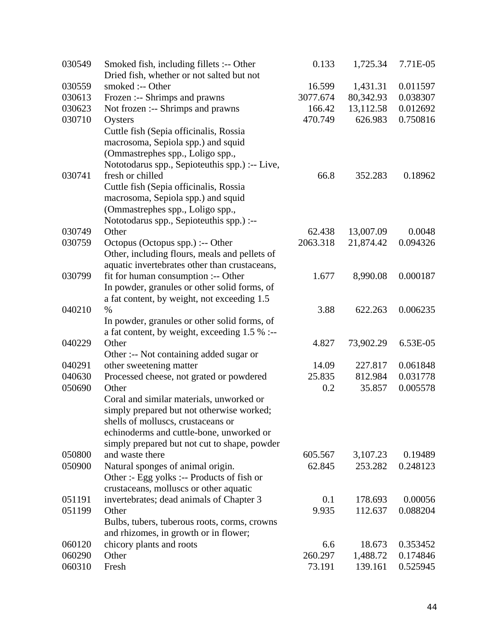| 030549 | Smoked fish, including fillets :-- Other<br>Dried fish, whether or not salted but not | 0.133    | 1,725.34  | 7.71E-05 |
|--------|---------------------------------------------------------------------------------------|----------|-----------|----------|
| 030559 | smoked :-- Other                                                                      | 16.599   | 1,431.31  | 0.011597 |
| 030613 | Frozen :-- Shrimps and prawns                                                         | 3077.674 | 80,342.93 | 0.038307 |
| 030623 | Not frozen :-- Shrimps and prawns                                                     | 166.42   | 13,112.58 | 0.012692 |
| 030710 | Oysters                                                                               | 470.749  | 626.983   | 0.750816 |
|        | Cuttle fish (Sepia officinalis, Rossia                                                |          |           |          |
|        | macrosoma, Sepiola spp.) and squid                                                    |          |           |          |
|        | (Ommastrephes spp., Loligo spp.,                                                      |          |           |          |
|        | Nototodarus spp., Sepioteuthis spp.) :-- Live,                                        |          |           |          |
| 030741 | fresh or chilled                                                                      | 66.8     | 352.283   | 0.18962  |
|        | Cuttle fish (Sepia officinalis, Rossia                                                |          |           |          |
|        | macrosoma, Sepiola spp.) and squid                                                    |          |           |          |
|        | (Ommastrephes spp., Loligo spp.,                                                      |          |           |          |
|        | Nototodarus spp., Sepioteuthis spp.) :--                                              |          |           |          |
| 030749 | Other                                                                                 | 62.438   | 13,007.09 | 0.0048   |
| 030759 | Octopus (Octopus spp.) :-- Other                                                      | 2063.318 | 21,874.42 | 0.094326 |
|        | Other, including flours, meals and pellets of                                         |          |           |          |
|        | aquatic invertebrates other than crustaceans,                                         |          |           |          |
| 030799 | fit for human consumption :-- Other                                                   | 1.677    | 8,990.08  | 0.000187 |
|        | In powder, granules or other solid forms, of                                          |          |           |          |
|        | a fat content, by weight, not exceeding 1.5                                           |          |           |          |
| 040210 | $\%$                                                                                  | 3.88     | 622.263   | 0.006235 |
|        | In powder, granules or other solid forms, of                                          |          |           |          |
|        | a fat content, by weight, exceeding 1.5 % :--                                         |          |           |          |
| 040229 | Other                                                                                 | 4.827    | 73,902.29 | 6.53E-05 |
|        | Other :-- Not containing added sugar or                                               |          |           |          |
| 040291 | other sweetening matter                                                               | 14.09    | 227.817   | 0.061848 |
| 040630 | Processed cheese, not grated or powdered                                              | 25.835   | 812.984   | 0.031778 |
| 050690 | Other                                                                                 | 0.2      | 35.857    | 0.005578 |
|        | Coral and similar materials, unworked or                                              |          |           |          |
|        | simply prepared but not otherwise worked;                                             |          |           |          |
|        | shells of molluscs, crustaceans or                                                    |          |           |          |
|        | echinoderms and cuttle-bone, unworked or                                              |          |           |          |
|        | simply prepared but not cut to shape, powder                                          |          |           |          |
| 050800 | and waste there                                                                       | 605.567  | 3,107.23  | 0.19489  |
| 050900 | Natural sponges of animal origin.                                                     | 62.845   | 253.282   | 0.248123 |
|        | Other :- Egg yolks :-- Products of fish or                                            |          |           |          |
|        | crustaceans, molluscs or other aquatic                                                |          |           |          |
| 051191 | invertebrates; dead animals of Chapter 3                                              | 0.1      | 178.693   | 0.00056  |
| 051199 | Other                                                                                 | 9.935    | 112.637   | 0.088204 |
|        | Bulbs, tubers, tuberous roots, corms, crowns                                          |          |           |          |
|        | and rhizomes, in growth or in flower;                                                 |          |           |          |
| 060120 | chicory plants and roots                                                              | 6.6      | 18.673    | 0.353452 |
| 060290 | Other                                                                                 | 260.297  | 1,488.72  | 0.174846 |
| 060310 | Fresh                                                                                 | 73.191   | 139.161   | 0.525945 |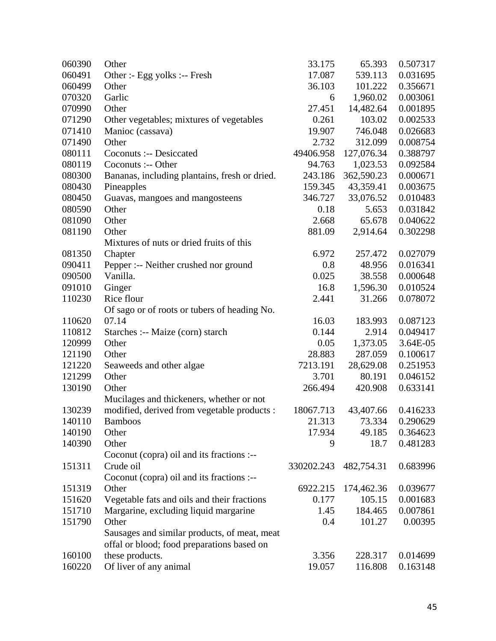| 060390 | Other                                         | 33.175     | 65.393     | 0.507317 |
|--------|-----------------------------------------------|------------|------------|----------|
| 060491 | Other :- Egg yolks :-- Fresh                  | 17.087     | 539.113    | 0.031695 |
| 060499 | Other                                         | 36.103     | 101.222    | 0.356671 |
| 070320 | Garlic                                        | 6          | 1,960.02   | 0.003061 |
| 070990 | Other                                         | 27.451     | 14,482.64  | 0.001895 |
| 071290 | Other vegetables; mixtures of vegetables      | 0.261      | 103.02     | 0.002533 |
| 071410 | Manioc (cassava)                              | 19.907     | 746.048    | 0.026683 |
| 071490 | Other                                         | 2.732      | 312.099    | 0.008754 |
| 080111 | Coconuts :-- Desiccated                       | 49406.958  | 127,076.34 | 0.388797 |
| 080119 | Coconuts :-- Other                            | 94.763     | 1,023.53   | 0.092584 |
| 080300 | Bananas, including plantains, fresh or dried. | 243.186    | 362,590.23 | 0.000671 |
| 080430 | Pineapples                                    | 159.345    | 43,359.41  | 0.003675 |
| 080450 | Guavas, mangoes and mangosteens               | 346.727    | 33,076.52  | 0.010483 |
| 080590 | Other                                         | 0.18       | 5.653      | 0.031842 |
| 081090 | Other                                         | 2.668      | 65.678     | 0.040622 |
| 081190 | Other                                         | 881.09     | 2,914.64   | 0.302298 |
|        | Mixtures of nuts or dried fruits of this      |            |            |          |
| 081350 | Chapter                                       | 6.972      | 257.472    | 0.027079 |
| 090411 | Pepper :-- Neither crushed nor ground         | 0.8        | 48.956     | 0.016341 |
| 090500 | Vanilla.                                      | 0.025      | 38.558     | 0.000648 |
| 091010 | Ginger                                        | 16.8       | 1,596.30   | 0.010524 |
| 110230 | Rice flour                                    | 2.441      | 31.266     | 0.078072 |
|        | Of sago or of roots or tubers of heading No.  |            |            |          |
| 110620 | 07.14                                         | 16.03      | 183.993    | 0.087123 |
| 110812 | Starches :-- Maize (corn) starch              | 0.144      | 2.914      | 0.049417 |
| 120999 | Other                                         | 0.05       | 1,373.05   | 3.64E-05 |
| 121190 | Other                                         | 28.883     | 287.059    | 0.100617 |
| 121220 | Seaweeds and other algae                      | 7213.191   | 28,629.08  | 0.251953 |
| 121299 | Other                                         | 3.701      | 80.191     | 0.046152 |
| 130190 | Other                                         | 266.494    | 420.908    | 0.633141 |
|        | Mucilages and thickeners, whether or not      |            |            |          |
| 130239 | modified, derived from vegetable products :   | 18067.713  | 43,407.66  | 0.416233 |
| 140110 | <b>Bamboos</b>                                | 21.313     | 73.334     | 0.290629 |
| 140190 | Other                                         | 17.934     | 49.185     | 0.364623 |
| 140390 | Other                                         | 9          | 18.7       | 0.481283 |
|        | Coconut (copra) oil and its fractions :--     |            |            |          |
| 151311 | Crude oil                                     | 330202.243 | 482,754.31 | 0.683996 |
|        | Coconut (copra) oil and its fractions :--     |            |            |          |
| 151319 | Other                                         | 6922.215   | 174,462.36 | 0.039677 |
| 151620 | Vegetable fats and oils and their fractions   | 0.177      | 105.15     | 0.001683 |
| 151710 | Margarine, excluding liquid margarine         | 1.45       | 184.465    | 0.007861 |
| 151790 | Other                                         | 0.4        | 101.27     | 0.00395  |
|        | Sausages and similar products, of meat, meat  |            |            |          |
|        | offal or blood; food preparations based on    |            |            |          |
| 160100 | these products.                               | 3.356      | 228.317    | 0.014699 |
| 160220 | Of liver of any animal                        | 19.057     | 116.808    | 0.163148 |
|        |                                               |            |            |          |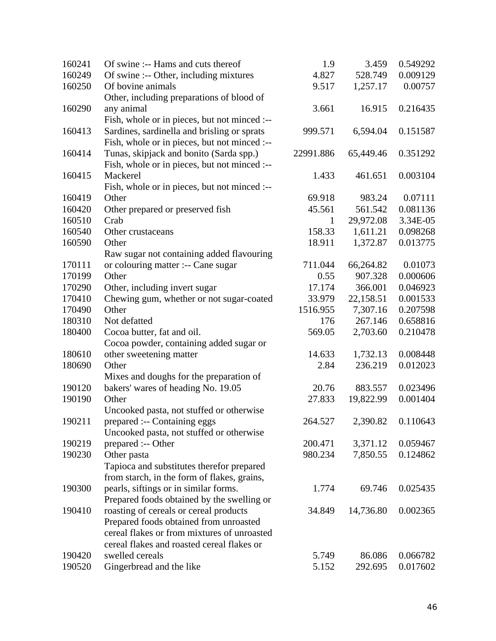| 160241 | Of swine :-- Hams and cuts thereof           | 1.9       | 3.459     | 0.549292 |
|--------|----------------------------------------------|-----------|-----------|----------|
| 160249 | Of swine :-- Other, including mixtures       | 4.827     | 528.749   | 0.009129 |
| 160250 | Of bovine animals                            | 9.517     | 1,257.17  | 0.00757  |
|        | Other, including preparations of blood of    |           |           |          |
| 160290 | any animal                                   | 3.661     | 16.915    | 0.216435 |
|        | Fish, whole or in pieces, but not minced :-- |           |           |          |
| 160413 | Sardines, sardinella and brisling or sprats  | 999.571   | 6,594.04  | 0.151587 |
|        | Fish, whole or in pieces, but not minced :-- |           |           |          |
| 160414 | Tunas, skipjack and bonito (Sarda spp.)      | 22991.886 | 65,449.46 | 0.351292 |
|        | Fish, whole or in pieces, but not minced :-- |           |           |          |
| 160415 | Mackerel                                     | 1.433     | 461.651   | 0.003104 |
|        | Fish, whole or in pieces, but not minced :-- |           |           |          |
| 160419 | Other                                        | 69.918    | 983.24    | 0.07111  |
| 160420 | Other prepared or preserved fish             | 45.561    | 561.542   | 0.081136 |
| 160510 | Crab                                         | 1         | 29,972.08 | 3.34E-05 |
| 160540 | Other crustaceans                            | 158.33    | 1,611.21  | 0.098268 |
| 160590 | Other                                        | 18.911    | 1,372.87  | 0.013775 |
|        | Raw sugar not containing added flavouring    |           |           |          |
| 170111 | or colouring matter :-- Cane sugar           | 711.044   | 66,264.82 | 0.01073  |
| 170199 | Other                                        | 0.55      | 907.328   | 0.000606 |
| 170290 | Other, including invert sugar                | 17.174    | 366.001   | 0.046923 |
| 170410 | Chewing gum, whether or not sugar-coated     | 33.979    | 22,158.51 | 0.001533 |
| 170490 | Other                                        | 1516.955  | 7,307.16  | 0.207598 |
| 180310 | Not defatted                                 | 176       | 267.146   | 0.658816 |
| 180400 | Cocoa butter, fat and oil.                   | 569.05    | 2,703.60  | 0.210478 |
|        | Cocoa powder, containing added sugar or      |           |           |          |
| 180610 | other sweetening matter                      | 14.633    | 1,732.13  | 0.008448 |
| 180690 | Other                                        | 2.84      | 236.219   | 0.012023 |
|        | Mixes and doughs for the preparation of      |           |           |          |
| 190120 | bakers' wares of heading No. 19.05           | 20.76     | 883.557   | 0.023496 |
| 190190 | Other                                        | 27.833    | 19,822.99 | 0.001404 |
|        | Uncooked pasta, not stuffed or otherwise     |           |           |          |
| 190211 | prepared :-- Containing eggs                 | 264.527   | 2,390.82  | 0.110643 |
|        | Uncooked pasta, not stuffed or otherwise     |           |           |          |
| 190219 | prepared :-- Other                           | 200.471   | 3,371.12  | 0.059467 |
| 190230 | Other pasta                                  | 980.234   | 7,850.55  | 0.124862 |
|        | Tapioca and substitutes therefor prepared    |           |           |          |
|        | from starch, in the form of flakes, grains,  |           |           |          |
| 190300 | pearls, siftings or in similar forms.        | 1.774     | 69.746    | 0.025435 |
|        | Prepared foods obtained by the swelling or   |           |           |          |
| 190410 | roasting of cereals or cereal products       | 34.849    | 14,736.80 | 0.002365 |
|        | Prepared foods obtained from unroasted       |           |           |          |
|        | cereal flakes or from mixtures of unroasted  |           |           |          |
|        | cereal flakes and roasted cereal flakes or   |           |           |          |
| 190420 | swelled cereals                              | 5.749     | 86.086    | 0.066782 |
| 190520 | Gingerbread and the like                     | 5.152     | 292.695   | 0.017602 |
|        |                                              |           |           |          |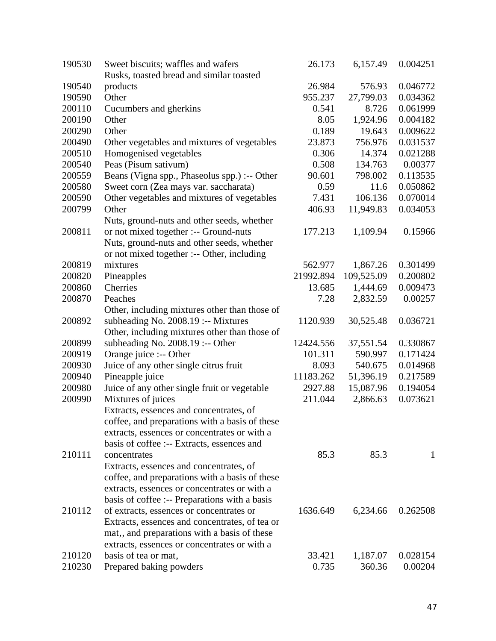| 190530 | Sweet biscuits; waffles and wafers             | 26.173    | 6,157.49   | 0.004251 |
|--------|------------------------------------------------|-----------|------------|----------|
|        | Rusks, toasted bread and similar toasted       |           |            |          |
| 190540 | products                                       | 26.984    | 576.93     | 0.046772 |
| 190590 | Other                                          | 955.237   | 27,799.03  | 0.034362 |
| 200110 | Cucumbers and gherkins                         | 0.541     | 8.726      | 0.061999 |
| 200190 | Other                                          | 8.05      | 1,924.96   | 0.004182 |
| 200290 | Other                                          | 0.189     | 19.643     | 0.009622 |
| 200490 | Other vegetables and mixtures of vegetables    | 23.873    | 756.976    | 0.031537 |
| 200510 | Homogenised vegetables                         | 0.306     | 14.374     | 0.021288 |
| 200540 | Peas (Pisum sativum)                           | 0.508     | 134.763    | 0.00377  |
| 200559 | Beans (Vigna spp., Phaseolus spp.) :-- Other   | 90.601    | 798.002    | 0.113535 |
| 200580 | Sweet corn (Zea mays var. saccharata)          | 0.59      | 11.6       | 0.050862 |
| 200590 | Other vegetables and mixtures of vegetables    | 7.431     | 106.136    | 0.070014 |
| 200799 | Other                                          | 406.93    | 11,949.83  | 0.034053 |
|        | Nuts, ground-nuts and other seeds, whether     |           |            |          |
| 200811 | or not mixed together :-- Ground-nuts          | 177.213   | 1,109.94   | 0.15966  |
|        | Nuts, ground-nuts and other seeds, whether     |           |            |          |
|        | or not mixed together :-- Other, including     |           |            |          |
| 200819 | mixtures                                       | 562.977   | 1,867.26   | 0.301499 |
| 200820 | Pineapples                                     | 21992.894 | 109,525.09 | 0.200802 |
| 200860 | Cherries                                       | 13.685    | 1,444.69   | 0.009473 |
| 200870 | Peaches                                        | 7.28      | 2,832.59   | 0.00257  |
|        | Other, including mixtures other than those of  |           |            |          |
| 200892 | subheading No. 2008.19 :-- Mixtures            | 1120.939  | 30,525.48  | 0.036721 |
|        | Other, including mixtures other than those of  |           |            |          |
| 200899 | subheading No. $2008.19$ :-- Other             | 12424.556 | 37,551.54  | 0.330867 |
| 200919 | Orange juice :-- Other                         | 101.311   | 590.997    | 0.171424 |
| 200930 | Juice of any other single citrus fruit         | 8.093     | 540.675    | 0.014968 |
| 200940 | Pineapple juice                                | 11183.262 | 51,396.19  | 0.217589 |
| 200980 | Juice of any other single fruit or vegetable   | 2927.88   | 15,087.96  | 0.194054 |
| 200990 | Mixtures of juices                             | 211.044   | 2,866.63   | 0.073621 |
|        | Extracts, essences and concentrates, of        |           |            |          |
|        | coffee, and preparations with a basis of these |           |            |          |
|        | extracts, essences or concentrates or with a   |           |            |          |
|        | basis of coffee :-- Extracts, essences and     |           |            |          |
| 210111 | concentrates                                   | 85.3      | 85.3       | 1        |
|        | Extracts, essences and concentrates, of        |           |            |          |
|        | coffee, and preparations with a basis of these |           |            |          |
|        | extracts, essences or concentrates or with a   |           |            |          |
|        | basis of coffee :-- Preparations with a basis  |           |            |          |
| 210112 | of extracts, essences or concentrates or       | 1636.649  | 6,234.66   | 0.262508 |
|        | Extracts, essences and concentrates, of tea or |           |            |          |
|        | mat,, and preparations with a basis of these   |           |            |          |
|        | extracts, essences or concentrates or with a   |           |            |          |
| 210120 | basis of tea or mat,                           | 33.421    | 1,187.07   | 0.028154 |
| 210230 | Prepared baking powders                        | 0.735     | 360.36     | 0.00204  |
|        |                                                |           |            |          |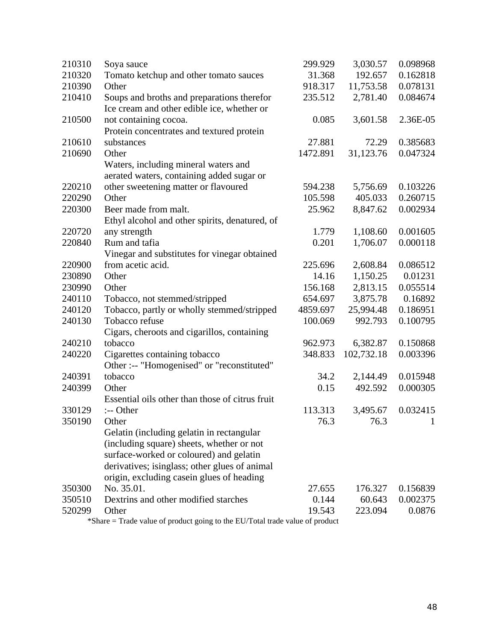| 210310 | Soya sauce                                                                                                                                                                                                                      | 299.929  | 3,030.57   | 0.098968     |
|--------|---------------------------------------------------------------------------------------------------------------------------------------------------------------------------------------------------------------------------------|----------|------------|--------------|
| 210320 | Tomato ketchup and other tomato sauces                                                                                                                                                                                          | 31.368   | 192.657    | 0.162818     |
| 210390 | Other                                                                                                                                                                                                                           | 918.317  | 11,753.58  | 0.078131     |
| 210410 | Soups and broths and preparations therefor<br>Ice cream and other edible ice, whether or                                                                                                                                        | 235.512  | 2,781.40   | 0.084674     |
| 210500 | not containing cocoa.<br>Protein concentrates and textured protein                                                                                                                                                              | 0.085    | 3,601.58   | 2.36E-05     |
| 210610 | substances                                                                                                                                                                                                                      | 27.881   | 72.29      | 0.385683     |
| 210690 | Other<br>Waters, including mineral waters and<br>aerated waters, containing added sugar or                                                                                                                                      | 1472.891 | 31,123.76  | 0.047324     |
| 220210 | other sweetening matter or flavoured                                                                                                                                                                                            | 594.238  | 5,756.69   | 0.103226     |
| 220290 | Other                                                                                                                                                                                                                           | 105.598  | 405.033    | 0.260715     |
| 220300 | Beer made from malt.<br>Ethyl alcohol and other spirits, denatured, of                                                                                                                                                          | 25.962   | 8,847.62   | 0.002934     |
| 220720 | any strength                                                                                                                                                                                                                    | 1.779    | 1,108.60   | 0.001605     |
| 220840 | Rum and tafia                                                                                                                                                                                                                   | 0.201    | 1,706.07   | 0.000118     |
|        | Vinegar and substitutes for vinegar obtained                                                                                                                                                                                    |          |            |              |
| 220900 | from acetic acid.                                                                                                                                                                                                               | 225.696  | 2,608.84   | 0.086512     |
| 230890 | Other                                                                                                                                                                                                                           | 14.16    | 1,150.25   | 0.01231      |
| 230990 | Other                                                                                                                                                                                                                           | 156.168  | 2,813.15   | 0.055514     |
| 240110 | Tobacco, not stemmed/stripped                                                                                                                                                                                                   | 654.697  | 3,875.78   | 0.16892      |
| 240120 | Tobacco, partly or wholly stemmed/stripped                                                                                                                                                                                      | 4859.697 | 25,994.48  | 0.186951     |
| 240130 | Tobacco refuse<br>Cigars, cheroots and cigarillos, containing                                                                                                                                                                   | 100.069  | 992.793    | 0.100795     |
| 240210 | tobacco                                                                                                                                                                                                                         | 962.973  | 6,382.87   | 0.150868     |
| 240220 | Cigarettes containing tobacco<br>Other :-- "Homogenised" or "reconstituted"                                                                                                                                                     | 348.833  | 102,732.18 | 0.003396     |
| 240391 | tobacco                                                                                                                                                                                                                         | 34.2     | 2,144.49   | 0.015948     |
| 240399 | Other<br>Essential oils other than those of citrus fruit                                                                                                                                                                        | 0.15     | 492.592    | 0.000305     |
| 330129 | :-- Other                                                                                                                                                                                                                       | 113.313  | 3,495.67   | 0.032415     |
| 350190 | Other                                                                                                                                                                                                                           | 76.3     | 76.3       | $\mathbf{1}$ |
|        | Gelatin (including gelatin in rectangular<br>(including square) sheets, whether or not<br>surface-worked or coloured) and gelatin<br>derivatives; isinglass; other glues of animal<br>origin, excluding casein glues of heading |          |            |              |
| 350300 | No. 35.01.                                                                                                                                                                                                                      | 27.655   | 176.327    | 0.156839     |
| 350510 | Dextrins and other modified starches                                                                                                                                                                                            | 0.144    | 60.643     | 0.002375     |
| 520299 | Other                                                                                                                                                                                                                           | 19.543   | 223.094    | 0.0876       |

\*Share = Trade value of product going to the EU/Total trade value of product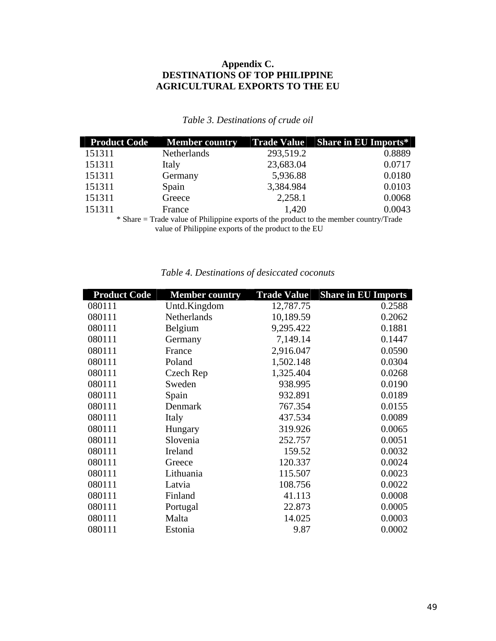#### **Appendix C. DESTINATIONS OF TOP PHILIPPINE AGRICULTURAL EXPORTS TO THE EU**

#### *Table 3. Destinations of crude oil*

| <b>Product Code</b> | <b>Member country</b> | <b>Trade Value</b> | <b>Share in EU Imports*</b>                                                            |
|---------------------|-----------------------|--------------------|----------------------------------------------------------------------------------------|
| 151311              | Netherlands           | 293,519.2          | 0.8889                                                                                 |
| 151311              | Italy                 | 23,683.04          | 0.0717                                                                                 |
| 151311              | Germany               | 5,936.88           | 0.0180                                                                                 |
| 151311              | Spain                 | 3,384.984          | 0.0103                                                                                 |
| 151311              | Greece                | 2,258.1            | 0.0068                                                                                 |
| 151311              | France                | 1,420              | 0.0043                                                                                 |
|                     |                       |                    | * Share = Trade value of Philippine exports of the product to the member country/Trade |

value of Philippine exports of the product to the EU

| <b>Product Code</b> | <b>Member country</b> | <b>Trade Value</b> | <b>Share in EU Imports</b> |
|---------------------|-----------------------|--------------------|----------------------------|
| 080111              | Untd.Kingdom          | 12,787.75          | 0.2588                     |
| 080111              | Netherlands           | 10,189.59          | 0.2062                     |
| 080111              | Belgium               | 9,295.422          | 0.1881                     |
| 080111              | Germany               | 7,149.14           | 0.1447                     |
| 080111              | France                | 2,916.047          | 0.0590                     |
| 080111              | Poland                | 1,502.148          | 0.0304                     |
| 080111              | Czech Rep             | 1,325.404          | 0.0268                     |
| 080111              | Sweden                | 938.995            | 0.0190                     |
| 080111              | Spain                 | 932.891            | 0.0189                     |
| 080111              | Denmark               | 767.354            | 0.0155                     |
| 080111              | Italy                 | 437.534            | 0.0089                     |
| 080111              | Hungary               | 319.926            | 0.0065                     |
| 080111              | Slovenia              | 252.757            | 0.0051                     |
| 080111              | Ireland               | 159.52             | 0.0032                     |
| 080111              | Greece                | 120.337            | 0.0024                     |
| 080111              | Lithuania             | 115.507            | 0.0023                     |
| 080111              | Latvia                | 108.756            | 0.0022                     |
| 080111              | Finland               | 41.113             | 0.0008                     |
| 080111              | Portugal              | 22.873             | 0.0005                     |
| 080111              | Malta                 | 14.025             | 0.0003                     |
| 080111              | Estonia               | 9.87               | 0.0002                     |

#### *Table 4. Destinations of desiccated coconuts*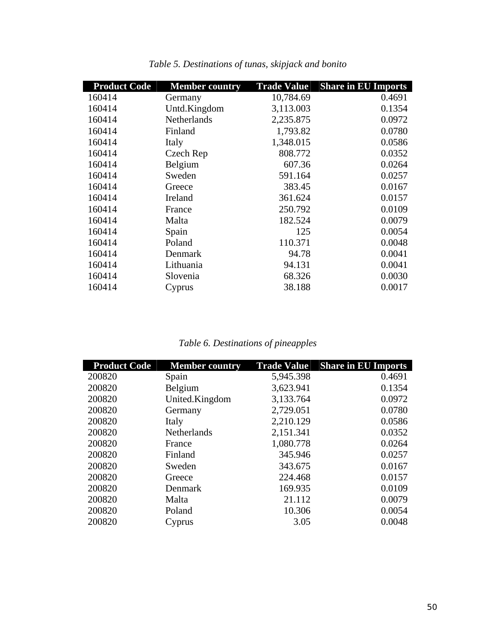| <b>Product Code</b> | <b>Member country</b> | <b>Trade Value</b> | <b>Share in EU Imports</b> |
|---------------------|-----------------------|--------------------|----------------------------|
| 160414              | Germany               | 10,784.69          | 0.4691                     |
| 160414              | Untd.Kingdom          | 3,113.003          | 0.1354                     |
| 160414              | <b>Netherlands</b>    | 2,235.875          | 0.0972                     |
| 160414              | Finland               | 1,793.82           | 0.0780                     |
| 160414              | Italy                 | 1,348.015          | 0.0586                     |
| 160414              | Czech Rep             | 808.772            | 0.0352                     |
| 160414              | Belgium               | 607.36             | 0.0264                     |
| 160414              | Sweden                | 591.164            | 0.0257                     |
| 160414              | Greece                | 383.45             | 0.0167                     |
| 160414              | Ireland               | 361.624            | 0.0157                     |
| 160414              | France                | 250.792            | 0.0109                     |
| 160414              | Malta                 | 182.524            | 0.0079                     |
| 160414              | Spain                 | 125                | 0.0054                     |
| 160414              | Poland                | 110.371            | 0.0048                     |
| 160414              | Denmark               | 94.78              | 0.0041                     |
| 160414              | Lithuania             | 94.131             | 0.0041                     |
| 160414              | Slovenia              | 68.326             | 0.0030                     |
| 160414              | Cyprus                | 38.188             | 0.0017                     |

*Table 5. Destinations of tunas, skipjack and bonito* 

## *Table 6. Destinations of pineapples*

| <b>Product Code</b> | <b>Member country</b> | <b>Trade Value</b> | <b>Share in EU Imports</b> |
|---------------------|-----------------------|--------------------|----------------------------|
| 200820              | Spain                 | 5,945.398          | 0.4691                     |
| 200820              | Belgium               | 3,623.941          | 0.1354                     |
| 200820              | United.Kingdom        | 3,133.764          | 0.0972                     |
| 200820              | Germany               | 2,729.051          | 0.0780                     |
| 200820              | Italy                 | 2,210.129          | 0.0586                     |
| 200820              | <b>Netherlands</b>    | 2,151.341          | 0.0352                     |
| 200820              | France                | 1,080.778          | 0.0264                     |
| 200820              | Finland               | 345.946            | 0.0257                     |
| 200820              | Sweden                | 343.675            | 0.0167                     |
| 200820              | Greece                | 224.468            | 0.0157                     |
| 200820              | Denmark               | 169.935            | 0.0109                     |
| 200820              | Malta                 | 21.112             | 0.0079                     |
| 200820              | Poland                | 10.306             | 0.0054                     |
| 200820              | Cyprus                | 3.05               | 0.0048                     |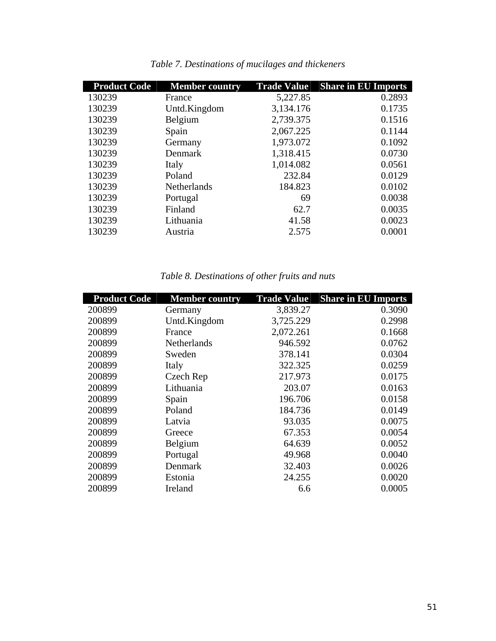| <b>Product Code</b> | <b>Member country</b> | <b>Trade Value</b> | <b>Share in EU Imports</b> |
|---------------------|-----------------------|--------------------|----------------------------|
| 130239              | France                | 5,227.85           | 0.2893                     |
| 130239              | Untd.Kingdom          | 3,134.176          | 0.1735                     |
| 130239              | Belgium               | 2,739.375          | 0.1516                     |
| 130239              | Spain                 | 2,067.225          | 0.1144                     |
| 130239              | Germany               | 1,973.072          | 0.1092                     |
| 130239              | Denmark               | 1,318.415          | 0.0730                     |
| 130239              | Italy                 | 1,014.082          | 0.0561                     |
| 130239              | Poland                | 232.84             | 0.0129                     |
| 130239              | <b>Netherlands</b>    | 184.823            | 0.0102                     |
| 130239              | Portugal              | 69                 | 0.0038                     |
| 130239              | Finland               | 62.7               | 0.0035                     |
| 130239              | Lithuania             | 41.58              | 0.0023                     |
| 130239              | Austria               | 2.575              | 0.0001                     |

|  |  | Table 7. Destinations of mucilages and thickeners |
|--|--|---------------------------------------------------|
|  |  |                                                   |

## *Table 8. Destinations of other fruits and nuts*

| <b>Product Code</b> | <b>Member country</b> | <b>Trade Value</b> | <b>Share in EU Imports</b> |
|---------------------|-----------------------|--------------------|----------------------------|
| 200899              | Germany               | 3,839.27           | 0.3090                     |
| 200899              | Untd.Kingdom          | 3,725.229          | 0.2998                     |
| 200899              | France                | 2,072.261          | 0.1668                     |
| 200899              | <b>Netherlands</b>    | 946.592            | 0.0762                     |
| 200899              | Sweden                | 378.141            | 0.0304                     |
| 200899              | Italy                 | 322.325            | 0.0259                     |
| 200899              | Czech Rep             | 217.973            | 0.0175                     |
| 200899              | Lithuania             | 203.07             | 0.0163                     |
| 200899              | Spain                 | 196.706            | 0.0158                     |
| 200899              | Poland                | 184.736            | 0.0149                     |
| 200899              | Latvia                | 93.035             | 0.0075                     |
| 200899              | Greece                | 67.353             | 0.0054                     |
| 200899              | Belgium               | 64.639             | 0.0052                     |
| 200899              | Portugal              | 49.968             | 0.0040                     |
| 200899              | Denmark               | 32.403             | 0.0026                     |
| 200899              | Estonia               | 24.255             | 0.0020                     |
| 200899              | Ireland               | 6.6                | 0.0005                     |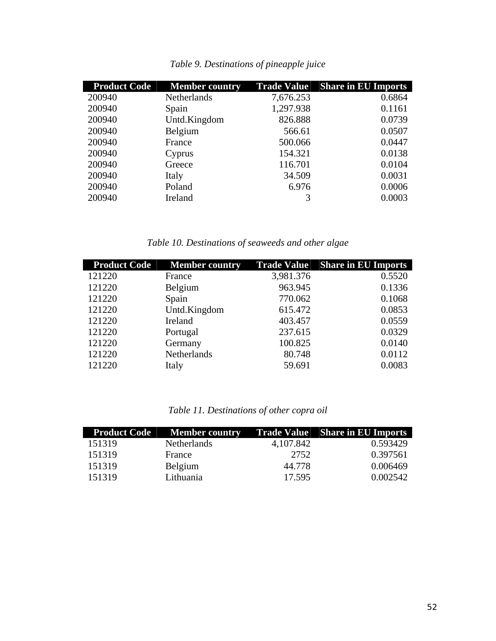| <b>Product Code</b> | <b>Member country</b> |           | <b>Trade Value</b> Share in EU Imports |
|---------------------|-----------------------|-----------|----------------------------------------|
| 200940              | Netherlands           | 7,676.253 | 0.6864                                 |
| 200940              | Spain                 | 1,297.938 | 0.1161                                 |
| 200940              | Untd.Kingdom          | 826.888   | 0.0739                                 |
| 200940              | Belgium               | 566.61    | 0.0507                                 |
| 200940              | France                | 500.066   | 0.0447                                 |
| 200940              | Cyprus                | 154.321   | 0.0138                                 |
| 200940              | Greece                | 116.701   | 0.0104                                 |
| 200940              | Italy                 | 34.509    | 0.0031                                 |
| 200940              | Poland                | 6.976     | 0.0006                                 |
| 200940              | Ireland               | 3         | 0.0003                                 |

*Table 9. Destinations of pineapple juice* 

*Table 10. Destinations of seaweeds and other algae* 

| <b>Product Code</b> | <b>Member country</b> |           | <b>Trade Value</b> Share in EU Imports |
|---------------------|-----------------------|-----------|----------------------------------------|
| 121220              | France                | 3,981.376 | 0.5520                                 |
| 121220              | Belgium               | 963.945   | 0.1336                                 |
| 121220              | Spain                 | 770.062   | 0.1068                                 |
| 121220              | Untd.Kingdom          | 615.472   | 0.0853                                 |
| 121220              | Ireland               | 403.457   | 0.0559                                 |
| 121220              | Portugal              | 237.615   | 0.0329                                 |
| 121220              | Germany               | 100.825   | 0.0140                                 |
| 121220              | Netherlands           | 80.748    | 0.0112                                 |
| 121220              | Italy                 | 59.691    | 0.0083                                 |

### *Table 11. Destinations of other copra oil*

|        | <b>Product Code</b> Member country |           | <b>Trade Value</b> Share in EU Imports |
|--------|------------------------------------|-----------|----------------------------------------|
| 151319 | Netherlands                        | 4,107.842 | 0.593429                               |
| 151319 | France                             | 2752      | 0.397561                               |
| 151319 | Belgium                            | 44.778    | 0.006469                               |
| 151319 | Lithuania                          | 17.595    | 0.002542                               |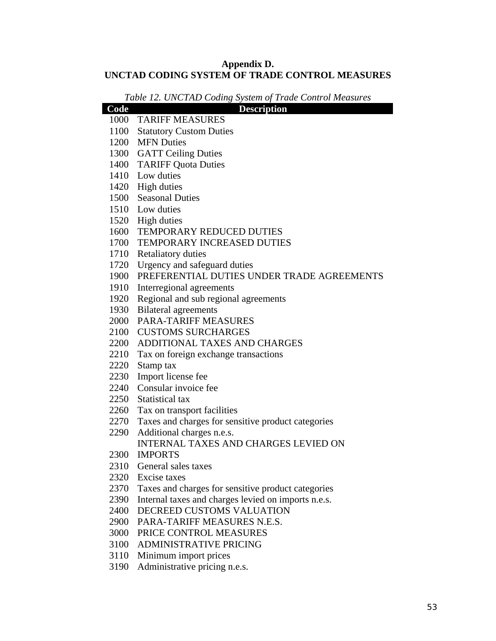#### **Appendix D. UNCTAD CODING SYSTEM OF TRADE CONTROL MEASURES**

| Table 12. UNCTAD Coding System of Trade Control Measures |                                                         |  |  |  |
|----------------------------------------------------------|---------------------------------------------------------|--|--|--|
| Code                                                     | <b>Description</b>                                      |  |  |  |
|                                                          | 1000 TARIFF MEASURES                                    |  |  |  |
| 1100                                                     | <b>Statutory Custom Duties</b>                          |  |  |  |
|                                                          | 1200 MFN Duties                                         |  |  |  |
|                                                          | 1300 GATT Ceiling Duties                                |  |  |  |
|                                                          | 1400 TARIFF Quota Duties                                |  |  |  |
|                                                          | 1410 Low duties                                         |  |  |  |
|                                                          | 1420 High duties                                        |  |  |  |
|                                                          | 1500 Seasonal Duties                                    |  |  |  |
|                                                          | 1510 Low duties                                         |  |  |  |
|                                                          | 1520 High duties                                        |  |  |  |
|                                                          | 1600 TEMPORARY REDUCED DUTIES                           |  |  |  |
|                                                          | 1700 TEMPORARY INCREASED DUTIES                         |  |  |  |
|                                                          | 1710 Retaliatory duties                                 |  |  |  |
|                                                          | 1720 Urgency and safeguard duties                       |  |  |  |
|                                                          | 1900 PREFERENTIAL DUTIES UNDER TRADE AGREEMENTS         |  |  |  |
| 1910                                                     | Interregional agreements                                |  |  |  |
|                                                          | 1920 Regional and sub regional agreements               |  |  |  |
|                                                          | 1930 Bilateral agreements                               |  |  |  |
|                                                          | 2000 PARA-TARIFF MEASURES                               |  |  |  |
|                                                          | 2100 CUSTOMS SURCHARGES                                 |  |  |  |
|                                                          | 2200 ADDITIONAL TAXES AND CHARGES                       |  |  |  |
|                                                          | 2210 Tax on foreign exchange transactions               |  |  |  |
| 2220                                                     | Stamp tax                                               |  |  |  |
|                                                          | 2230 Import license fee                                 |  |  |  |
|                                                          | 2240 Consular invoice fee                               |  |  |  |
|                                                          | 2250 Statistical tax                                    |  |  |  |
|                                                          | 2260 Tax on transport facilities                        |  |  |  |
|                                                          | 2270 Taxes and charges for sensitive product categories |  |  |  |
| 2290                                                     | Additional charges n.e.s.                               |  |  |  |
|                                                          | <b>INTERNAL TAXES AND CHARGES LEVIED ON</b>             |  |  |  |
| 2300                                                     | <b>IMPORTS</b>                                          |  |  |  |
| 2310                                                     | General sales taxes                                     |  |  |  |
|                                                          | 2320 Excise taxes                                       |  |  |  |
|                                                          | 2370 Taxes and charges for sensitive product categories |  |  |  |
| 2390                                                     | Internal taxes and charges levied on imports n.e.s.     |  |  |  |
| 2400                                                     | DECREED CUSTOMS VALUATION                               |  |  |  |
| 2900                                                     | PARA-TARIFF MEASURES N.E.S.                             |  |  |  |
| 3000                                                     | PRICE CONTROL MEASURES                                  |  |  |  |
| 3100                                                     | <b>ADMINISTRATIVE PRICING</b>                           |  |  |  |
| 3110                                                     | Minimum import prices                                   |  |  |  |
| 3190                                                     | Administrative pricing n.e.s.                           |  |  |  |
|                                                          |                                                         |  |  |  |

*Table 12. UNCTAD Coding System of Trade Control Measures*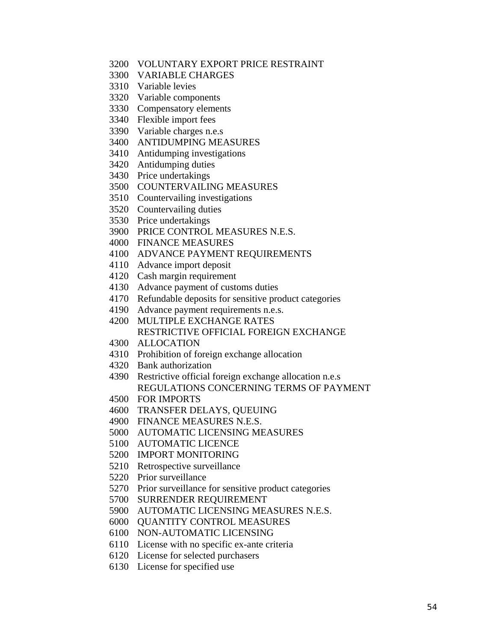- 3200 VOLUNTARY EXPORT PRICE RESTRAINT
- 3300 VARIABLE CHARGES
- 3310 Variable levies
- 3320 Variable components
- 3330 Compensatory elements
- 3340 Flexible import fees
- 3390 Variable charges n.e.s
- 3400 ANTIDUMPING MEASURES
- 3410 Antidumping investigations
- 3420 Antidumping duties
- 3430 Price undertakings
- 3500 COUNTERVAILING MEASURES
- 3510 Countervailing investigations
- 3520 Countervailing duties
- 3530 Price undertakings
- 3900 PRICE CONTROL MEASURES N.E.S.
- 4000 FINANCE MEASURES
- 4100 ADVANCE PAYMENT REQUIREMENTS
- 4110 Advance import deposit
- 4120 Cash margin requirement
- 4130 Advance payment of customs duties
- 4170 Refundable deposits for sensitive product categories
- 4190 Advance payment requirements n.e.s.
- 4200 MULTIPLE EXCHANGE RATES RESTRICTIVE OFFICIAL FOREIGN EXCHANGE
- 4300 ALLOCATION
- 4310 Prohibition of foreign exchange allocation
- 4320 Bank authorization
- 4390 Restrictive official foreign exchange allocation n.e.s REGULATIONS CONCERNING TERMS OF PAYMENT
- 4500 FOR IMPORTS
- 4600 TRANSFER DELAYS, QUEUING
- 4900 FINANCE MEASURES N.E.S.
- 5000 AUTOMATIC LICENSING MEASURES
- 5100 AUTOMATIC LICENCE
- 5200 IMPORT MONITORING
- 5210 Retrospective surveillance
- 5220 Prior surveillance
- 5270 Prior surveillance for sensitive product categories
- 5700 SURRENDER REQUIREMENT
- 5900 AUTOMATIC LICENSING MEASURES N.E.S.
- 6000 QUANTITY CONTROL MEASURES
- 6100 NON-AUTOMATIC LICENSING
- 6110 License with no specific ex-ante criteria
- 6120 License for selected purchasers
- 6130 License for specified use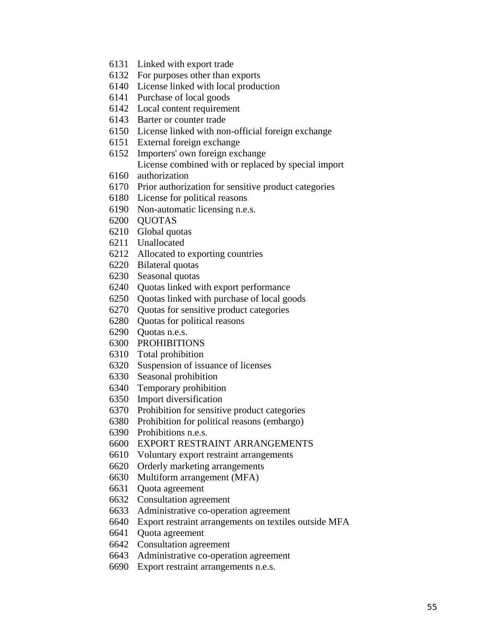- 6131 Linked with export trade
- 6132 For purposes other than exports
- 6140 License linked with local production
- 6141 Purchase of local goods
- 6142 Local content requirement
- 6143 Barter or counter trade
- 6150 License linked with non-official foreign exchange
- 6151 External foreign exchange
- 6152 Importers' own foreign exchange License combined with or replaced by special import
- 6160 authorization
- 6170 Prior authorization for sensitive product categories
- 6180 License for political reasons
- 6190 Non-automatic licensing n.e.s.
- 6200 QUOTAS
- 6210 Global quotas
- 6211 Unallocated
- 6212 Allocated to exporting countries
- 6220 Bilateral quotas
- 6230 Seasonal quotas
- 6240 Quotas linked with export performance
- 6250 Quotas linked with purchase of local goods
- 6270 Quotas for sensitive product categories
- 6280 Quotas for political reasons
- 6290 Quotas n.e.s.
- 6300 PROHIBITIONS
- 6310 Total prohibition
- 6320 Suspension of issuance of licenses
- 6330 Seasonal prohibition
- 6340 Temporary prohibition
- 6350 Import diversification
- 6370 Prohibition for sensitive product categories
- 6380 Prohibition for political reasons (embargo)
- 6390 Prohibitions n.e.s.
- 6600 EXPORT RESTRAINT ARRANGEMENTS
- 6610 Voluntary export restraint arrangements
- 6620 Orderly marketing arrangements
- 6630 Multiform arrangement (MFA)
- 6631 Quota agreement
- 6632 Consultation agreement
- 6633 Administrative co-operation agreement
- 6640 Export restraint arrangements on textiles outside MFA
- 6641 Quota agreement
- 6642 Consultation agreement
- 6643 Administrative co-operation agreement
- 6690 Export restraint arrangements n.e.s.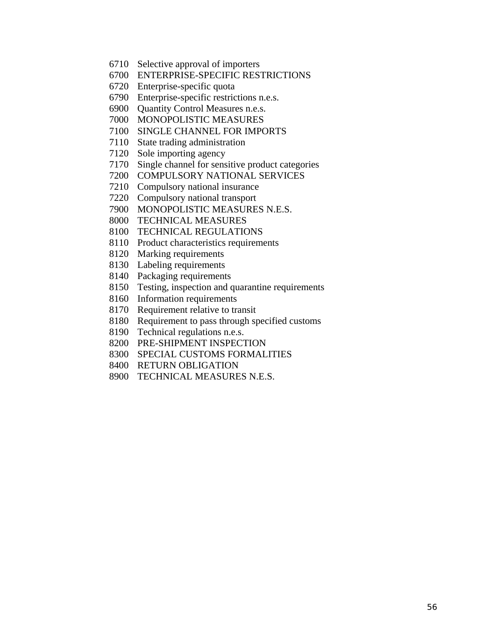- 6710 Selective approval of importers
- 6700 ENTERPRISE-SPECIFIC RESTRICTIONS
- 6720 Enterprise-specific quota
- 6790 Enterprise-specific restrictions n.e.s.
- 6900 Quantity Control Measures n.e.s.
- 7000 MONOPOLISTIC MEASURES
- 7100 SINGLE CHANNEL FOR IMPORTS
- 7110 State trading administration
- 7120 Sole importing agency
- 7170 Single channel for sensitive product categories
- 7200 COMPULSORY NATIONAL SERVICES
- 7210 Compulsory national insurance
- 7220 Compulsory national transport
- 7900 MONOPOLISTIC MEASURES N.E.S.
- 8000 TECHNICAL MEASURES
- 8100 TECHNICAL REGULATIONS
- 8110 Product characteristics requirements
- 8120 Marking requirements
- 8130 Labeling requirements
- 8140 Packaging requirements
- 8150 Testing, inspection and quarantine requirements
- 8160 Information requirements
- 8170 Requirement relative to transit
- 8180 Requirement to pass through specified customs
- 8190 Technical regulations n.e.s.
- 8200 PRE-SHIPMENT INSPECTION
- 8300 SPECIAL CUSTOMS FORMALITIES
- 8400 RETURN OBLIGATION
- 8900 TECHNICAL MEASURES N.E.S.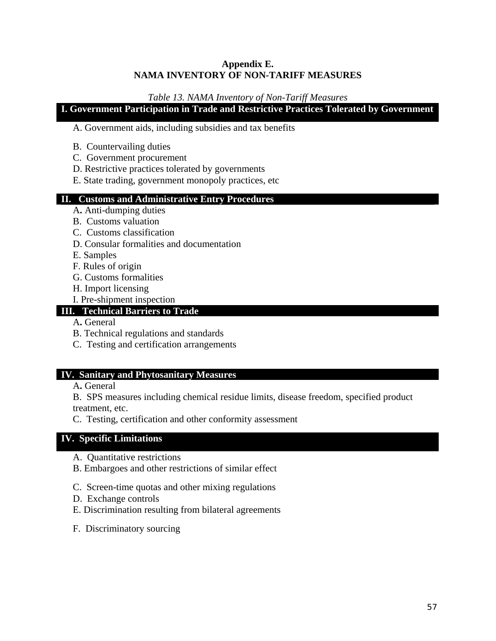#### **Appendix E. NAMA INVENTORY OF NON-TARIFF MEASURES**

#### *Table 13. NAMA Inventory of Non-Tariff Measures*

## **I. Government Participation in Trade and Restrictive Practices Tolerated by Government**

#### A. Government aids, including subsidies and tax benefits

- B. Countervailing duties
- C. Government procurement
- D. Restrictive practices tolerated by governments
- E. State trading, government monopoly practices, etc

## **II. Customs and Administrative Entry Procedures**

- A**.** Anti-dumping duties
- B. Customs valuation
- C. Customs classification
- D. Consular formalities and documentation

E. Samples

- F. Rules of origin
- G. Customs formalities
- H. Import licensing
- I. Pre-shipment inspection

#### **III. Technical Barriers to Trade**

- A**.** General
- B. Technical regulations and standards
- C. Testing and certification arrangements

#### **IV. Sanitary and Phytosanitary Measures**

A**.** General

B. SPS measures including chemical residue limits, disease freedom, specified product treatment, etc.

C. Testing, certification and other conformity assessment

#### **IV. Specific Limitations**

- A. Quantitative restrictions
- B. Embargoes and other restrictions of similar effect
- C. Screen-time quotas and other mixing regulations
- D. Exchange controls
- E. Discrimination resulting from bilateral agreements
- F. Discriminatory sourcing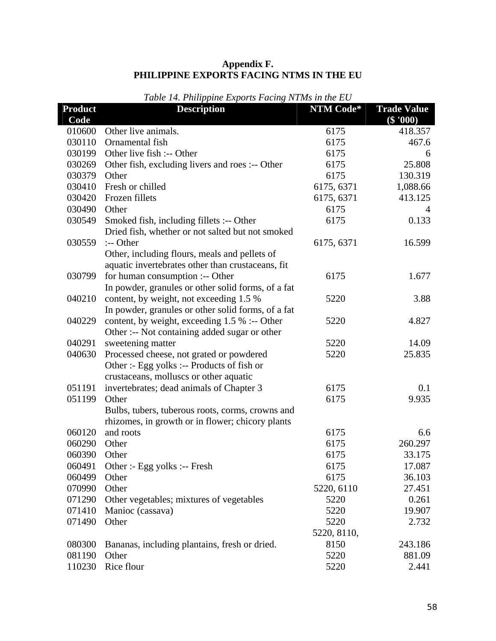| Appendix F.                              |
|------------------------------------------|
| PHILIPPINE EXPORTS FACING NTMS IN THE EU |

| <b>Product</b> | <i>Rubic</i> 11.1 <i>httppfnic Exports</i> I dent <sub>N</sub><br><b>Description</b> | NTM Code*   | <b>Trade Value</b> |
|----------------|--------------------------------------------------------------------------------------|-------------|--------------------|
| Code           |                                                                                      |             | $(\$ '000)$        |
| 010600         | Other live animals.                                                                  | 6175        | 418.357            |
| 030110         | Ornamental fish                                                                      | 6175        | 467.6              |
| 030199         | Other live fish :-- Other                                                            | 6175        | 6                  |
| 030269         | Other fish, excluding livers and roes :-- Other                                      | 6175        | 25.808             |
| 030379         | Other                                                                                | 6175        | 130.319            |
| 030410         | Fresh or chilled                                                                     | 6175, 6371  | 1,088.66           |
| 030420         | Frozen fillets                                                                       | 6175, 6371  | 413.125            |
| 030490         | Other                                                                                | 6175        | 4                  |
| 030549         | Smoked fish, including fillets :-- Other                                             | 6175        | 0.133              |
|                | Dried fish, whether or not salted but not smoked                                     |             |                    |
| 030559         | :-- Other                                                                            | 6175, 6371  | 16.599             |
|                | Other, including flours, meals and pellets of                                        |             |                    |
|                | aquatic invertebrates other than crustaceans, fit                                    |             |                    |
| 030799         | for human consumption :-- Other                                                      | 6175        | 1.677              |
|                | In powder, granules or other solid forms, of a fat                                   |             |                    |
| 040210         | content, by weight, not exceeding 1.5 %                                              | 5220        | 3.88               |
|                | In powder, granules or other solid forms, of a fat                                   |             |                    |
| 040229         | content, by weight, exceeding $1.5\%$ :-- Other                                      | 5220        | 4.827              |
|                | Other :-- Not containing added sugar or other                                        |             |                    |
| 040291         | sweetening matter                                                                    | 5220        | 14.09              |
| 040630         | Processed cheese, not grated or powdered                                             | 5220        | 25.835             |
|                | Other :- Egg yolks :-- Products of fish or                                           |             |                    |
|                | crustaceans, molluscs or other aquatic                                               |             |                    |
| 051191         | invertebrates; dead animals of Chapter 3                                             | 6175        | 0.1                |
| 051199         | Other                                                                                | 6175        | 9.935              |
|                | Bulbs, tubers, tuberous roots, corms, crowns and                                     |             |                    |
|                | rhizomes, in growth or in flower; chicory plants                                     |             |                    |
| 060120         | and roots                                                                            | 6175        | 6.6                |
| 060290         | Other                                                                                | 6175        | 260.297            |
| 060390         | Other                                                                                | 6175        | 33.175             |
| 060491         | Other :- Egg yolks :-- Fresh                                                         | 6175        | 17.087             |
| 060499         | Other                                                                                | 6175        | 36.103             |
| 070990         | Other                                                                                | 5220, 6110  | 27.451             |
| 071290         | Other vegetables; mixtures of vegetables                                             | 5220        | 0.261              |
| 071410         | Manioc (cassava)                                                                     | 5220        | 19.907             |
| 071490         | Other                                                                                | 5220        | 2.732              |
|                |                                                                                      | 5220, 8110, |                    |
| 080300         | Bananas, including plantains, fresh or dried.                                        | 8150        | 243.186            |
| 081190         | Other                                                                                | 5220        | 881.09             |
| 110230         | Rice flour                                                                           | 5220        | 2.441              |

### *Table 14. Philippine Exports Facing NTMs in the EU*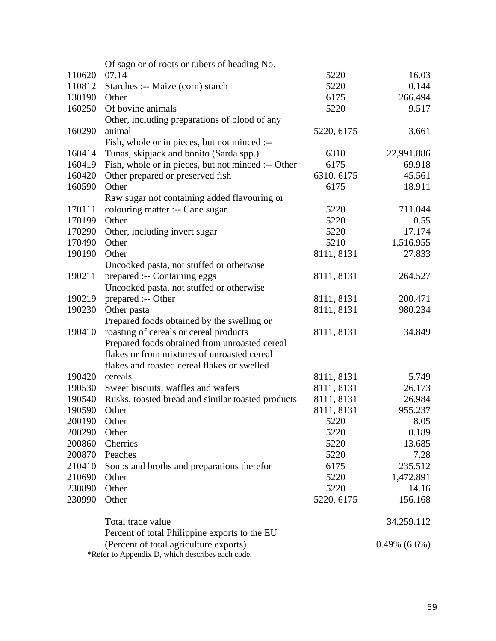|        | Of sago or of roots or tubers of heading No.       |            |                    |
|--------|----------------------------------------------------|------------|--------------------|
| 110620 | 07.14                                              | 5220       | 16.03              |
| 110812 | Starches :-- Maize (corn) starch                   | 5220       | 0.144              |
| 130190 | Other                                              | 6175       | 266.494            |
| 160250 | Of bovine animals                                  | 5220       | 9.517              |
|        | Other, including preparations of blood of any      |            |                    |
| 160290 | animal                                             | 5220, 6175 | 3.661              |
|        | Fish, whole or in pieces, but not minced :--       |            |                    |
| 160414 | Tunas, skipjack and bonito (Sarda spp.)            | 6310       | 22,991.886         |
| 160419 | Fish, whole or in pieces, but not minced :-- Other | 6175       | 69.918             |
| 160420 | Other prepared or preserved fish                   | 6310, 6175 | 45.561             |
| 160590 | Other                                              | 6175       | 18.911             |
|        | Raw sugar not containing added flavouring or       |            |                    |
| 170111 | colouring matter :-- Cane sugar                    | 5220       | 711.044            |
| 170199 | Other                                              | 5220       | 0.55               |
| 170290 | Other, including invert sugar                      | 5220       | 17.174             |
| 170490 | Other                                              | 5210       | 1,516.955          |
| 190190 | Other                                              | 8111, 8131 | 27.833             |
|        | Uncooked pasta, not stuffed or otherwise           |            |                    |
| 190211 | prepared :-- Containing eggs                       | 8111, 8131 | 264.527            |
|        | Uncooked pasta, not stuffed or otherwise           |            |                    |
| 190219 | prepared :-- Other                                 | 8111, 8131 | 200.471            |
| 190230 | Other pasta                                        | 8111, 8131 | 980.234            |
|        | Prepared foods obtained by the swelling or         |            |                    |
| 190410 | roasting of cereals or cereal products             | 8111, 8131 | 34.849             |
|        | Prepared foods obtained from unroasted cereal      |            |                    |
|        | flakes or from mixtures of unroasted cereal        |            |                    |
|        | flakes and roasted cereal flakes or swelled        |            |                    |
| 190420 | cereals                                            | 8111, 8131 | 5.749              |
| 190530 | Sweet biscuits; waffles and wafers                 | 8111, 8131 | 26.173             |
| 190540 | Rusks, toasted bread and similar toasted products  | 8111, 8131 | 26.984             |
| 190590 | Other                                              | 8111, 8131 | 955.237            |
| 200190 | Other                                              | 5220       | 8.05               |
| 200290 | Other                                              | 5220       | 0.189              |
| 200860 | Cherries                                           | 5220       | 13.685             |
| 200870 | Peaches                                            | 5220       | 7.28               |
| 210410 | Soups and broths and preparations therefor         | 6175       | 235.512            |
| 210690 | Other                                              | 5220       | 1,472.891          |
| 230890 | Other                                              | 5220       | 14.16              |
| 230990 | Other                                              | 5220, 6175 | 156.168            |
|        | Total trade value                                  |            | 34,259.112         |
|        | Percent of total Philippine exports to the EU      |            |                    |
|        | (Percent of total agriculture exports)             |            | $0.49\%$ $(6.6\%)$ |
|        | *Refer to Appendix D, which describes each code.   |            |                    |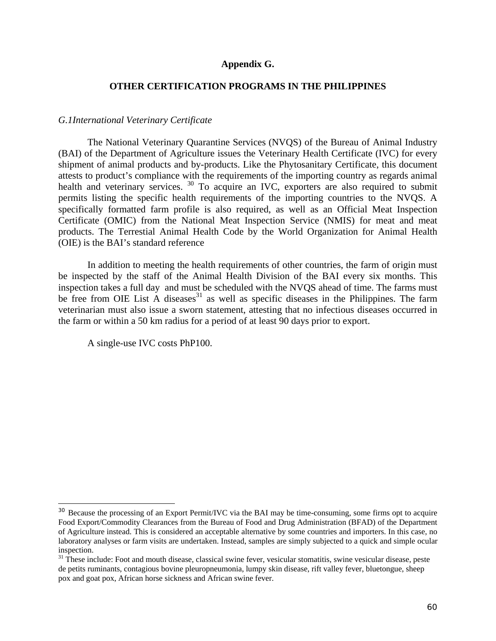#### **Appendix G.**

#### **OTHER CERTIFICATION PROGRAMS IN THE PHILIPPINES**

#### *G.1International Veterinary Certificate*

 The National Veterinary Quarantine Services (NVQS) of the Bureau of Animal Industry (BAI) of the Department of Agriculture issues the Veterinary Health Certificate (IVC) for every shipment of animal products and by-products. Like the Phytosanitary Certificate, this document attests to product's compliance with the requirements of the importing country as regards animal health and veterinary services. <sup>30</sup> To acquire an IVC, exporters are also required to submit permits listing the specific health requirements of the importing countries to the NVQS. A specifically formatted farm profile is also required, as well as an Official Meat Inspection Certificate (OMIC) from the National Meat Inspection Service (NMIS) for meat and meat products. The Terrestial Animal Health Code by the World Organization for Animal Health (OIE) is the BAI's standard reference

 In addition to meeting the health requirements of other countries, the farm of origin must be inspected by the staff of the Animal Health Division of the BAI every six months. This inspection takes a full day and must be scheduled with the NVQS ahead of time. The farms must be free from OIE List A diseases<sup>31</sup> as well as specific diseases in the Philippines. The farm veterinarian must also issue a sworn statement, attesting that no infectious diseases occurred in the farm or within a 50 km radius for a period of at least 90 days prior to export.

A single-use IVC costs PhP100.

<sup>&</sup>lt;sup>30</sup> Because the processing of an Export Permit/IVC via the BAI may be time-consuming, some firms opt to acquire Food Export/Commodity Clearances from the Bureau of Food and Drug Administration (BFAD) of the Department of Agriculture instead. This is considered an acceptable alternative by some countries and importers. In this case, no laboratory analyses or farm visits are undertaken. Instead, samples are simply subjected to a quick and simple ocular inspection.

<sup>&</sup>lt;sup>31</sup> These include: Foot and mouth disease, classical swine fever, vesicular stomatitis, swine vesicular disease, peste de petits ruminants, contagious bovine pleuropneumonia, lumpy skin disease, rift valley fever, bluetongue, sheep pox and goat pox, African horse sickness and African swine fever.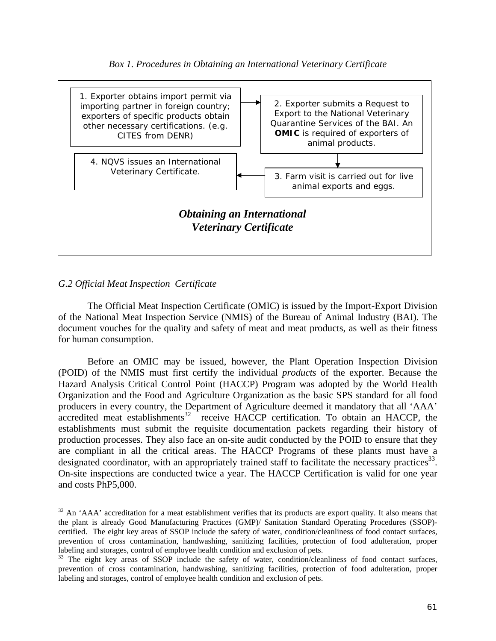



#### *G.2 Official Meat Inspection Certificate*

1

 The Official Meat Inspection Certificate (OMIC) is issued by the Import-Export Division of the National Meat Inspection Service (NMIS) of the Bureau of Animal Industry (BAI). The document vouches for the quality and safety of meat and meat products, as well as their fitness for human consumption.

Before an OMIC may be issued, however, the Plant Operation Inspection Division (POID) of the NMIS must first certify the individual *products* of the exporter. Because the Hazard Analysis Critical Control Point (HACCP) Program was adopted by the World Health Organization and the Food and Agriculture Organization as the basic SPS standard for all food producers in every country, the Department of Agriculture deemed it mandatory that all 'AAA' accredited meat establishments $32$  receive HACCP certification. To obtain an HACCP, the establishments must submit the requisite documentation packets regarding their history of production processes. They also face an on-site audit conducted by the POID to ensure that they are compliant in all the critical areas. The HACCP Programs of these plants must have a designated coordinator, with an appropriately trained staff to facilitate the necessary practices  $33$ . On-site inspections are conducted twice a year. The HACCP Certification is valid for one year and costs PhP5,000.

 $32$  An 'AAA' accreditation for a meat establishment verifies that its products are export quality. It also means that the plant is already Good Manufacturing Practices (GMP)/ Sanitation Standard Operating Procedures (SSOP) certified. The eight key areas of SSOP include the safety of water, condition/cleanliness of food contact surfaces, prevention of cross contamination, handwashing, sanitizing facilities, protection of food adulteration, proper labeling and storages, control of employee health condition and exclusion of pets.

<sup>&</sup>lt;sup>33</sup> The eight key areas of SSOP include the safety of water, condition/cleanliness of food contact surfaces, prevention of cross contamination, handwashing, sanitizing facilities, protection of food adulteration, proper labeling and storages, control of employee health condition and exclusion of pets.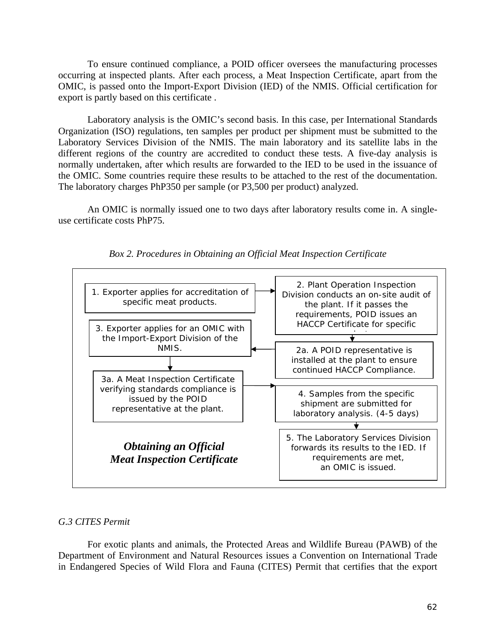To ensure continued compliance, a POID officer oversees the manufacturing processes occurring at inspected plants. After each process, a Meat Inspection Certificate, apart from the OMIC, is passed onto the Import-Export Division (IED) of the NMIS. Official certification for export is partly based on this certificate .

 Laboratory analysis is the OMIC's second basis. In this case, per International Standards Organization (ISO) regulations, ten samples per product per shipment must be submitted to the Laboratory Services Division of the NMIS. The main laboratory and its satellite labs in the different regions of the country are accredited to conduct these tests. A five-day analysis is normally undertaken, after which results are forwarded to the IED to be used in the issuance of the OMIC. Some countries require these results to be attached to the rest of the documentation. The laboratory charges PhP350 per sample (or P3,500 per product) analyzed.

 An OMIC is normally issued one to two days after laboratory results come in. A singleuse certificate costs PhP75.



*Box 2. Procedures in Obtaining an Official Meat Inspection Certificate* 

#### *G.3 CITES Permit*

 For exotic plants and animals, the Protected Areas and Wildlife Bureau (PAWB) of the Department of Environment and Natural Resources issues a Convention on International Trade in Endangered Species of Wild Flora and Fauna (CITES) Permit that certifies that the export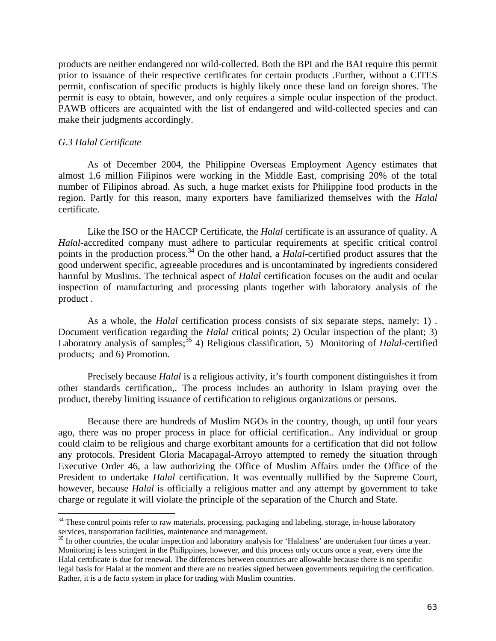products are neither endangered nor wild-collected. Both the BPI and the BAI require this permit prior to issuance of their respective certificates for certain products .Further, without a CITES permit, confiscation of specific products is highly likely once these land on foreign shores. The permit is easy to obtain, however, and only requires a simple ocular inspection of the product. PAWB officers are acquainted with the list of endangered and wild-collected species and can make their judgments accordingly.

#### *G.3 Halal Certificate*

1

 As of December 2004, the Philippine Overseas Employment Agency estimates that almost 1.6 million Filipinos were working in the Middle East, comprising 20% of the total number of Filipinos abroad. As such, a huge market exists for Philippine food products in the region. Partly for this reason, many exporters have familiarized themselves with the *Halal* certificate.

 Like the ISO or the HACCP Certificate, the *Halal* certificate is an assurance of quality. A *Halal*-accredited company must adhere to particular requirements at specific critical control points in the production process.<sup>34</sup> On the other hand, a *Halal*-certified product assures that the good underwent specific, agreeable procedures and is uncontaminated by ingredients considered harmful by Muslims. The technical aspect of *Halal* certification focuses on the audit and ocular inspection of manufacturing and processing plants together with laboratory analysis of the product .

As a whole, the *Halal* certification process consists of six separate steps, namely: 1) . Document verification regarding the *Halal* critical points; 2) Ocular inspection of the plant; 3) Laboratory analysis of samples;<sup>35</sup> 4) Religious classification, 5) Monitoring of *Halal*-certified products; and 6) Promotion.

 Precisely because *Halal* is a religious activity, it's fourth component distinguishes it from other standards certification,. The process includes an authority in Islam praying over the product, thereby limiting issuance of certification to religious organizations or persons.

 Because there are hundreds of Muslim NGOs in the country, though, up until four years ago, there was no proper process in place for official certification.. Any individual or group could claim to be religious and charge exorbitant amounts for a certification that did not follow any protocols. President Gloria Macapagal-Arroyo attempted to remedy the situation through Executive Order 46, a law authorizing the Office of Muslim Affairs under the Office of the President to undertake *Halal* certification. It was eventually nullified by the Supreme Court, however, because *Halal* is officially a religious matter and any attempt by government to take charge or regulate it will violate the principle of the separation of the Church and State.

 $34$  These control points refer to raw materials, processing, packaging and labeling, storage, in-house laboratory services, transportation facilities, maintenance and management.

<sup>&</sup>lt;sup>35</sup> In other countries, the ocular inspection and laboratory analysis for 'Halalness' are undertaken four times a year. Monitoring is less stringent in the Philippines, however, and this process only occurs once a year, every time the Halal certificate is due for renewal. The differences between countries are allowable because there is no specific legal basis for Halal at the moment and there are no treaties signed between governments requiring the certification. Rather, it is a de facto system in place for trading with Muslim countries.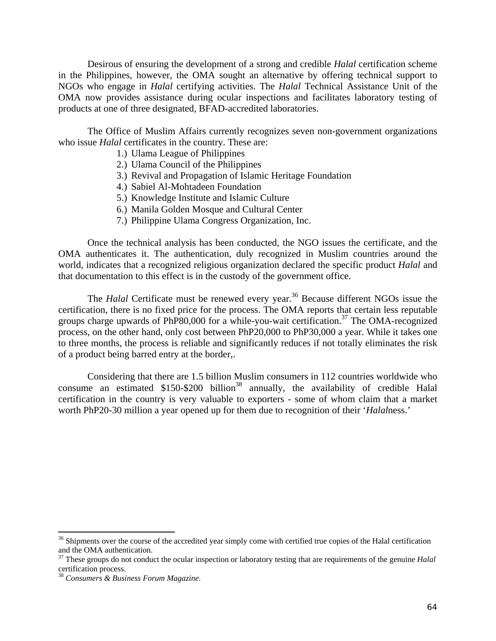Desirous of ensuring the development of a strong and credible *Halal* certification scheme in the Philippines, however, the OMA sought an alternative by offering technical support to NGOs who engage in *Halal* certifying activities. The *Halal* Technical Assistance Unit of the OMA now provides assistance during ocular inspections and facilitates laboratory testing of products at one of three designated, BFAD-accredited laboratories.

The Office of Muslim Affairs currently recognizes seven non-government organizations who issue *Halal* certificates in the country. These are:

- 1.) Ulama League of Philippines
- 2.) Ulama Council of the Philippines
- 3.) Revival and Propagation of Islamic Heritage Foundation
- 4.) Sabiel Al-Mohtadeen Foundation
- 5.) Knowledge Institute and Islamic Culture
- 6.) Manila Golden Mosque and Cultural Center
- 7.) Philippine Ulama Congress Organization, Inc.

Once the technical analysis has been conducted, the NGO issues the certificate, and the OMA authenticates it. The authentication, duly recognized in Muslim countries around the world, indicates that a recognized religious organization declared the specific product *Halal* and that documentation to this effect is in the custody of the government office.

The *Halal* Certificate must be renewed every year.<sup>36</sup> Because different NGOs issue the certification, there is no fixed price for the process. The OMA reports that certain less reputable groups charge upwards of PhP80,000 for a while-you-wait certification.<sup>37</sup> The OMA-recognized process, on the other hand, only cost between PhP20,000 to PhP30,000 a year. While it takes one to three months, the process is reliable and significantly reduces if not totally eliminates the risk of a product being barred entry at the border,.

Considering that there are 1.5 billion Muslim consumers in 112 countries worldwide who consume an estimated  $$150-$200 billion<sup>38</sup>$  annually, the availability of credible Halal certification in the country is very valuable to exporters - some of whom claim that a market worth PhP20-30 million a year opened up for them due to recognition of their '*Halal*ness.'

 $36$  Shipments over the course of the accredited year simply come with certified true copies of the Halal certification and the OMA authentication.

<sup>&</sup>lt;sup>37</sup> These groups do not conduct the ocular inspection or laboratory testing that are requirements of the genuine *Halal* certification process.

<sup>38</sup> *Consumers & Business Forum Magazine*.